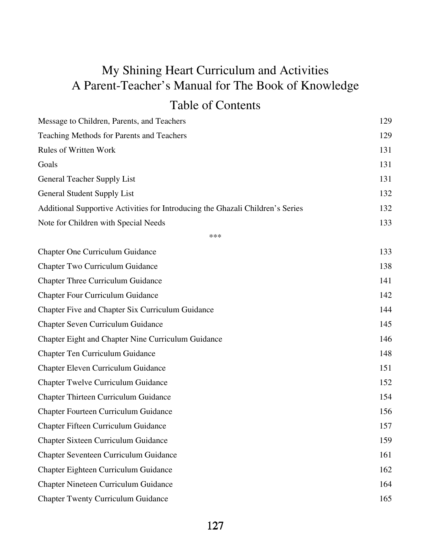# My Shining Heart Curriculum and Activities A Parent-Teacher's Manual for The Book of Knowledge

# Table of Contents

| Message to Children, Parents, and Teachers                                     | 129 |
|--------------------------------------------------------------------------------|-----|
| Teaching Methods for Parents and Teachers                                      | 129 |
| <b>Rules of Written Work</b>                                                   | 131 |
| Goals                                                                          | 131 |
| <b>General Teacher Supply List</b>                                             | 131 |
| <b>General Student Supply List</b>                                             | 132 |
| Additional Supportive Activities for Introducing the Ghazali Children's Series | 132 |
| Note for Children with Special Needs                                           | 133 |
| ***                                                                            |     |
| <b>Chapter One Curriculum Guidance</b>                                         | 133 |
| Chapter Two Curriculum Guidance                                                | 138 |
| <b>Chapter Three Curriculum Guidance</b>                                       | 141 |
| <b>Chapter Four Curriculum Guidance</b>                                        | 142 |
| Chapter Five and Chapter Six Curriculum Guidance                               | 144 |
| <b>Chapter Seven Curriculum Guidance</b>                                       | 145 |
| Chapter Eight and Chapter Nine Curriculum Guidance                             | 146 |
| <b>Chapter Ten Curriculum Guidance</b>                                         | 148 |
| <b>Chapter Eleven Curriculum Guidance</b>                                      | 151 |
| <b>Chapter Twelve Curriculum Guidance</b>                                      | 152 |
| <b>Chapter Thirteen Curriculum Guidance</b>                                    | 154 |
| <b>Chapter Fourteen Curriculum Guidance</b>                                    | 156 |
| <b>Chapter Fifteen Curriculum Guidance</b>                                     | 157 |
| <b>Chapter Sixteen Curriculum Guidance</b>                                     | 159 |
| <b>Chapter Seventeen Curriculum Guidance</b>                                   | 161 |
| Chapter Eighteen Curriculum Guidance                                           | 162 |
| <b>Chapter Nineteen Curriculum Guidance</b>                                    | 164 |
| <b>Chapter Twenty Curriculum Guidance</b>                                      | 165 |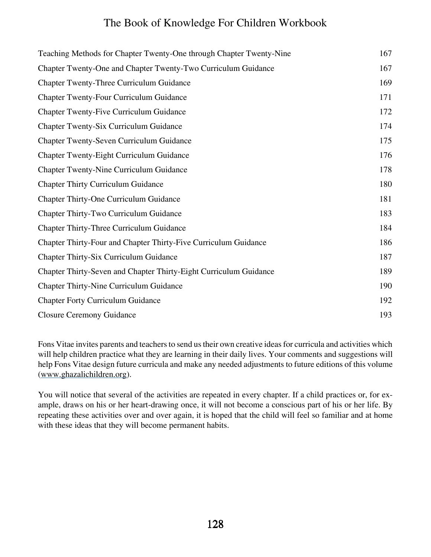| Teaching Methods for Chapter Twenty-One through Chapter Twenty-Nine | 167 |
|---------------------------------------------------------------------|-----|
| Chapter Twenty-One and Chapter Twenty-Two Curriculum Guidance       | 167 |
| <b>Chapter Twenty-Three Curriculum Guidance</b>                     | 169 |
| <b>Chapter Twenty-Four Curriculum Guidance</b>                      | 171 |
| <b>Chapter Twenty-Five Curriculum Guidance</b>                      | 172 |
| <b>Chapter Twenty-Six Curriculum Guidance</b>                       | 174 |
| <b>Chapter Twenty-Seven Curriculum Guidance</b>                     | 175 |
| <b>Chapter Twenty-Eight Curriculum Guidance</b>                     | 176 |
| <b>Chapter Twenty-Nine Curriculum Guidance</b>                      | 178 |
| <b>Chapter Thirty Curriculum Guidance</b>                           | 180 |
| <b>Chapter Thirty-One Curriculum Guidance</b>                       | 181 |
| <b>Chapter Thirty-Two Curriculum Guidance</b>                       | 183 |
| <b>Chapter Thirty-Three Curriculum Guidance</b>                     | 184 |
| Chapter Thirty-Four and Chapter Thirty-Five Curriculum Guidance     | 186 |
| <b>Chapter Thirty-Six Curriculum Guidance</b>                       | 187 |
| Chapter Thirty-Seven and Chapter Thirty-Eight Curriculum Guidance   | 189 |
| <b>Chapter Thirty-Nine Curriculum Guidance</b>                      | 190 |
| <b>Chapter Forty Curriculum Guidance</b>                            | 192 |
| <b>Closure Ceremony Guidance</b>                                    | 193 |

Fons Vitae invites parents and teachers to send us their own creative ideas for curricula and activities which will help children practice what they are learning in their daily lives. Your comments and suggestions will help Fons Vitae design future curricula and make any needed adjustments to future editions of this volume (www.ghazalichildren.org).

You will notice that several of the activities are repeated in every chapter. If a child practices or, for example, draws on his or her heart-drawing once, it will not become a conscious part of his or her life. By repeating these activities over and over again, it is hoped that the child will feel so familiar and at home with these ideas that they will become permanent habits.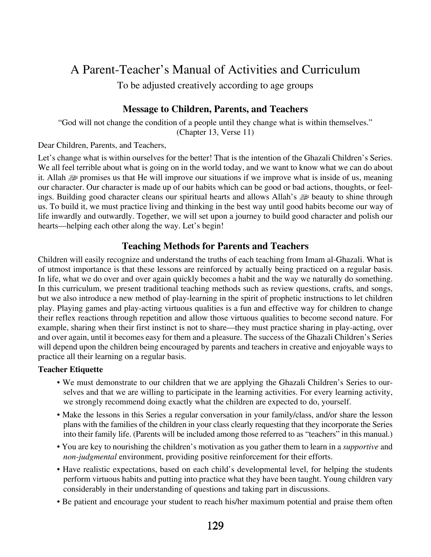To be adjusted creatively according to age groups

# **Message to Children, Parents, and Teachers**

"God will not change the condition of a people until they change what is within themselves." (Chapter 13, Verse 11)

Dear Children, Parents, and Teachers,

Let's change what is within ourselves for the better! That is the intention of the Ghazali Children's Series. We all feel terrible about what is going on in the world today, and we want to know what we can do about it. Allah will improve our situations if we improve what is inside of us, meaning our character. Our character is made up of our habits which can be good or bad actions, thoughts, or feelings. Building good character cleans our spiritual hearts and allows Allah's  $\mathbb{R}$  beauty to shine through us. To build it, we must practice living and thinking in the best way until good habits become our way of life inwardly and outwardly. Together, we will set upon a journey to build good character and polish our hearts—helping each other along the way. Let's begin!

# **Teaching Methods for Parents and Teachers**

Children will easily recognize and understand the truths of each teaching from Imam al-Ghazali. What is of utmost importance is that these lessons are reinforced by actually being practiced on a regular basis. In life, what we do over and over again quickly becomes a habit and the way we naturally do something. In this curriculum, we present traditional teaching methods such as review questions, crafts, and songs, but we also introduce a new method of play-learning in the spirit of prophetic instructions to let children play. Playing games and play-acting virtuous qualities is a fun and effective way for children to change their reflex reactions through repetition and allow those virtuous qualities to become second nature. For example, sharing when their first instinct is not to share—they must practice sharing in play-acting, over and over again, until it becomes easy for them and a pleasure. The success of the Ghazali Children's Series will depend upon the children being encouraged by parents and teachers in creative and enjoyable ways to practice all their learning on a regular basis.

# **Teacher Etiquette**

- We must demonstrate to our children that we are applying the Ghazali Children's Series to ourselves and that we are willing to participate in the learning activities. For every learning activity, we strongly recommend doing exactly what the children are expected to do, yourself.
- Make the lessons in this Series a regular conversation in your family/class, and/or share the lesson plans with the families of the children in your class clearly requesting that they incorporate the Series into their family life. (Parents will be included among those referred to as "teachers" in this manual.)
- You are key to nourishing the children's motivation as you gather them to learn in a *supportive* and *non-judgmental* environment, providing positive reinforcement for their efforts.
- Have realistic expectations, based on each child's developmental level, for helping the students perform virtuous habits and putting into practice what they have been taught. Young children vary considerably in their understanding of questions and taking part in discussions.
- Be patient and encourage your student to reach his/her maximum potential and praise them often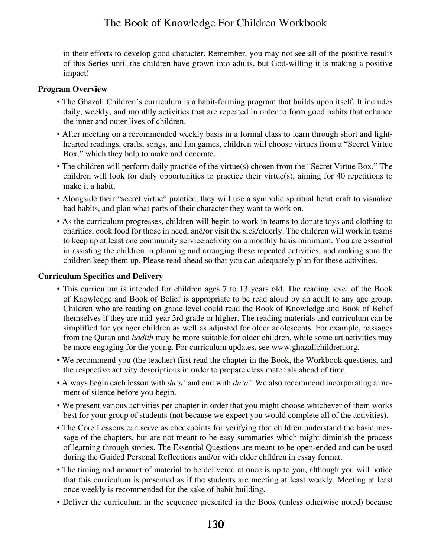in their efforts to develop good character. Remember, you may not see all of the positive results of this Series until the children have grown into adults, but God-willing it is making a positive impact!

### **Program Overview**

- The Ghazali Children's curriculum is a habit-forming program that builds upon itself. It includes daily, weekly, and monthly activities that are repeated in order to form good habits that enhance the inner and outer lives of children.
- After meeting on a recommended weekly basis in a formal class to learn through short and lighthearted readings, crafts, songs, and fun games, children will choose virtues from a "Secret Virtue Box," which they help to make and decorate.
- The children will perform daily practice of the virtue(s) chosen from the "Secret Virtue Box." The children will look for daily opportunities to practice their virtue(s), aiming for 40 repetitions to make it a habit.
- Alongside their "secret virtue" practice, they will use a symbolic spiritual heart craft to visualize bad habits, and plan what parts of their character they want to work on.
- As the curriculum progresses, children will begin to work in teams to donate toys and clothing to charities, cook food for those in need, and/or visit the sick/elderly. The children will work in teams to keep up at least one community service activity on a monthly basis minimum. You are essential in assisting the children in planning and arranging these repeated activities, and making sure the children keep them up. Please read ahead so that you can adequately plan for these activities.

### **Curriculum Specifics and Delivery**

- This curriculum is intended for children ages 7 to 13 years old. The reading level of the Book of Knowledge and Book of Belief is appropriate to be read aloud by an adult to any age group. Children who are reading on grade level could read the Book of Knowledge and Book of Belief themselves if they are mid-year 3rd grade or higher. The reading materials and curriculum can be simplified for younger children as well as adjusted for older adolescents. For example, passages from the Quran and *hadith* may be more suitable for older children, while some art activities may be more engaging for the young. For curriculum updates, see www.ghazalichildren.org.
- We recommend you (the teacher) first read the chapter in the Book, the Workbook questions, and the respective activity descriptions in order to prepare class materials ahead of time.
- $\bullet$  Always begin each lesson with *du'a'* and end with *du'a'*. We also recommend incorporating a moment of silence before you begin.
- We present various activities per chapter in order that you might choose whichever of them works best for your group of students (not because we expect you would complete all of the activities).
- The Core Lessons can serve as checkpoints for verifying that children understand the basic message of the chapters, but are not meant to be easy summaries which might diminish the process of learning through stories. The Essential Questions are meant to be open-ended and can be used during the Guided Personal Reflections and/or with older children in essay format.
- The timing and amount of material to be delivered at once is up to you, although you will notice that this curriculum is presented as if the students are meeting at least weekly. Meeting at least once weekly is recommended for the sake of habit building.
- Deliver the curriculum in the sequence presented in the Book (unless otherwise noted) because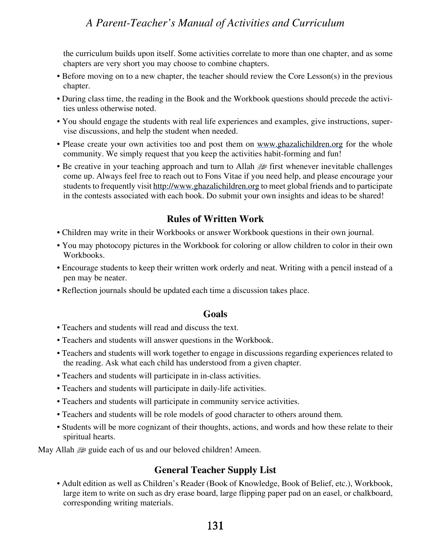the curriculum builds upon itself. Some activities correlate to more than one chapter, and as some chapters are very short you may choose to combine chapters.

- Before moving on to a new chapter, the teacher should review the Core Lesson(s) in the previous chapter.
- During class time, the reading in the Book and the Workbook questions should precede the activities unless otherwise noted.
- You should engage the students with real life experiences and examples, give instructions, supervise discussions, and help the student when needed.
- Please create your own activities too and post them on www.ghazalichildren.org for the whole community. We simply request that you keep the activities habit-forming and fun!
- Be creative in your teaching approach and turn to Allah  $\mathbb{R}$  first whenever inevitable challenges come up. Always feel free to reach out to Fons Vitae if you need help, and please encourage your students to frequently visit http://www.ghazalichildren.org to meet global friends and to participate in the contests associated with each book. Do submit your own insights and ideas to be shared!

# **Rules of Written Work**

- Children may write in their Workbooks or answer Workbook questions in their own journal.
- You may photocopy pictures in the Workbook for coloring or allow children to color in their own Workbooks.
- Encourage students to keep their written work orderly and neat. Writing with a pencil instead of a pen may be neater.
- Reflection journals should be updated each time a discussion takes place.

# **Goals**

- Teachers and students will read and discuss the text.
- Teachers and students will answer questions in the Workbook.
- Teachers and students will work together to engage in discussions regarding experiences related to the reading. Ask what each child has understood from a given chapter.
- Teachers and students will participate in in-class activities.
- Teachers and students will participate in daily-life activities.
- Teachers and students will participate in community service activities.
- Teachers and students will be role models of good character to others around them.
- Students will be more cognizant of their thoughts, actions, and words and how these relate to their spiritual hearts.

May Allah  $\mathbb{R}$  guide each of us and our beloved children! Ameen.

# **General Teacher Supply List**

. Adult edition as well as Children's Reader (Book of Knowledge, Book of Belief, etc.), Workbook, large item to write on such as dry erase board, large flipping paper pad on an easel, or chalkboard, corresponding writing materials.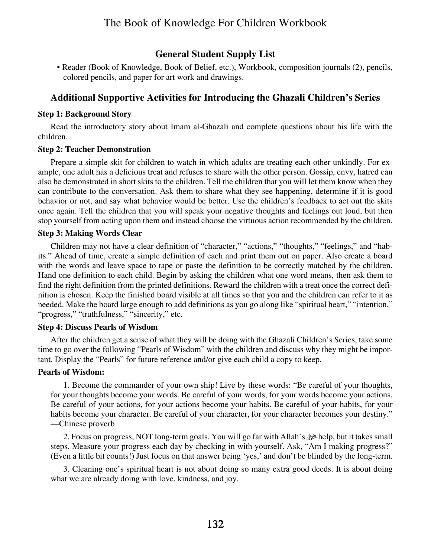# **General Student Supply List**

• Reader (Book of Knowledge, Book of Belief, etc.), Workbook, composition journals (2), pencils, colored pencils, and paper for art work and drawings.

# **Additional Supportive Activities for Introducing the Ghazali Children's Series**

### **Step 1: Background Story**

Read the introductory story about Imam al-Ghazali and complete questions about his life with the children.

### **Step 2: Teacher Demonstration**

Prepare a simple skit for children to watch in which adults are treating each other unkindly. For example, one adult has a delicious treat and refuses to share with the other person. Gossip, envy, hatred can also be demonstrated in short skits to the children. Tell the children that you will let them know when they can contribute to the conversation. Ask them to share what they see happening, determine if it is good behavior or not, and say what behavior would be better. Use the children's feedback to act out the skits once again. Tell the children that you will speak your negative thoughts and feelings out loud, but then stop yourself from acting upon them and instead choose the virtuous action recommended by the children.

### **Step 3: Making Words Clear**

Children may not have a clear definition of "character," "actions," "thoughts," "feelings," and "habits." Ahead of time, create a simple definition of each and print them out on paper. Also create a board with the words and leave space to tape or paste the definition to be correctly matched by the children. Hand one definition to each child. Begin by asking the children what one word means, then ask them to find the right definition from the printed definitions. Reward the children with a treat once the correct definition is chosen. Keep the finished board visible at all times so that you and the children can refer to it as needed. Make the board large enough to add definitions as you go along like "spiritual heart," "intention," "progress," "truthfulness," "sincerity," etc.

### **Step 4: Discuss Pearls of Wisdom**

After the children get a sense of what they will be doing with the Ghazali Children's Series, take some time to go over the following "Pearls of Wisdom" with the children and discuss why they might be important. Display the "Pearls" for future reference and/or give each child a copy to keep.

### **Pearls of Wisdom:**

1. Become the commander of your own ship! Live by these words: "Be careful of your thoughts, for your thoughts become your words. Be careful of your words, for your words become your actions. Be careful of your actions, for your actions become your habits. Be careful of your habits, for your habits become your character. Be careful of your character, for your character becomes your destiny." —Chinese proverb

2. Focus on progress, NOT long-term goals. You will go far with Allah's  $\mathbb{R}$  help, but it takes small steps. Measure your progress each day by checking in with yourself. Ask, "Am I making progress?" (Even a little bit counts!) Just focus on that answer being 'yes,' and don't be blinded by the long-term.

3. Cleaning one's spiritual heart is not about doing so many extra good deeds. It is about doing what we are already doing with love, kindness, and joy.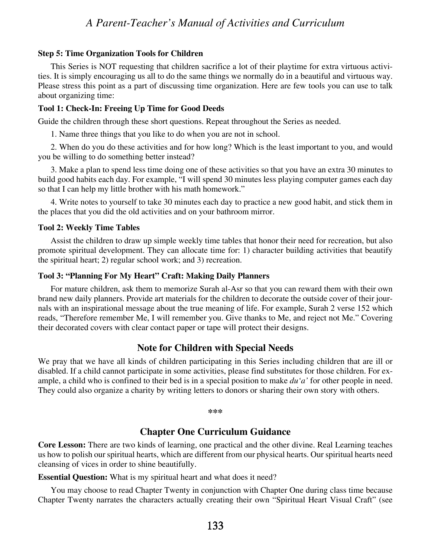#### **Step 5: Time Organization Tools for Children**

This Series is NOT requesting that children sacrifice a lot of their playtime for extra virtuous activities. It is simply encouraging us all to do the same things we normally do in a beautiful and virtuous way. Please stress this point as a part of discussing time organization. Here are few tools you can use to talk about organizing time:

#### **Tool 1: Check-In: Freeing Up Time for Good Deeds**

Guide the children through these short questions. Repeat throughout the Series as needed.

1. Name three things that you like to do when you are not in school.

2. When do you do these activities and for how long? Which is the least important to you, and would you be willing to do something better instead?

3. Make a plan to spend less time doing one of these activities so that you have an extra 30 minutes to build good habits each day. For example, "I will spend 30 minutes less playing computer games each day so that I can help my little brother with his math homework."

4. Write notes to yourself to take 30 minutes each day to practice a new good habit, and stick them in the places that you did the old activities and on your bathroom mirror.

#### **Tool 2: Weekly Time Tables**

Assist the children to draw up simple weekly time tables that honor their need for recreation, but also promote spiritual development. They can allocate time for: 1) character building activities that beautify the spiritual heart; 2) regular school work; and 3) recreation.

### **Tool 3: "Planning For My Heart" Craft: Making Daily Planners**

For mature children, ask them to memorize Surah al-Asr so that you can reward them with their own brand new daily planners. Provide art materials for the children to decorate the outside cover of their journals with an inspirational message about the true meaning of life. For example, Surah 2 verse 152 which reads, "Therefore remember Me, I will remember you. Give thanks to Me, and reject not Me." Covering their decorated covers with clear contact paper or tape will protect their designs.

### **Note for Children with Special Needs**

We pray that we have all kinds of children participating in this Series including children that are ill or disabled. If a child cannot participate in some activities, please find substitutes for those children. For example, a child who is confined to their bed is in a special position to make *du'a'* for other people in need. They could also organize a charity by writing letters to donors or sharing their own story with others.

**\*\*\***

#### **Chapter One Curriculum Guidance**

**Core Lesson:** There are two kinds of learning, one practical and the other divine. Real Learning teaches us how to polish our spiritual hearts, which are different from our physical hearts. Our spiritual hearts need cleansing of vices in order to shine beautifully.

**Essential Question:** What is my spiritual heart and what does it need?

You may choose to read Chapter Twenty in conjunction with Chapter One during class time because Chapter Twenty narrates the characters actually creating their own "Spiritual Heart Visual Craft" (see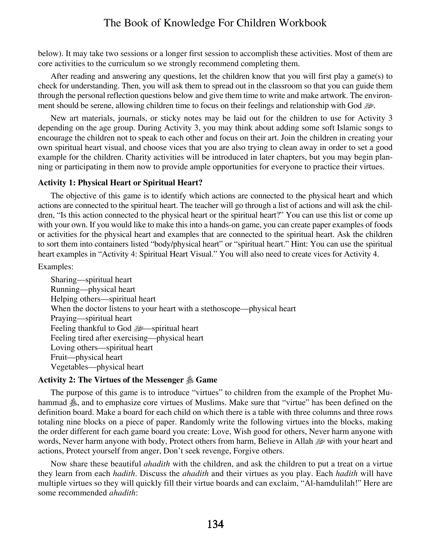below). It may take two sessions or a longer first session to accomplish these activities. Most of them are core activities to the curriculum so we strongly recommend completing them.

After reading and answering any questions, let the children know that you will first play a game(s) to check for understanding. Then, you will ask them to spread out in the classroom so that you can guide them through the personal reflection questions below and give them time to write and make artwork. The environment should be serene, allowing children time to focus on their feelings and relationship with God

New art materials, journals, or sticky notes may be laid out for the children to use for Activity 3 depending on the age group. During Activity 3, you may think about adding some soft Islamic songs to encourage the children not to speak to each other and focus on their art. Join the children in creating your own spiritual heart visual, and choose vices that you are also trying to clean away in order to set a good example for the children. Charity activities will be introduced in later chapters, but you may begin planning or participating in them now to provide ample opportunities for everyone to practice their virtues.

#### **Activity 1: Physical Heart or Spiritual Heart?**

The objective of this game is to identify which actions are connected to the physical heart and which actions are connected to the spiritual heart. The teacher will go through a list of actions and will ask the children, "Is this action connected to the physical heart or the spiritual heart?" You can use this list or come up with your own. If you would like to make this into a hands-on game, you can create paper examples of foods or activities for the physical heart and examples that are connected to the spiritual heart. Ask the children to sort them into containers listed "body/physical heart" or "spiritual heart." Hint: You can use the spiritual heart examples in "Activity 4: Spiritual Heart Visual." You will also need to create vices for Activity 4.

Examples:

Sharing—spiritual heart Running—physical heart Helping others—spiritual heart When the doctor listens to your heart with a stethoscope—physical heart Praying—spiritual heart Feeling thankful to God  $\frac{1}{2}$ —spiritual heart Feeling tired after exercising—physical heart Loving others—spiritual heart Fruit—physical heart Vegetables—physical heart

#### **Activity 2: The Virtues of the Messenger** s **Game**

The purpose of this game is to introduce "virtues" to children from the example of the Prophet Muhammad  $\hat{\mathcal{B}}$ , and to emphasize core virtues of Muslims. Make sure that "virtue" has been defined on the definition board. Make a board for each child on which there is a table with three columns and three rows totaling nine blocks on a piece of paper. Randomly write the following virtues into the blocks, making the order different for each game board you create: Love, Wish good for others, Never harm anyone with words, Never harm anyone with body, Protect others from harm, Believe in Allah we with your heart and actions, Protect yourself from anger, Don't seek revenge, Forgive others.

Now share these beautiful *ahadith* with the children, and ask the children to put a treat on a virtue they learn from each *hadith*. Discuss the *ahadith* and their virtues as you play. Each *hadith* will have multiple virtues so they will quickly fill their virtue boards and can exclaim, "Al-hamdulilah!" Here are some recommended *ahadith*: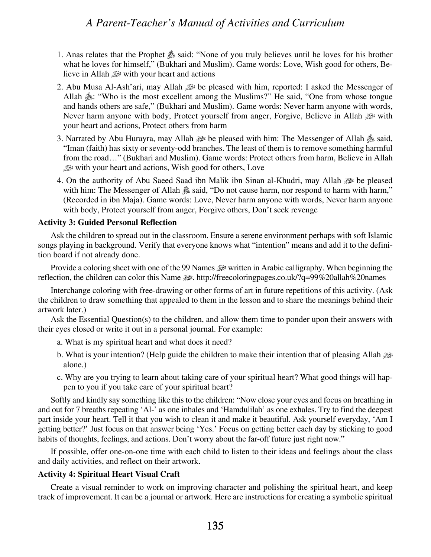- 1. Anas relates that the Prophet  $\&$  said: "None of you truly believes until he loves for his brother what he loves for himself," (Bukhari and Muslim). Game words: Love, Wish good for others, Believe in Allah  $\mathbb{R}^n$  with your heart and actions
- 2. Abu Musa Al-Ash'ari, may Allah  $\mathcal{L}$  be pleased with him, reported: I asked the Messenger of Allah  $\hat{\mathcal{B}}$ : "Who is the most excellent among the Muslims?" He said, "One from whose tongue and hands others are safe," (Bukhari and Muslim). Game words: Never harm anyone with words, Never harm anyone with body, Protect yourself from anger, Forgive, Believe in Allah with your heart and actions, Protect others from harm
- be pleased with him: The Messenger of Allah هلالة said, S. Narrated by Abu Hurayra, may Allah s be pleased with him: The Messenger of Allah "Iman (faith) has sixty or seventy-odd branches. The least of them is to remove something harmful from the road…" (Bukhari and Muslim). Game words: Protect others from harm, Believe in Allah u with your heart and actions, Wish good for others, Love
- 4. On the authority of Abu Saeed Saad ibn Malik ibn Sinan al-Khudri, may Allah we be pleased with him: The Messenger of Allah  $\&$  said, "Do not cause harm, nor respond to harm with harm," (Recorded in ibn Maja). Game words: Love, Never harm anyone with words, Never harm anyone with body, Protect yourself from anger, Forgive others, Don't seek revenge

#### **Activity 3: Guided Personal Reflection**

Ask the children to spread out in the classroom. Ensure a serene environment perhaps with soft Islamic songs playing in background. Verify that everyone knows what "intention" means and add it to the definition board if not already done.

Provide a coloring sheet with one of the 99 Names unitten in Arabic calligraphy. When beginning the reflection, the children can color this Name  $\mathcal{L}$ . http://freecoloringpages.co.uk/?q=99%20allah%20names

Interchange coloring with free-drawing or other forms of art in future repetitions of this activity. (Ask the children to draw something that appealed to them in the lesson and to share the meanings behind their artwork later.)

Ask the Essential Question(s) to the children, and allow them time to ponder upon their answers with their eyes closed or write it out in a personal journal. For example:

- a. What is my spiritual heart and what does it need?
- b. What is your intention? (Help guide the children to make their intention that of pleasing Allah  $\mathbb{R}^2$ alone.)
- c. Why are you trying to learn about taking care of your spiritual heart? What good things will happen to you if you take care of your spiritual heart?

Softly and kindly say something like this to the children: "Now close your eyes and focus on breathing in and out for 7 breaths repeating 'Al-' as one inhales and 'Hamdulilah' as one exhales. Try to find the deepest part inside your heart. Tell it that you wish to clean it and make it beautiful. Ask yourself everyday, 'Am I getting better?' Just focus on that answer being 'Yes.' Focus on getting better each day by sticking to good habits of thoughts, feelings, and actions. Don't worry about the far-off future just right now."

If possible, offer one-on-one time with each child to listen to their ideas and feelings about the class and daily activities, and reflect on their artwork.

#### **Activity 4: Spiritual Heart Visual Craft**

Create a visual reminder to work on improving character and polishing the spiritual heart, and keep track of improvement. It can be a journal or artwork. Here are instructions for creating a symbolic spiritual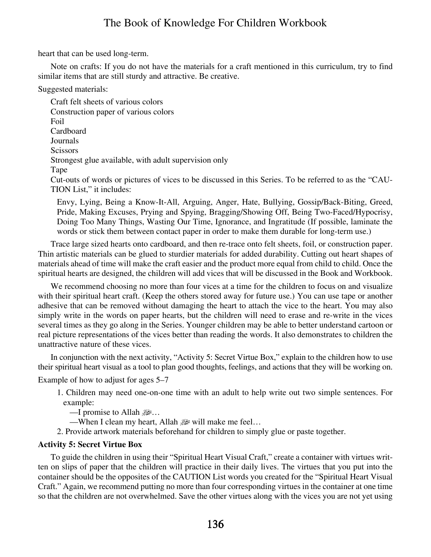heart that can be used long-term.

Note on crafts: If you do not have the materials for a craft mentioned in this curriculum, try to find similar items that are still sturdy and attractive. Be creative.

Suggested materials:

Craft felt sheets of various colors Construction paper of various colors Foil Cardboard Journals **Scissors** Strongest glue available, with adult supervision only Tape Cut-outs of words or pictures of vices to be discussed in this Series. To be referred to as the "CAU-TION List," it includes:

Envy, Lying, Being a Know-It-All, Arguing, Anger, Hate, Bullying, Gossip/Back-Biting, Greed, Pride, Making Excuses, Prying and Spying, Bragging/Showing Off, Being Two-Faced/Hypocrisy, Doing Too Many Things, Wasting Our Time, Ignorance, and Ingratitude (If possible, laminate the words or stick them between contact paper in order to make them durable for long-term use.)

Trace large sized hearts onto cardboard, and then re-trace onto felt sheets, foil, or construction paper. Thin artistic materials can be glued to sturdier materials for added durability. Cutting out heart shapes of materials ahead of time will make the craft easier and the product more equal from child to child. Once the spiritual hearts are designed, the children will add vices that will be discussed in the Book and Workbook.

We recommend choosing no more than four vices at a time for the children to focus on and visualize with their spiritual heart craft. (Keep the others stored away for future use.) You can use tape or another adhesive that can be removed without damaging the heart to attach the vice to the heart. You may also simply write in the words on paper hearts, but the children will need to erase and re-write in the vices several times as they go along in the Series. Younger children may be able to better understand cartoon or real picture representations of the vices better than reading the words. It also demonstrates to children the unattractive nature of these vices.

In conjunction with the next activity, "Activity 5: Secret Virtue Box," explain to the children how to use their spiritual heart visual as a tool to plan good thoughts, feelings, and actions that they will be working on.

Example of how to adjust for ages 5–7

- 1. Children may need one-on-one time with an adult to help write out two simple sentences. For example:
	- $\Box$ I promise to Allah  $\mathbb{R}$ ...
	- —When I clean my heart, Allah  $\mathbb{R}^n$  will make me feel...
- 2. Provide artwork materials beforehand for children to simply glue or paste together.

#### **Activity 5: Secret Virtue Box**

To guide the children in using their "Spiritual Heart Visual Craft," create a container with virtues written on slips of paper that the children will practice in their daily lives. The virtues that you put into the container should be the opposites of the CAUTION List words you created for the "Spiritual Heart Visual Craft." Again, we recommend putting no more than four corresponding virtues in the container at one time so that the children are not overwhelmed. Save the other virtues along with the vices you are not yet using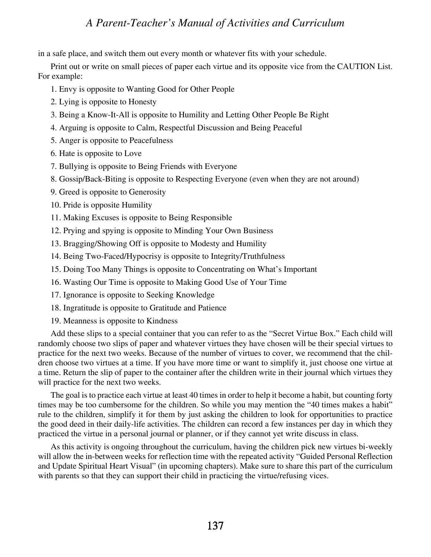in a safe place, and switch them out every month or whatever fits with your schedule.

Print out or write on small pieces of paper each virtue and its opposite vice from the CAUTION List. For example:

- 1. Envy is opposite to Wanting Good for Other People
- 2. Lying is opposite to Honesty
- 3. Being a Know-It-All is opposite to Humility and Letting Other People Be Right
- 4. Arguing is opposite to Calm, Respectful Discussion and Being Peaceful
- 5. Anger is opposite to Peacefulness
- 6. Hate is opposite to Love
- 7. Bullying is opposite to Being Friends with Everyone
- 8. Gossip/Back-Biting is opposite to Respecting Everyone (even when they are not around)
- 9. Greed is opposite to Generosity
- 10. Pride is opposite Humility
- 11. Making Excuses is opposite to Being Responsible
- 12. Prying and spying is opposite to Minding Your Own Business
- 13. Bragging/Showing Off is opposite to Modesty and Humility
- 14. Being Two-Faced/Hypocrisy is opposite to Integrity/Truthfulness
- 15. Doing Too Many Things is opposite to Concentrating on What's Important
- 16. Wasting Our Time is opposite to Making Good Use of Your Time
- 17. Ignorance is opposite to Seeking Knowledge
- 18. Ingratitude is opposite to Gratitude and Patience
- 19. Meanness is opposite to Kindness

Add these slips to a special container that you can refer to as the "Secret Virtue Box." Each child will randomly choose two slips of paper and whatever virtues they have chosen will be their special virtues to practice for the next two weeks. Because of the number of virtues to cover, we recommend that the children choose two virtues at a time. If you have more time or want to simplify it, just choose one virtue at a time. Return the slip of paper to the container after the children write in their journal which virtues they will practice for the next two weeks.

The goal is to practice each virtue at least 40 times in order to help it become a habit, but counting forty times may be too cumbersome for the children. So while you may mention the "40 times makes a habit" rule to the children, simplify it for them by just asking the children to look for opportunities to practice the good deed in their daily-life activities. The children can record a few instances per day in which they practiced the virtue in a personal journal or planner, or if they cannot yet write discuss in class.

As this activity is ongoing throughout the curriculum, having the children pick new virtues bi-weekly will allow the in-between weeks for reflection time with the repeated activity "Guided Personal Reflection and Update Spiritual Heart Visual" (in upcoming chapters). Make sure to share this part of the curriculum with parents so that they can support their child in practicing the virtue/refusing vices.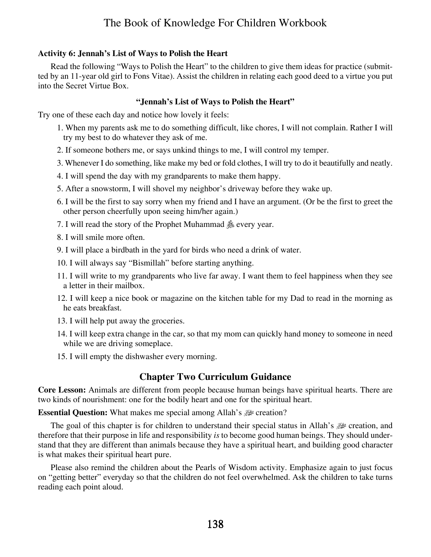#### **Activity 6: Jennah's List of Ways to Polish the Heart**

Read the following "Ways to Polish the Heart" to the children to give them ideas for practice (submitted by an 11-year old girl to Fons Vitae). Assist the children in relating each good deed to a virtue you put into the Secret Virtue Box.

#### **"Jennah's List of Ways to Polish the Heart"**

Try one of these each day and notice how lovely it feels:

- 1. When my parents ask me to do something difficult, like chores, I will not complain. Rather I will try my best to do whatever they ask of me.
- 2. If someone bothers me, or says unkind things to me, I will control my temper.
- 3. Whenever I do something, like make my bed or fold clothes, I will try to do it beautifully and neatly.
- 4. I will spend the day with my grandparents to make them happy.
- 5. After a snowstorm, I will shovel my neighbor's driveway before they wake up.
- 6. I will be the first to say sorry when my friend and I have an argument. (Or be the first to greet the other person cheerfully upon seeing him/her again.)
- 7. I will read the story of the Prophet Muhammad  $\&$  every year.
- 8. I will smile more often.
- 9. I will place a birdbath in the yard for birds who need a drink of water.
- 10. I will always say "Bismillah" before starting anything.
- 11. I will write to my grandparents who live far away. I want them to feel happiness when they see a letter in their mailbox.
- 12. I will keep a nice book or magazine on the kitchen table for my Dad to read in the morning as he eats breakfast.
- 13. I will help put away the groceries.
- 14. I will keep extra change in the car, so that my mom can quickly hand money to someone in need while we are driving someplace.
- 15. I will empty the dishwasher every morning.

#### **Chapter Two Curriculum Guidance**

**Core Lesson:** Animals are different from people because human beings have spiritual hearts. There are two kinds of nourishment: one for the bodily heart and one for the spiritual heart.

**Essential Question:** What makes me special among Allah's  $\mathbb{R}$  creation?

The goal of this chapter is for children to understand their special status in Allah's  $\mathbb{R}^n$  creation, and therefore that their purpose in life and responsibility *is* to become good human beings. They should understand that they are different than animals because they have a spiritual heart, and building good character is what makes their spiritual heart pure.

Please also remind the children about the Pearls of Wisdom activity. Emphasize again to just focus on "getting better" everyday so that the children do not feel overwhelmed. Ask the children to take turns reading each point aloud.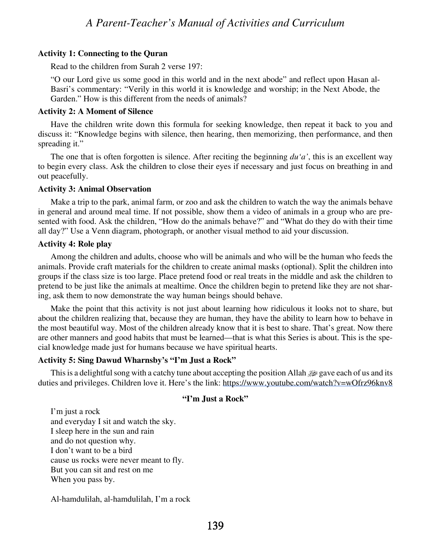#### **Activity 1: Connecting to the Quran**

Read to the children from Surah 2 verse 197:

"O our Lord give us some good in this world and in the next abode" and reflect upon Hasan al-Basri's commentary: "Verily in this world it is knowledge and worship; in the Next Abode, the Garden." How is this different from the needs of animals?

#### **Activity 2: A Moment of Silence**

Have the children write down this formula for seeking knowledge, then repeat it back to you and discuss it: "Knowledge begins with silence, then hearing, then memorizing, then performance, and then spreading it."

The one that is often forgotten is silence. After reciting the beginning *du'a'*, this is an excellent way to begin every class. Ask the children to close their eyes if necessary and just focus on breathing in and out peacefully.

#### **Activity 3: Animal Observation**

Make a trip to the park, animal farm, or zoo and ask the children to watch the way the animals behave in general and around meal time. If not possible, show them a video of animals in a group who are presented with food. Ask the children, "How do the animals behave?" and "What do they do with their time all day?" Use a Venn diagram, photograph, or another visual method to aid your discussion.

### **Activity 4: Role play**

Among the children and adults, choose who will be animals and who will be the human who feeds the animals. Provide craft materials for the children to create animal masks (optional). Split the children into groups if the class size is too large. Place pretend food or real treats in the middle and ask the children to pretend to be just like the animals at mealtime. Once the children begin to pretend like they are not sharing, ask them to now demonstrate the way human beings should behave.

Make the point that this activity is not just about learning how ridiculous it looks not to share, but about the children realizing that, because they are human, they have the ability to learn how to behave in the most beautiful way. Most of the children already know that it is best to share. That's great. Now there are other manners and good habits that must be learned—that is what this Series is about. This is the special knowledge made just for humans because we have spiritual hearts.

#### **Activity 5: Sing Dawud Wharnsby's "I'm Just a Rock"**

This is a delightful song with a catchy tune about accepting the position Allah  $\mathbb{R}^n$  gave each of us and its duties and privileges. Children love it. Here's the link: https://www.youtube.com/watch?v=wOfrz96knv8

#### **"I'm Just a Rock"**

I'm just a rock and everyday I sit and watch the sky. I sleep here in the sun and rain and do not question why. I don't want to be a bird cause us rocks were never meant to fly. But you can sit and rest on me When you pass by.

Al-hamdulilah, al-hamdulilah, I'm a rock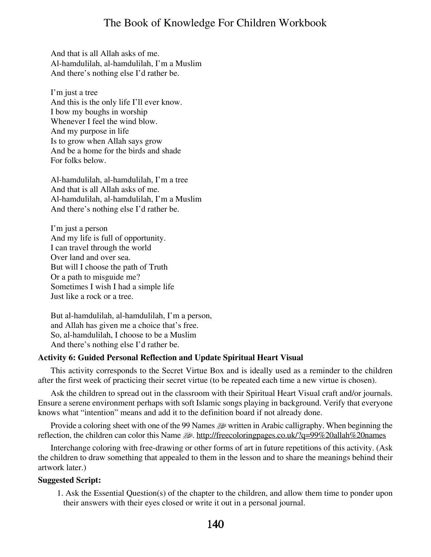And that is all Allah asks of me. Al-hamdulilah, al-hamdulilah, I'm a Muslim And there's nothing else I'd rather be.

I'm just a tree And this is the only life I'll ever know. I bow my boughs in worship Whenever I feel the wind blow. And my purpose in life Is to grow when Allah says grow And be a home for the birds and shade For folks below.

Al-hamdulilah, al-hamdulilah, I'm a tree And that is all Allah asks of me. Al-hamdulilah, al-hamdulilah, I'm a Muslim And there's nothing else I'd rather be.

I'm just a person And my life is full of opportunity. I can travel through the world Over land and over sea. But will I choose the path of Truth Or a path to misguide me? Sometimes I wish I had a simple life Just like a rock or a tree.

But al-hamdulilah, al-hamdulilah, I'm a person, and Allah has given me a choice that's free. So, al-hamdulilah, I choose to be a Muslim And there's nothing else I'd rather be.

### **Activity 6: Guided Personal Reflection and Update Spiritual Heart Visual**

This activity corresponds to the Secret Virtue Box and is ideally used as a reminder to the children after the first week of practicing their secret virtue (to be repeated each time a new virtue is chosen).

Ask the children to spread out in the classroom with their Spiritual Heart Visual craft and/or journals. Ensure a serene environment perhaps with soft Islamic songs playing in background. Verify that everyone knows what "intention" means and add it to the definition board if not already done.

Provide a coloring sheet with one of the 99 Names unitten in Arabic calligraphy. When beginning the reflection, the children can color this Name  $\mathcal{L}$ . http://freecoloringpages.co.uk/?q=99%20allah%20names

Interchange coloring with free-drawing or other forms of art in future repetitions of this activity. (Ask the children to draw something that appealed to them in the lesson and to share the meanings behind their artwork later.)

#### **Suggested Script:**

1. Ask the Essential Question(s) of the chapter to the children, and allow them time to ponder upon their answers with their eyes closed or write it out in a personal journal.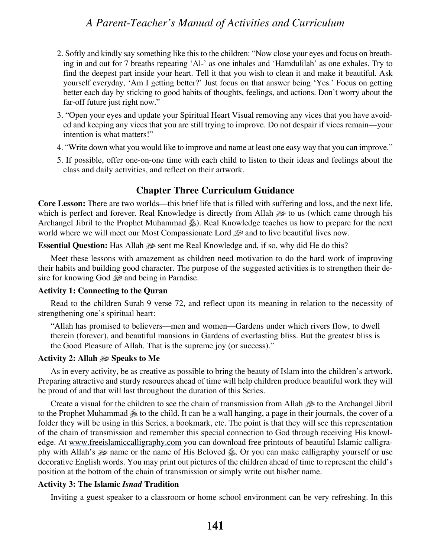- 2. Softly and kindly say something like this to the children: "Now close your eyes and focus on breathing in and out for 7 breaths repeating 'Al-' as one inhales and 'Hamdulilah' as one exhales. Try to find the deepest part inside your heart. Tell it that you wish to clean it and make it beautiful. Ask yourself everyday, 'Am I getting better?' Just focus on that answer being 'Yes.' Focus on getting better each day by sticking to good habits of thoughts, feelings, and actions. Don't worry about the far-off future just right now."
- 3. "Open your eyes and update your Spiritual Heart Visual removing any vices that you have avoided and keeping any vices that you are still trying to improve. Do not despair if vices remain—your intention is what matters!"
- 4. "Write down what you would like to improve and name at least one easy way that you can improve."
- 5. If possible, offer one-on-one time with each child to listen to their ideas and feelings about the class and daily activities, and reflect on their artwork.

### **Chapter Three Curriculum Guidance**

**Core Lesson:** There are two worlds—this brief life that is filled with suffering and loss, and the next life, which is perfect and forever. Real Knowledge is directly from Allah  $\mathbb{R}$  to us (which came through his Archangel Jibril to the Prophet Muhammad  $\hat{\mathcal{L}}$ ). Real Knowledge teaches us how to prepare for the next world where we will meet our Most Compassionate Lord  $\mathcal{L}$  and to live beautiful lives now.

**Essential Question:** Has Allah  $\mathbb{R}^2$  sent me Real Knowledge and, if so, why did He do this?

Meet these lessons with amazement as children need motivation to do the hard work of improving their habits and building good character. The purpose of the suggested activities is to strengthen their desire for knowing God  $\mathbb{R}^n$  and being in Paradise.

### **Activity 1: Connecting to the Quran**

Read to the children Surah 9 verse 72, and reflect upon its meaning in relation to the necessity of strengthening one's spiritual heart:

"Allah has promised to believers—men and women—Gardens under which rivers flow, to dwell therein (forever), and beautiful mansions in Gardens of everlasting bliss. But the greatest bliss is the Good Pleasure of Allah. That is the supreme joy (or success)."

#### **Activity 2: Allah** u **Speaks to Me**

As in every activity, be as creative as possible to bring the beauty of Islam into the children's artwork. Preparing attractive and sturdy resources ahead of time will help children produce beautiful work they will be proud of and that will last throughout the duration of this Series.

Create a visual for the children to see the chain of transmission from Allah  $\mathbb{R}$  to the Archangel Jibril to the Prophet Muhammad  $\&$  to the child. It can be a wall hanging, a page in their journals, the cover of a folder they will be using in this Series, a bookmark, etc. The point is that they will see this representation of the chain of transmission and remember this special connection to God through receiving His knowledge. At www.freeislamiccalligraphy.com you can download free printouts of beautiful Islamic calligraphy with Allah's  $\mathbb{R}$  name or the name of His Beloved  $\mathbb{R}$ . Or you can make calligraphy yourself or use decorative English words. You may print out pictures of the children ahead of time to represent the child's position at the bottom of the chain of transmission or simply write out his/her name.

#### **Activity 3: The Islamic** *Isnad* **Tradition**

Inviting a guest speaker to a classroom or home school environment can be very refreshing. In this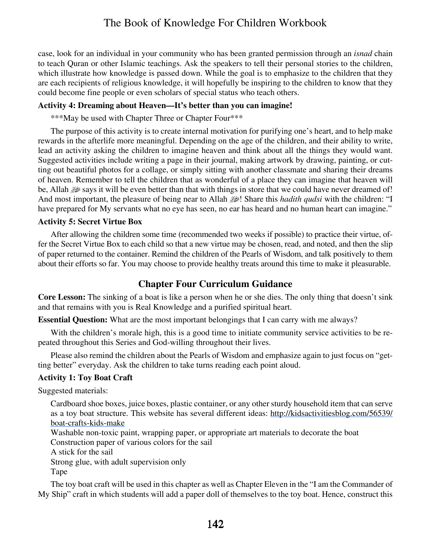case, look for an individual in your community who has been granted permission through an *isnad* chain to teach Quran or other Islamic teachings. Ask the speakers to tell their personal stories to the children, which illustrate how knowledge is passed down. While the goal is to emphasize to the children that they are each recipients of religious knowledge, it will hopefully be inspiring to the children to know that they could become fine people or even scholars of special status who teach others.

#### **Activity 4: Dreaming about Heaven—It's better than you can imagine!**

\*\*\*May be used with Chapter Three or Chapter Four\*\*\*

The purpose of this activity is to create internal motivation for purifying one's heart, and to help make rewards in the afterlife more meaningful. Depending on the age of the children, and their ability to write, lead an activity asking the children to imagine heaven and think about all the things they would want. Suggested activities include writing a page in their journal, making artwork by drawing, painting, or cutting out beautiful photos for a collage, or simply sitting with another classmate and sharing their dreams of heaven. Remember to tell the children that as wonderful of a place they can imagine that heaven will be, Allah  $\mathbb{R}$  says it will be even better than that with things in store that we could have never dreamed of! And most important, the pleasure of being near to Allah <sup>22</sup>. Share this *hadith qudsi* with the children: "I have prepared for My servants what no eye has seen, no ear has heard and no human heart can imagine."

#### **Activity 5: Secret Virtue Box**

After allowing the children some time (recommended two weeks if possible) to practice their virtue, offer the Secret Virtue Box to each child so that a new virtue may be chosen, read, and noted, and then the slip of paper returned to the container. Remind the children of the Pearls of Wisdom, and talk positively to them about their efforts so far. You may choose to provide healthy treats around this time to make it pleasurable.

# **Chapter Four Curriculum Guidance**

**Core Lesson:** The sinking of a boat is like a person when he or she dies. The only thing that doesn't sink and that remains with you is Real Knowledge and a purified spiritual heart.

**Essential Question:** What are the most important belongings that I can carry with me always?

With the children's morale high, this is a good time to initiate community service activities to be repeated throughout this Series and God-willing throughout their lives.

Please also remind the children about the Pearls of Wisdom and emphasize again to just focus on "getting better" everyday. Ask the children to take turns reading each point aloud.

#### **Activity 1: Toy Boat Craft**

Suggested materials:

Cardboard shoe boxes, juice boxes, plastic container, or any other sturdy household item that can serve as a toy boat structure. This website has several different ideas: http://kidsactivitiesblog.com/56539/ boat-crafts-kids-make

Washable non-toxic paint, wrapping paper, or appropriate art materials to decorate the boat Construction paper of various colors for the sail

A stick for the sail

Strong glue, with adult supervision only Tape

The toy boat craft will be used in this chapter as well as Chapter Eleven in the "I am the Commander of My Ship" craft in which students will add a paper doll of themselves to the toy boat. Hence, construct this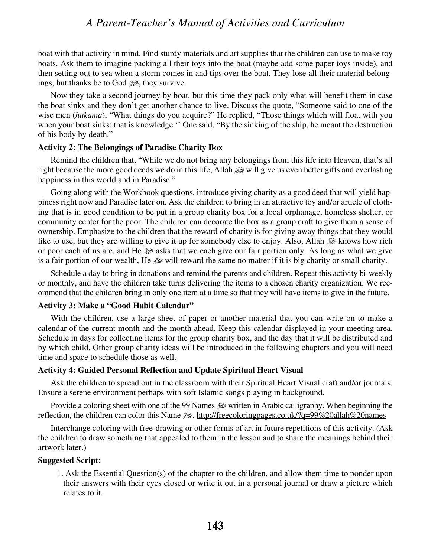boat with that activity in mind. Find sturdy materials and art supplies that the children can use to make toy boats. Ask them to imagine packing all their toys into the boat (maybe add some paper toys inside), and then setting out to sea when a storm comes in and tips over the boat. They lose all their material belongings, but thanks be to God  $\mathbb{R}$ , they survive.

Now they take a second journey by boat, but this time they pack only what will benefit them in case the boat sinks and they don't get another chance to live. Discuss the quote, "Someone said to one of the wise men (hukama), "What things do you acquire?" He replied, "Those things which will float with you when your boat sinks; that is knowledge.'' One said, "By the sinking of the ship, he meant the destruction of his body by death."

#### **Activity 2: The Belongings of Paradise Charity Box**

Remind the children that, "While we do not bring any belongings from this life into Heaven, that's all right because the more good deeds we do in this life, Allah  $\mathbb{R}^n$  will give us even better gifts and everlasting happiness in this world and in Paradise."

Going along with the Workbook questions, introduce giving charity as a good deed that will yield happiness right now and Paradise later on. Ask the children to bring in an attractive toy and/or article of clothing that is in good condition to be put in a group charity box for a local orphanage, homeless shelter, or community center for the poor. The children can decorate the box as a group craft to give them a sense of ownership. Emphasize to the children that the reward of charity is for giving away things that they would like to use, but they are willing to give it up for somebody else to enjoy. Also, Allah un knows how rich or poor each of us are, and He  $\mathbb{R}^n$  asks that we each give our fair portion only. As long as what we give is a fair portion of our wealth, He  $\mathbb{R}^n$  will reward the same no matter if it is big charity or small charity.

Schedule a day to bring in donations and remind the parents and children. Repeat this activity bi-weekly or monthly, and have the children take turns delivering the items to a chosen charity organization. We recommend that the children bring in only one item at a time so that they will have items to give in the future.

#### **Activity 3: Make a "Good Habit Calendar"**

With the children, use a large sheet of paper or another material that you can write on to make a calendar of the current month and the month ahead. Keep this calendar displayed in your meeting area. Schedule in days for collecting items for the group charity box, and the day that it will be distributed and by which child. Other group charity ideas will be introduced in the following chapters and you will need time and space to schedule those as well.

#### **Activity 4: Guided Personal Reflection and Update Spiritual Heart Visual**

Ask the children to spread out in the classroom with their Spiritual Heart Visual craft and/or journals. Ensure a serene environment perhaps with soft Islamic songs playing in background.

Provide a coloring sheet with one of the 99 Names witten in Arabic calligraphy. When beginning the reflection, the children can color this Name  $\mathcal{L}$ . http://freecoloringpages.co.uk/?q=99%20allah%20names

Interchange coloring with free-drawing or other forms of art in future repetitions of this activity. (Ask the children to draw something that appealed to them in the lesson and to share the meanings behind their artwork later.)

#### **Suggested Script:**

1. Ask the Essential Question(s) of the chapter to the children, and allow them time to ponder upon their answers with their eyes closed or write it out in a personal journal or draw a picture which relates to it.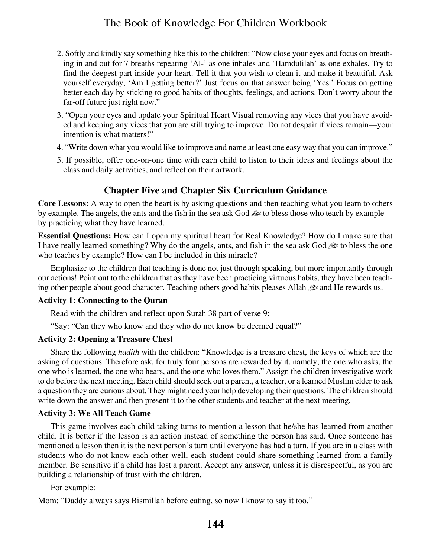- 2. Softly and kindly say something like this to the children: "Now close your eyes and focus on breathing in and out for 7 breaths repeating 'Al-' as one inhales and 'Hamdulilah' as one exhales. Try to find the deepest part inside your heart. Tell it that you wish to clean it and make it beautiful. Ask yourself everyday, 'Am I getting better?' Just focus on that answer being 'Yes.' Focus on getting better each day by sticking to good habits of thoughts, feelings, and actions. Don't worry about the far-off future just right now."
- 3. "Open your eyes and update your Spiritual Heart Visual removing any vices that you have avoided and keeping any vices that you are still trying to improve. Do not despair if vices remain—your intention is what matters!"
- 4. "Write down what you would like to improve and name at least one easy way that you can improve."
- 5. If possible, offer one-on-one time with each child to listen to their ideas and feelings about the class and daily activities, and reflect on their artwork.

# **Chapter Five and Chapter Six Curriculum Guidance**

**Core Lessons:** A way to open the heart is by asking questions and then teaching what you learn to others by example. The angels, the ants and the fish in the sea ask God  $\mathcal{L}$  to bless those who teach by example by practicing what they have learned.

**Essential Questions:** How can I open my spiritual heart for Real Knowledge? How do I make sure that I have really learned something? Why do the angels, ants, and fish in the sea ask God  $\mathbb{R}$  to bless the one who teaches by example? How can I be included in this miracle?

Emphasize to the children that teaching is done not just through speaking, but more importantly through our actions! Point out to the children that as they have been practicing virtuous habits, they have been teaching other people about good character. Teaching others good habits pleases Allah  $\mathbb{R}^2$  and He rewards us.

#### **Activity 1: Connecting to the Quran**

Read with the children and reflect upon Surah 38 part of verse 9:

"Say: "Can they who know and they who do not know be deemed equal?"

#### **Activity 2: Opening a Treasure Chest**

Share the following *hadith* with the children: "Knowledge is a treasure chest, the keys of which are the asking of questions. Therefore ask, for truly four persons are rewarded by it, namely; the one who asks, the one who is learned, the one who hears, and the one who loves them." Assign the children investigative work to do before the next meeting. Each child should seek out a parent, a teacher, or a learned Muslim elder to ask a question they are curious about. They might need your help developing their questions. The children should write down the answer and then present it to the other students and teacher at the next meeting.

#### **Activity 3: We All Teach Game**

This game involves each child taking turns to mention a lesson that he/she has learned from another child. It is better if the lesson is an action instead of something the person has said. Once someone has mentioned a lesson then it is the next person's turn until everyone has had a turn. If you are in a class with students who do not know each other well, each student could share something learned from a family member. Be sensitive if a child has lost a parent. Accept any answer, unless it is disrespectful, as you are building a relationship of trust with the children.

For example:

Mom: "Daddy always says Bismillah before eating, so now I know to say it too."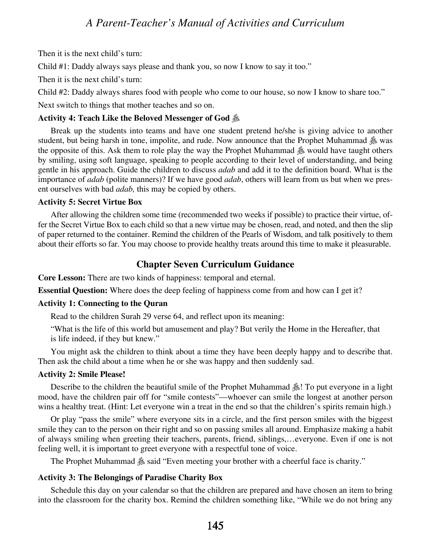Then it is the next child's turn:

Child #1: Daddy always says please and thank you, so now I know to say it too."

Then it is the next child's turn:

Child #2: Daddy always shares food with people who come to our house, so now I know to share too."

Next switch to things that mother teaches and so on.

# **Activity 4: Teach Like the Beloved Messenger of God** s

Break up the students into teams and have one student pretend he/she is giving advice to another student, but being harsh in tone, impolite, and rude. Now announce that the Prophet Muhammad  $\&$  was the opposite of this. Ask them to role play the way the Prophet Muhammad  $\hat{\mathcal{E}}$  would have taught others by smiling, using soft language, speaking to people according to their level of understanding, and being gentle in his approach. Guide the children to discuss *adab* and add it to the definition board. What is the importance of *adab* (polite manners)? If we have good *adab*, others will learn from us but when we present ourselves with bad *adab,* this may be copied by others.

### **Activity 5: Secret Virtue Box**

After allowing the children some time (recommended two weeks if possible) to practice their virtue, offer the Secret Virtue Box to each child so that a new virtue may be chosen, read, and noted, and then the slip of paper returned to the container. Remind the children of the Pearls of Wisdom, and talk positively to them about their efforts so far. You may choose to provide healthy treats around this time to make it pleasurable.

# **Chapter Seven Curriculum Guidance**

**Core Lesson:** There are two kinds of happiness: temporal and eternal.

**Essential Question:** Where does the deep feeling of happiness come from and how can I get it?

# **Activity 1: Connecting to the Quran**

Read to the children Surah 29 verse 64, and reflect upon its meaning:

"What is the life of this world but amusement and play? But verily the Home in the Hereafter, that is life indeed, if they but knew."

You might ask the children to think about a time they have been deeply happy and to describe that. Then ask the child about a time when he or she was happy and then suddenly sad.

# **Activity 2: Smile Please!**

Describe to the children the beautiful smile of the Prophet Muhammad  $\hat{\mathcal{B}}$ ! To put everyone in a light mood, have the children pair off for "smile contests"—whoever can smile the longest at another person wins a healthy treat. (Hint: Let everyone win a treat in the end so that the children's spirits remain high.)

Or play "pass the smile" where everyone sits in a circle, and the first person smiles with the biggest smile they can to the person on their right and so on passing smiles all around. Emphasize making a habit of always smiling when greeting their teachers, parents, friend, siblings,…everyone. Even if one is not feeling well, it is important to greet everyone with a respectful tone of voice.

The Prophet Muhammad  $\&$  said "Even meeting your brother with a cheerful face is charity."

# **Activity 3: The Belongings of Paradise Charity Box**

Schedule this day on your calendar so that the children are prepared and have chosen an item to bring into the classroom for the charity box. Remind the children something like, "While we do not bring any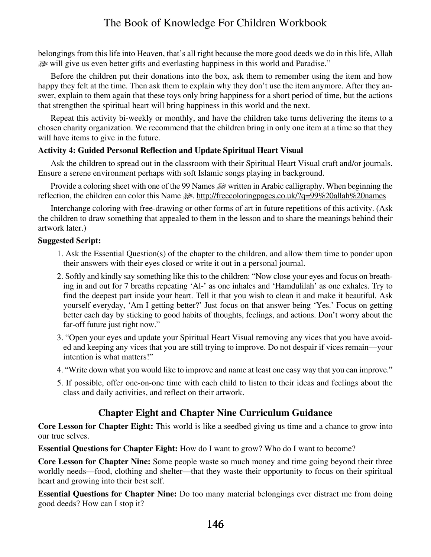belongings from this life into Heaven, that's all right because the more good deeds we do in this life, Allah u will give us even better gifts and everlasting happiness in this world and Paradise."

Before the children put their donations into the box, ask them to remember using the item and how happy they felt at the time. Then ask them to explain why they don't use the item anymore. After they answer, explain to them again that these toys only bring happiness for a short period of time, but the actions that strengthen the spiritual heart will bring happiness in this world and the next.

Repeat this activity bi-weekly or monthly, and have the children take turns delivering the items to a chosen charity organization. We recommend that the children bring in only one item at a time so that they will have items to give in the future.

### **Activity 4: Guided Personal Reflection and Update Spiritual Heart Visual**

Ask the children to spread out in the classroom with their Spiritual Heart Visual craft and/or journals. Ensure a serene environment perhaps with soft Islamic songs playing in background.

Provide a coloring sheet with one of the 99 Names  $\mathcal{L}$  written in Arabic calligraphy. When beginning the reflection, the children can color this Name  $\mathcal{L}$ . http://freecoloringpages.co.uk/?q=99%20allah%20names

Interchange coloring with free-drawing or other forms of art in future repetitions of this activity. (Ask the children to draw something that appealed to them in the lesson and to share the meanings behind their artwork later.)

#### **Suggested Script:**

- 1. Ask the Essential Question(s) of the chapter to the children, and allow them time to ponder upon their answers with their eyes closed or write it out in a personal journal.
- 2. Softly and kindly say something like this to the children: "Now close your eyes and focus on breathing in and out for 7 breaths repeating 'Al-' as one inhales and 'Hamdulilah' as one exhales. Try to find the deepest part inside your heart. Tell it that you wish to clean it and make it beautiful. Ask yourself everyday, 'Am I getting better?' Just focus on that answer being 'Yes.' Focus on getting better each day by sticking to good habits of thoughts, feelings, and actions. Don't worry about the far-off future just right now."
- 3. "Open your eyes and update your Spiritual Heart Visual removing any vices that you have avoided and keeping any vices that you are still trying to improve. Do not despair if vices remain—your intention is what matters!"
- 4. "Write down what you would like to improve and name at least one easy way that you can improve."
- 5. If possible, offer one-on-one time with each child to listen to their ideas and feelings about the class and daily activities, and reflect on their artwork.

# **Chapter Eight and Chapter Nine Curriculum Guidance**

**Core Lesson for Chapter Eight:** This world is like a seedbed giving us time and a chance to grow into our true selves.

**Essential Questions for Chapter Eight:** How do I want to grow? Who do I want to become?

**Core Lesson for Chapter Nine:** Some people waste so much money and time going beyond their three worldly needs—food, clothing and shelter—that they waste their opportunity to focus on their spiritual heart and growing into their best self.

**Essential Questions for Chapter Nine:** Do too many material belongings ever distract me from doing good deeds? How can I stop it?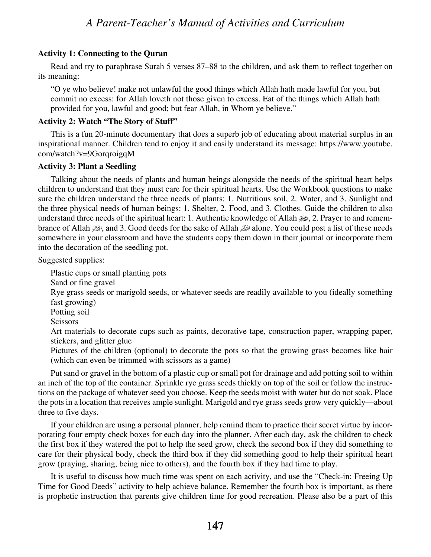### **Activity 1: Connecting to the Quran**

Read and try to paraphrase Surah 5 verses 87–88 to the children, and ask them to reflect together on its meaning:

"O ye who believe! make not unlawful the good things which Allah hath made lawful for you, but commit no excess: for Allah loveth not those given to excess. Eat of the things which Allah hath provided for you, lawful and good; but fear Allah, in Whom ye believe."

#### **Activity 2: Watch "The Story of Stuff"**

This is a fun 20-minute documentary that does a superb job of educating about material surplus in an inspirational manner. Children tend to enjoy it and easily understand its message: https://www.youtube. com/watch?v=9GorqroigqM

#### **Activity 3: Plant a Seedling**

Talking about the needs of plants and human beings alongside the needs of the spiritual heart helps children to understand that they must care for their spiritual hearts. Use the Workbook questions to make sure the children understand the three needs of plants: 1. Nutritious soil, 2. Water, and 3. Sunlight and the three physical needs of human beings: 1. Shelter, 2. Food, and 3. Clothes. Guide the children to also understand three needs of the spiritual heart: 1. Authentic knowledge of Allah  $\gg$ , 2. Prayer to and remembrance of Allah  $\mathcal{L}$ , and 3. Good deeds for the sake of Allah  $\mathcal{L}$  alone. You could post a list of these needs somewhere in your classroom and have the students copy them down in their journal or incorporate them into the decoration of the seedling pot.

Suggested supplies:

Plastic cups or small planting pots

Sand or fine gravel

Rye grass seeds or marigold seeds, or whatever seeds are readily available to you (ideally something fast growing)

Potting soil

**Scissors** 

Art materials to decorate cups such as paints, decorative tape, construction paper, wrapping paper, stickers, and glitter glue

Pictures of the children (optional) to decorate the pots so that the growing grass becomes like hair (which can even be trimmed with scissors as a game)

Put sand or gravel in the bottom of a plastic cup or small pot for drainage and add potting soil to within an inch of the top of the container. Sprinkle rye grass seeds thickly on top of the soil or follow the instructions on the package of whatever seed you choose. Keep the seeds moist with water but do not soak. Place the pots in a location that receives ample sunlight. Marigold and rye grass seeds grow very quickly—about three to five days.

If your children are using a personal planner, help remind them to practice their secret virtue by incorporating four empty check boxes for each day into the planner. After each day, ask the children to check the first box if they watered the pot to help the seed grow, check the second box if they did something to care for their physical body, check the third box if they did something good to help their spiritual heart grow (praying, sharing, being nice to others), and the fourth box if they had time to play.

It is useful to discuss how much time was spent on each activity, and use the "Check-in: Freeing Up Time for Good Deeds" activity to help achieve balance. Remember the fourth box is important, as there is prophetic instruction that parents give children time for good recreation. Please also be a part of this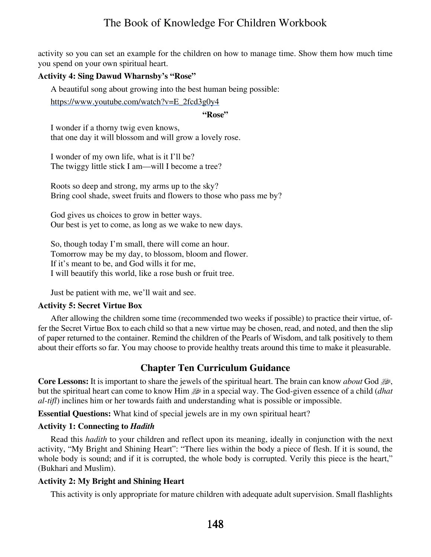activity so you can set an example for the children on how to manage time. Show them how much time you spend on your own spiritual heart.

#### **Activity 4: Sing Dawud Wharnsby's "Rose"**

A beautiful song about growing into the best human being possible:

https://www.youtube.com/watch?v=E\_2fcd3g0y4

**"Rose"**

I wonder if a thorny twig even knows, that one day it will blossom and will grow a lovely rose.

I wonder of my own life, what is it I'll be? The twiggy little stick I am—will I become a tree?

Roots so deep and strong, my arms up to the sky? Bring cool shade, sweet fruits and flowers to those who pass me by?

God gives us choices to grow in better ways. Our best is yet to come, as long as we wake to new days.

So, though today I'm small, there will come an hour. Tomorrow may be my day, to blossom, bloom and flower. If it's meant to be, and God wills it for me, I will beautify this world, like a rose bush or fruit tree.

Just be patient with me, we'll wait and see.

#### **Activity 5: Secret Virtue Box**

After allowing the children some time (recommended two weeks if possible) to practice their virtue, offer the Secret Virtue Box to each child so that a new virtue may be chosen, read, and noted, and then the slip of paper returned to the container. Remind the children of the Pearls of Wisdom, and talk positively to them about their efforts so far. You may choose to provide healthy treats around this time to make it pleasurable.

# **Chapter Ten Curriculum Guidance**

**Core Lessons:** It is important to share the jewels of the spiritual heart. The brain can know *about* God  $\gg$ but the spiritual heart can come to know Him  $\mathbb{R}^n$  in a special way. The God-given essence of a child (*dhat al-tifl*) inclines him or her towards faith and understanding what is possible or impossible.

**Essential Questions:** What kind of special jewels are in my own spiritual heart?

#### **Activity 1: Connecting to** *Hadith*

Read this *hadith* to your children and reflect upon its meaning, ideally in conjunction with the next activity, "My Bright and Shining Heart": "There lies within the body a piece of flesh. If it is sound, the whole body is sound; and if it is corrupted, the whole body is corrupted. Verily this piece is the heart," (Bukhari and Muslim).

#### **Activity 2: My Bright and Shining Heart**

This activity is only appropriate for mature children with adequate adult supervision. Small flashlights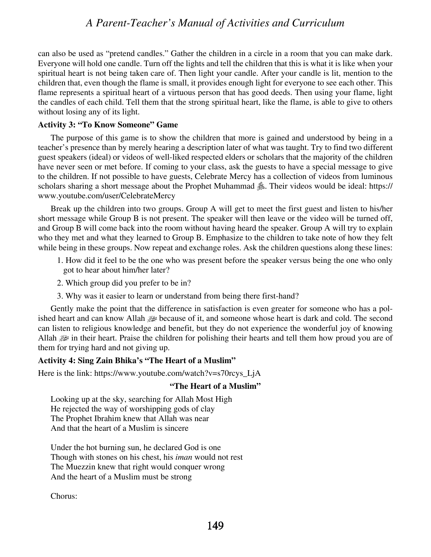can also be used as "pretend candles." Gather the children in a circle in a room that you can make dark. Everyone will hold one candle. Turn off the lights and tell the children that this is what it is like when your spiritual heart is not being taken care of. Then light your candle. After your candle is lit, mention to the children that, even though the flame is small, it provides enough light for everyone to see each other. This flame represents a spiritual heart of a virtuous person that has good deeds. Then using your flame, light the candles of each child. Tell them that the strong spiritual heart, like the flame, is able to give to others without losing any of its light.

#### **Activity 3: "To Know Someone" Game**

The purpose of this game is to show the children that more is gained and understood by being in a teacher's presence than by merely hearing a description later of what was taught. Try to find two different guest speakers (ideal) or videos of well-liked respected elders or scholars that the majority of the children have never seen or met before. If coming to your class, ask the guests to have a special message to give to the children. If not possible to have guests, Celebrate Mercy has a collection of videos from luminous scholars sharing a short message about the Prophet Muhammad  $\hat{\mathcal{E}}$ . Their videos would be ideal: https:// www.youtube.com/user/CelebrateMercy

Break up the children into two groups. Group A will get to meet the first guest and listen to his/her short message while Group B is not present. The speaker will then leave or the video will be turned off, and Group B will come back into the room without having heard the speaker. Group A will try to explain who they met and what they learned to Group B. Emphasize to the children to take note of how they felt while being in these groups. Now repeat and exchange roles. Ask the children questions along these lines:

- 1. How did it feel to be the one who was present before the speaker versus being the one who only got to hear about him/her later?
- 2. Which group did you prefer to be in?
- 3. Why was it easier to learn or understand from being there first-hand?

Gently make the point that the difference in satisfaction is even greater for someone who has a polished heart and can know Allah  $\mathbb{R}^n$  because of it, and someone whose heart is dark and cold. The second can listen to religious knowledge and benefit, but they do not experience the wonderful joy of knowing Allah  $\mathbb{R}$  in their heart. Praise the children for polishing their hearts and tell them how proud you are of them for trying hard and not giving up.

#### **Activity 4: Sing Zain Bhika's "The Heart of a Muslim"**

Here is the link: https://www.youtube.com/watch?v=s70rcys\_LjA

#### **"The Heart of a Muslim"**

Looking up at the sky, searching for Allah Most High He rejected the way of worshipping gods of clay The Prophet Ibrahim knew that Allah was near And that the heart of a Muslim is sincere

Under the hot burning sun, he declared God is one Though with stones on his chest, his *iman* would not rest The Muezzin knew that right would conquer wrong And the heart of a Muslim must be strong

Chorus: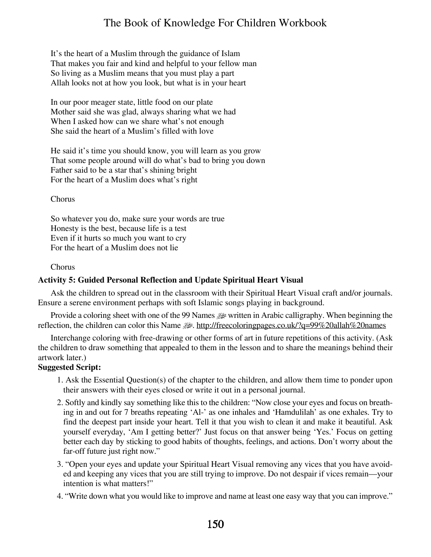It's the heart of a Muslim through the guidance of Islam That makes you fair and kind and helpful to your fellow man So living as a Muslim means that you must play a part Allah looks not at how you look, but what is in your heart

In our poor meager state, little food on our plate Mother said she was glad, always sharing what we had When I asked how can we share what's not enough She said the heart of a Muslim's filled with love

He said it's time you should know, you will learn as you grow That some people around will do what's bad to bring you down Father said to be a star that's shining bright For the heart of a Muslim does what's right

#### Chorus

So whatever you do, make sure your words are true Honesty is the best, because life is a test Even if it hurts so much you want to cry For the heart of a Muslim does not lie

#### Chorus

### **Activity 5: Guided Personal Reflection and Update Spiritual Heart Visual**

Ask the children to spread out in the classroom with their Spiritual Heart Visual craft and/or journals. Ensure a serene environment perhaps with soft Islamic songs playing in background.

Provide a coloring sheet with one of the 99 Names  $\mathbb{R}^n$  written in Arabic calligraphy. When beginning the reflection, the children can color this Name  $\mathcal{L}$ . http://freecoloringpages.co.uk/?q=99%20allah%20names

Interchange coloring with free-drawing or other forms of art in future repetitions of this activity. (Ask the children to draw something that appealed to them in the lesson and to share the meanings behind their artwork later.)

#### **Suggested Script:**

- 1. Ask the Essential Question(s) of the chapter to the children, and allow them time to ponder upon their answers with their eyes closed or write it out in a personal journal.
- 2. Softly and kindly say something like this to the children: "Now close your eyes and focus on breathing in and out for 7 breaths repeating 'Al-' as one inhales and 'Hamdulilah' as one exhales. Try to find the deepest part inside your heart. Tell it that you wish to clean it and make it beautiful. Ask yourself everyday, 'Am I getting better?' Just focus on that answer being 'Yes.' Focus on getting better each day by sticking to good habits of thoughts, feelings, and actions. Don't worry about the far-off future just right now."
- 3. "Open your eyes and update your Spiritual Heart Visual removing any vices that you have avoided and keeping any vices that you are still trying to improve. Do not despair if vices remain—your intention is what matters!"
- 4. "Write down what you would like to improve and name at least one easy way that you can improve."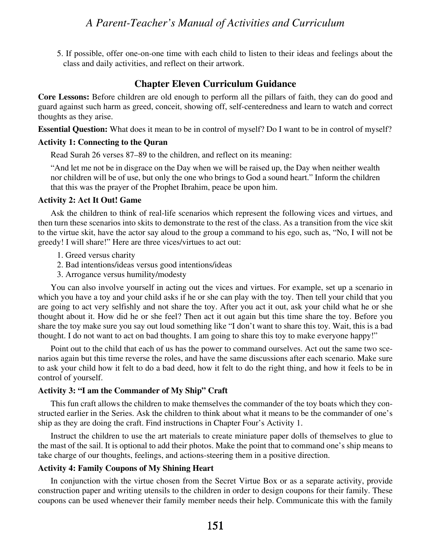5. If possible, offer one-on-one time with each child to listen to their ideas and feelings about the class and daily activities, and reflect on their artwork.

### **Chapter Eleven Curriculum Guidance**

**Core Lessons:** Before children are old enough to perform all the pillars of faith, they can do good and guard against such harm as greed, conceit, showing off, self-centeredness and learn to watch and correct thoughts as they arise.

**Essential Question:** What does it mean to be in control of myself? Do I want to be in control of myself?

#### **Activity 1: Connecting to the Quran**

Read Surah 26 verses 87–89 to the children, and reflect on its meaning:

"And let me not be in disgrace on the Day when we will be raised up, the Day when neither wealth nor children will be of use, but only the one who brings to God a sound heart." Inform the children that this was the prayer of the Prophet Ibrahim, peace be upon him.

#### **Activity 2: Act It Out! Game**

Ask the children to think of real-life scenarios which represent the following vices and virtues, and then turn these scenarios into skits to demonstrate to the rest of the class. As a transition from the vice skit to the virtue skit, have the actor say aloud to the group a command to his ego, such as, "No, I will not be greedy! I will share!" Here are three vices/virtues to act out:

- 1. Greed versus charity
- 2. Bad intentions/ideas versus good intentions/ideas
- 3. Arrogance versus humility/modesty

You can also involve yourself in acting out the vices and virtues. For example, set up a scenario in which you have a toy and your child asks if he or she can play with the toy. Then tell your child that you are going to act very selfishly and not share the toy. After you act it out, ask your child what he or she thought about it. How did he or she feel? Then act it out again but this time share the toy. Before you share the toy make sure you say out loud something like "I don't want to share this toy. Wait, this is a bad thought. I do not want to act on bad thoughts. I am going to share this toy to make everyone happy!"

Point out to the child that each of us has the power to command ourselves. Act out the same two scenarios again but this time reverse the roles, and have the same discussions after each scenario. Make sure to ask your child how it felt to do a bad deed, how it felt to do the right thing, and how it feels to be in control of yourself.

#### **Activity 3: "I am the Commander of My Ship" Craft**

This fun craft allows the children to make themselves the commander of the toy boats which they constructed earlier in the Series. Ask the children to think about what it means to be the commander of one's ship as they are doing the craft. Find instructions in Chapter Four's Activity 1.

Instruct the children to use the art materials to create miniature paper dolls of themselves to glue to the mast of the sail. It is optional to add their photos. Make the point that to command one's ship means to take charge of our thoughts, feelings, and actions-steering them in a positive direction.

#### **Activity 4: Family Coupons of My Shining Heart**

In conjunction with the virtue chosen from the Secret Virtue Box or as a separate activity, provide construction paper and writing utensils to the children in order to design coupons for their family. These coupons can be used whenever their family member needs their help. Communicate this with the family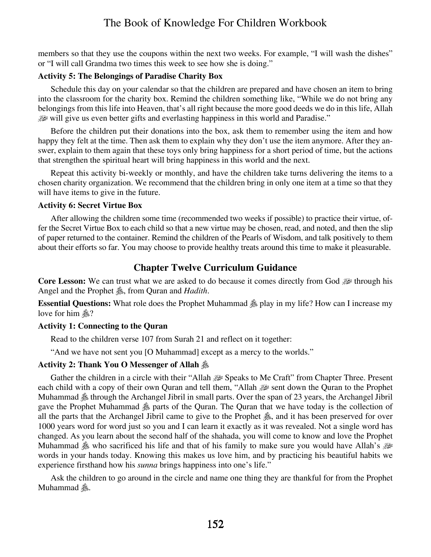members so that they use the coupons within the next two weeks. For example, "I will wash the dishes" or "I will call Grandma two times this week to see how she is doing."

#### **Activity 5: The Belongings of Paradise Charity Box**

Schedule this day on your calendar so that the children are prepared and have chosen an item to bring into the classroom for the charity box. Remind the children something like, "While we do not bring any belongings from this life into Heaven, that's all right because the more good deeds we do in this life, Allah will give us even better gifts and everlasting happiness in this world and Paradise."

Before the children put their donations into the box, ask them to remember using the item and how happy they felt at the time. Then ask them to explain why they don't use the item anymore. After they answer, explain to them again that these toys only bring happiness for a short period of time, but the actions that strengthen the spiritual heart will bring happiness in this world and the next.

Repeat this activity bi-weekly or monthly, and have the children take turns delivering the items to a chosen charity organization. We recommend that the children bring in only one item at a time so that they will have items to give in the future.

#### **Activity 6: Secret Virtue Box**

After allowing the children some time (recommended two weeks if possible) to practice their virtue, offer the Secret Virtue Box to each child so that a new virtue may be chosen, read, and noted, and then the slip of paper returned to the container. Remind the children of the Pearls of Wisdom, and talk positively to them about their efforts so far. You may choose to provide healthy treats around this time to make it pleasurable.

### **Chapter Twelve Curriculum Guidance**

**Core Lesson:** We can trust what we are asked to do because it comes directly from God  $\mathbb{R}^n$  through his Angel and the Prophet  $\hat{\mathcal{E}}$ , from Ouran and *Hadith*.

**Essential Questions:** What role does the Prophet Muhammad  $\hat{\mathcal{L}}$  play in my life? How can I increase my love for him  $\&$ ?

#### **Activity 1: Connecting to the Quran**

Read to the children verse 107 from Surah 21 and reflect on it together:

"And we have not sent you [O Muhammad] except as a mercy to the worlds."

#### Activity 2: Thank You O Messenger of Allah

Gather the children in a circle with their "Allah  $\mathbb{R}$  Speaks to Me Craft" from Chapter Three. Present each child with a copy of their own Quran and tell them, "Allah was sent down the Quran to the Prophet Muhammad  $\hat{\mathcal{B}}$  through the Archangel Jibril in small parts. Over the span of 23 years, the Archangel Jibril gave the Prophet Muhammad  $\&$  parts of the Quran. The Quran that we have today is the collection of all the parts that the Archangel Jibril came to give to the Prophet  $\hat{\mathcal{L}}$ , and it has been preserved for over 1000 years word for word just so you and I can learn it exactly as it was revealed. Not a single word has changed. As you learn about the second half of the shahada, you will come to know and love the Prophet Muhammad  $\&$  who sacrificed his life and that of his family to make sure you would have Allah's  $\&$ words in your hands today. Knowing this makes us love him, and by practicing his beautiful habits we experience firsthand how his *sunna* brings happiness into one's life."

Ask the children to go around in the circle and name one thing they are thankful for from the Prophet Muhammad  $\&$ .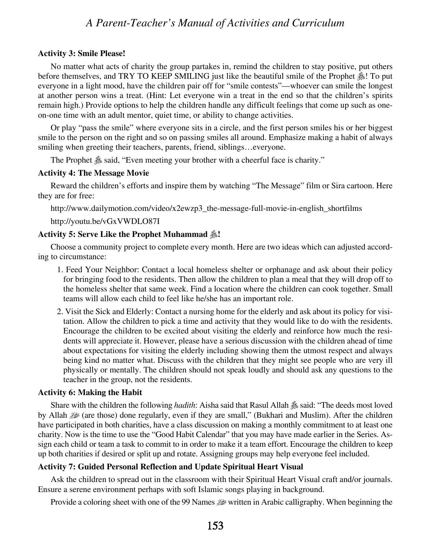#### **Activity 3: Smile Please!**

No matter what acts of charity the group partakes in, remind the children to stay positive, put others before themselves, and TRY TO KEEP SMILING just like the beautiful smile of the Prophet  $\&$ ! To put everyone in a light mood, have the children pair off for "smile contests"—whoever can smile the longest at another person wins a treat. (Hint: Let everyone win a treat in the end so that the children's spirits remain high.) Provide options to help the children handle any difficult feelings that come up such as oneon-one time with an adult mentor, quiet time, or ability to change activities.

Or play "pass the smile" where everyone sits in a circle, and the first person smiles his or her biggest smile to the person on the right and so on passing smiles all around. Emphasize making a habit of always smiling when greeting their teachers, parents, friend, siblings...everyone.

The Prophet  $\triangleq$  said, "Even meeting your brother with a cheerful face is charity."

#### **Activity 4: The Message Movie**

Reward the children's efforts and inspire them by watching "The Message" film or Sira cartoon. Here they are for free:

http://www.dailymotion.com/video/x2ewzp3\_the-message-full-movie-in-english\_shortfilms

#### http://youtu.be/vGxVWDLO87I

#### **Activity 5: Serve Like the Prophet Muhammad &!**

Choose a community project to complete every month. Here are two ideas which can adjusted according to circumstance:

- 1. Feed Your Neighbor: Contact a local homeless shelter or orphanage and ask about their policy for bringing food to the residents. Then allow the children to plan a meal that they will drop off to the homeless shelter that same week. Find a location where the children can cook together. Small teams will allow each child to feel like he/she has an important role.
- 2. Visit the Sick and Elderly: Contact a nursing home for the elderly and ask about its policy for visitation. Allow the children to pick a time and activity that they would like to do with the residents. Encourage the children to be excited about visiting the elderly and reinforce how much the residents will appreciate it. However, please have a serious discussion with the children ahead of time about expectations for visiting the elderly including showing them the utmost respect and always being kind no matter what. Discuss with the children that they might see people who are very ill physically or mentally. The children should not speak loudly and should ask any questions to the teacher in the group, not the residents.

#### **Activity 6: Making the Habit**

Share with the children the following *hadith*: Aisha said that Rasul Allah **s** said: "The deeds most loved by Allah  $\mathbb{R}$  (are those) done regularly, even if they are small," (Bukhari and Muslim). After the children have participated in both charities, have a class discussion on making a monthly commitment to at least one charity. Now is the time to use the "Good Habit Calendar" that you may have made earlier in the Series. Assign each child or team a task to commit to in order to make it a team effort. Encourage the children to keep up both charities if desired or split up and rotate. Assigning groups may help everyone feel included.

#### **Activity 7: Guided Personal Reflection and Update Spiritual Heart Visual**

Ask the children to spread out in the classroom with their Spiritual Heart Visual craft and/or journals. Ensure a serene environment perhaps with soft Islamic songs playing in background.

Provide a coloring sheet with one of the 99 Names witten in Arabic calligraphy. When beginning the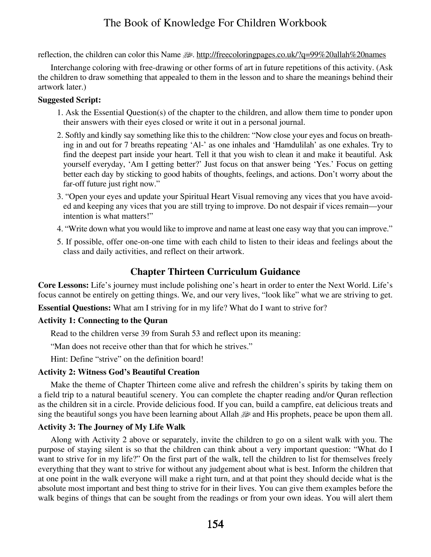reflection, the children can color this Name  $\frac{1}{2}$ . http://freecoloringpages.co.uk/?q=99%20allah%20names

Interchange coloring with free-drawing or other forms of art in future repetitions of this activity. (Ask the children to draw something that appealed to them in the lesson and to share the meanings behind their artwork later.)

### **Suggested Script:**

- 1. Ask the Essential Question(s) of the chapter to the children, and allow them time to ponder upon their answers with their eyes closed or write it out in a personal journal.
- 2. Softly and kindly say something like this to the children: "Now close your eyes and focus on breathing in and out for 7 breaths repeating 'Al-' as one inhales and 'Hamdulilah' as one exhales. Try to find the deepest part inside your heart. Tell it that you wish to clean it and make it beautiful. Ask yourself everyday, 'Am I getting better?' Just focus on that answer being 'Yes.' Focus on getting better each day by sticking to good habits of thoughts, feelings, and actions. Don't worry about the far-off future just right now."
- 3. "Open your eyes and update your Spiritual Heart Visual removing any vices that you have avoided and keeping any vices that you are still trying to improve. Do not despair if vices remain—your intention is what matters!"
- 4. "Write down what you would like to improve and name at least one easy way that you can improve."
- 5. If possible, offer one-on-one time with each child to listen to their ideas and feelings about the class and daily activities, and reflect on their artwork.

# **Chapter Thirteen Curriculum Guidance**

**Core Lessons:** Life's journey must include polishing one's heart in order to enter the Next World. Life's focus cannot be entirely on getting things. We, and our very lives, "look like" what we are striving to get.

**Essential Questions:** What am I striving for in my life? What do I want to strive for?

### **Activity 1: Connecting to the Quran**

Read to the children verse 39 from Surah 53 and reflect upon its meaning:

"Man does not receive other than that for which he strives."

Hint: Define "strive" on the definition board!

#### **Activity 2: Witness God's Beautiful Creation**

Make the theme of Chapter Thirteen come alive and refresh the children's spirits by taking them on a field trip to a natural beautiful scenery. You can complete the chapter reading and/or Quran reflection as the children sit in a circle. Provide delicious food. If you can, build a campfire, eat delicious treats and sing the beautiful songs you have been learning about Allah  $\mathcal{L}$  and His prophets, peace be upon them all.

#### **Activity 3: The Journey of My Life Walk**

Along with Activity 2 above or separately, invite the children to go on a silent walk with you. The purpose of staying silent is so that the children can think about a very important question: "What do I want to strive for in my life?" On the first part of the walk, tell the children to list for themselves freely everything that they want to strive for without any judgement about what is best. Inform the children that at one point in the walk everyone will make a right turn, and at that point they should decide what is the absolute most important and best thing to strive for in their lives. You can give them examples before the walk begins of things that can be sought from the readings or from your own ideas. You will alert them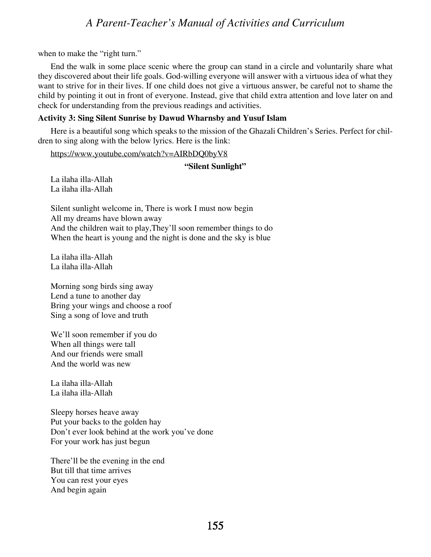when to make the "right turn."

End the walk in some place scenic where the group can stand in a circle and voluntarily share what they discovered about their life goals. God-willing everyone will answer with a virtuous idea of what they want to strive for in their lives. If one child does not give a virtuous answer, be careful not to shame the child by pointing it out in front of everyone. Instead, give that child extra attention and love later on and check for understanding from the previous readings and activities.

### **Activity 3: Sing Silent Sunrise by Dawud Wharnsby and Yusuf Islam**

Here is a beautiful song which speaks to the mission of the Ghazali Children's Series. Perfect for children to sing along with the below lyrics. Here is the link:

https://www.youtube.com/watch?v=AIRbDQ0byV8

#### **"Silent Sunlight"**

La ilaha illa-Allah La ilaha illa-Allah

Silent sunlight welcome in, There is work I must now begin All my dreams have blown away And the children wait to play,They'll soon remember things to do When the heart is young and the night is done and the sky is blue

La ilaha illa-Allah La ilaha illa-Allah

Morning song birds sing away Lend a tune to another day Bring your wings and choose a roof Sing a song of love and truth

We'll soon remember if you do When all things were tall And our friends were small And the world was new

La ilaha illa-Allah La ilaha illa-Allah

Sleepy horses heave away Put your backs to the golden hay Don't ever look behind at the work you've done For your work has just begun

There'll be the evening in the end But till that time arrives You can rest your eyes And begin again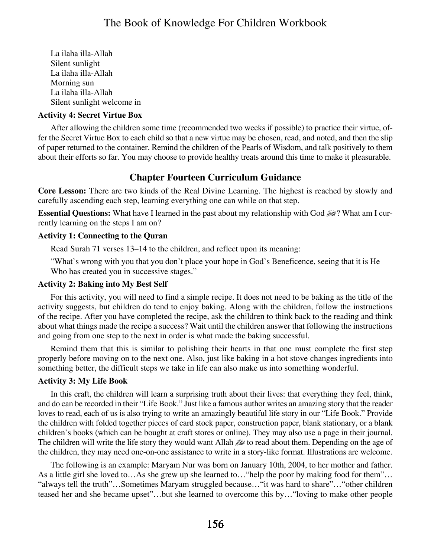La ilaha illa-Allah Silent sunlight La ilaha illa-Allah Morning sun La ilaha illa-Allah Silent sunlight welcome in

### **Activity 4: Secret Virtue Box**

After allowing the children some time (recommended two weeks if possible) to practice their virtue, offer the Secret Virtue Box to each child so that a new virtue may be chosen, read, and noted, and then the slip of paper returned to the container. Remind the children of the Pearls of Wisdom, and talk positively to them about their efforts so far. You may choose to provide healthy treats around this time to make it pleasurable.

# **Chapter Fourteen Curriculum Guidance**

**Core Lesson:** There are two kinds of the Real Divine Learning. The highest is reached by slowly and carefully ascending each step, learning everything one can while on that step.

**Essential Questions:** What have I learned in the past about my relationship with God  $\mathbb{R}^2$ ? What am I currently learning on the steps I am on?

### **Activity 1: Connecting to the Quran**

Read Surah 71 verses 13–14 to the children, and reflect upon its meaning:

"What's wrong with you that you don't place your hope in God's Beneficence, seeing that it is He Who has created you in successive stages."

#### **Activity 2: Baking into My Best Self**

For this activity, you will need to find a simple recipe. It does not need to be baking as the title of the activity suggests, but children do tend to enjoy baking. Along with the children, follow the instructions of the recipe. After you have completed the recipe, ask the children to think back to the reading and think about what things made the recipe a success? Wait until the children answer that following the instructions and going from one step to the next in order is what made the baking successful.

Remind them that this is similar to polishing their hearts in that one must complete the first step properly before moving on to the next one. Also, just like baking in a hot stove changes ingredients into something better, the difficult steps we take in life can also make us into something wonderful.

### **Activity 3: My Life Book**

In this craft, the children will learn a surprising truth about their lives: that everything they feel, think, and do can be recorded in their "Life Book." Just like a famous author writes an amazing story that the reader loves to read, each of us is also trying to write an amazingly beautiful life story in our "Life Book." Provide the children with folded together pieces of card stock paper, construction paper, blank stationary, or a blank children's books (which can be bought at craft stores or online). They may also use a page in their journal. The children will write the life story they would want Allah  $\mathbb{R}$  to read about them. Depending on the age of the children, they may need one-on-one assistance to write in a story-like format. Illustrations are welcome.

The following is an example: Maryam Nur was born on January 10th, 2004, to her mother and father. As a little girl she loved to…As she grew up she learned to…"help the poor by making food for them"… "always tell the truth"…Sometimes Maryam struggled because…"it was hard to share"…"other children teased her and she became upset"…but she learned to overcome this by…"loving to make other people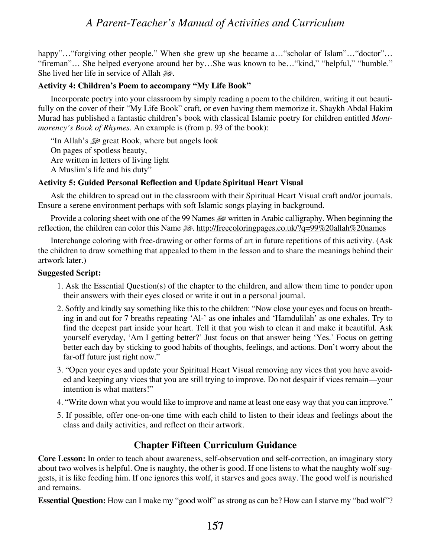happy"..."forgiving other people." When she grew up she became a..."scholar of Islam"..."doctor"... "fireman"… She helped everyone around her by…She was known to be…"kind," "helpful," "humble." She lived her life in service of Allah  $\mathbb{R}$ .

#### **Activity 4: Children's Poem to accompany "My Life Book"**

Incorporate poetry into your classroom by simply reading a poem to the children, writing it out beautifully on the cover of their "My Life Book" craft, or even having them memorize it. Shaykh Abdal Hakim Murad has published a fantastic children's book with classical Islamic poetry for children entitled *Montmorency's Book of Rhymes*. An example is (from p. 93 of the book):

"In Allah's  $\mathcal{L}$  great Book, where but angels look On pages of spotless beauty, Are written in letters of living light A Muslim's life and his duty"

### **Activity 5: Guided Personal Reflection and Update Spiritual Heart Visual**

Ask the children to spread out in the classroom with their Spiritual Heart Visual craft and/or journals. Ensure a serene environment perhaps with soft Islamic songs playing in background.

Provide a coloring sheet with one of the 99 Names  $\mathbb{R}^n$  written in Arabic calligraphy. When beginning the reflection, the children can color this Name  $\frac{1}{2}$ . http://freecoloringpages.co.uk/?q=99%20allah%20names

Interchange coloring with free-drawing or other forms of art in future repetitions of this activity. (Ask the children to draw something that appealed to them in the lesson and to share the meanings behind their artwork later.)

#### **Suggested Script:**

- 1. Ask the Essential Question(s) of the chapter to the children, and allow them time to ponder upon their answers with their eyes closed or write it out in a personal journal.
- 2. Softly and kindly say something like this to the children: "Now close your eyes and focus on breathing in and out for 7 breaths repeating 'Al-' as one inhales and 'Hamdulilah' as one exhales. Try to find the deepest part inside your heart. Tell it that you wish to clean it and make it beautiful. Ask yourself everyday, 'Am I getting better?' Just focus on that answer being 'Yes.' Focus on getting better each day by sticking to good habits of thoughts, feelings, and actions. Don't worry about the far-off future just right now."
- 3. "Open your eyes and update your Spiritual Heart Visual removing any vices that you have avoided and keeping any vices that you are still trying to improve. Do not despair if vices remain—your intention is what matters!"
- 4. "Write down what you would like to improve and name at least one easy way that you can improve."
- 5. If possible, offer one-on-one time with each child to listen to their ideas and feelings about the class and daily activities, and reflect on their artwork.

# **Chapter Fifteen Curriculum Guidance**

**Core Lesson:** In order to teach about awareness, self-observation and self-correction, an imaginary story about two wolves is helpful. One is naughty, the other is good. If one listens to what the naughty wolf suggests, it is like feeding him. If one ignores this wolf, it starves and goes away. The good wolf is nourished and remains.

**Essential Question:** How can I make my "good wolf" as strong as can be? How can I starve my "bad wolf"?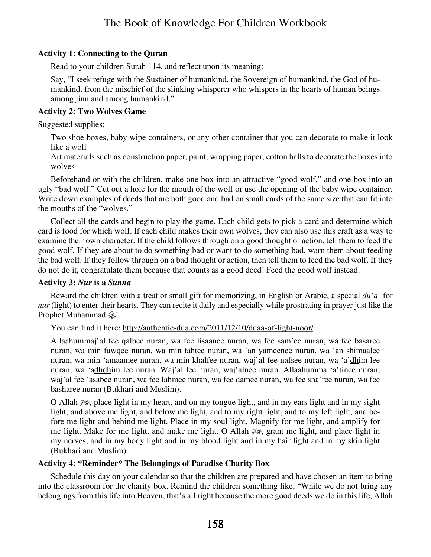#### **Activity 1: Connecting to the Quran**

Read to your children Surah 114, and reflect upon its meaning:

Say, "I seek refuge with the Sustainer of humankind, the Sovereign of humankind, the God of humankind, from the mischief of the slinking whisperer who whispers in the hearts of human beings among jinn and among humankind."

#### **Activity 2: Two Wolves Game**

Suggested supplies:

Two shoe boxes, baby wipe containers, or any other container that you can decorate to make it look like a wolf

Art materials such as construction paper, paint, wrapping paper, cotton balls to decorate the boxes into wolves

Beforehand or with the children, make one box into an attractive "good wolf," and one box into an ugly "bad wolf." Cut out a hole for the mouth of the wolf or use the opening of the baby wipe container. Write down examples of deeds that are both good and bad on small cards of the same size that can fit into the mouths of the "wolves."

Collect all the cards and begin to play the game. Each child gets to pick a card and determine which card is food for which wolf. If each child makes their own wolves, they can also use this craft as a way to examine their own character. If the child follows through on a good thought or action, tell them to feed the good wolf. If they are about to do something bad or want to do something bad, warn them about feeding the bad wolf. If they follow through on a bad thought or action, then tell them to feed the bad wolf. If they do not do it, congratulate them because that counts as a good deed! Feed the good wolf instead.

#### **Activity 3:** *Nur* **is a** *Sunna*

Reward the children with a treat or small gift for memorizing, in English or Arabic, a special *du'a'* for *nur* (light) to enter their hearts. They can recite it daily and especially while prostrating in prayer just like the Prophet Muhammad &!

You can find it here: http://authentic-dua.com/2011/12/10/duaa-of-light-noor/

Allaahummaj'al fee qalbee nuran, wa fee lisaanee nuran, wa fee sam'ee nuran, wa fee basaree nuran, wa min fawqee nuran, wa min tahtee nuran, wa 'an yameenee nuran, wa 'an shimaalee nuran, wa min 'amaamee nuran, wa min khalfee nuran, waj'al fee nafsee nuran, wa 'a'dhim lee nuran, wa 'adhdhim lee nuran. Waj'al lee nuran, waj'alnee nuran. Allaahumma 'a'tinee nuran, waj'al fee 'asabee nuran, wa fee lahmee nuran, wa fee damee nuran, wa fee sha'ree nuran, wa fee basharee nuran (Bukhari and Muslim).

O Allah  $\mathcal{L}$ , place light in my heart, and on my tongue light, and in my ears light and in my sight light, and above me light, and below me light, and to my right light, and to my left light, and before me light and behind me light. Place in my soul light. Magnify for me light, and amplify for me light. Make for me light, and make me light. O Allah  $\mathbb{R}$ , grant me light, and place light in my nerves, and in my body light and in my blood light and in my hair light and in my skin light (Bukhari and Muslim).

#### **Activity 4: \*Reminder\* The Belongings of Paradise Charity Box**

Schedule this day on your calendar so that the children are prepared and have chosen an item to bring into the classroom for the charity box. Remind the children something like, "While we do not bring any belongings from this life into Heaven, that's all right because the more good deeds we do in this life, Allah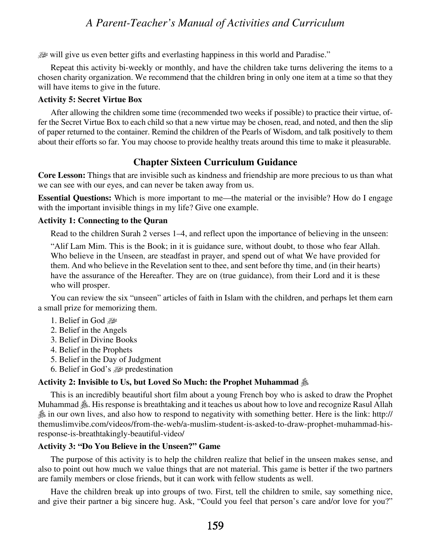u will give us even better gifts and everlasting happiness in this world and Paradise."

Repeat this activity bi-weekly or monthly, and have the children take turns delivering the items to a chosen charity organization. We recommend that the children bring in only one item at a time so that they will have items to give in the future.

#### **Activity 5: Secret Virtue Box**

After allowing the children some time (recommended two weeks if possible) to practice their virtue, offer the Secret Virtue Box to each child so that a new virtue may be chosen, read, and noted, and then the slip of paper returned to the container. Remind the children of the Pearls of Wisdom, and talk positively to them about their efforts so far. You may choose to provide healthy treats around this time to make it pleasurable.

### **Chapter Sixteen Curriculum Guidance**

**Core Lesson:** Things that are invisible such as kindness and friendship are more precious to us than what we can see with our eyes, and can never be taken away from us.

**Essential Questions:** Which is more important to me—the material or the invisible? How do I engage with the important invisible things in my life? Give one example.

#### **Activity 1: Connecting to the Quran**

Read to the children Surah 2 verses 1–4, and reflect upon the importance of believing in the unseen:

"Alif Lam Mim. This is the Book; in it is guidance sure, without doubt, to those who fear Allah. Who believe in the Unseen, are steadfast in prayer, and spend out of what We have provided for them. And who believe in the Revelation sent to thee, and sent before thy time, and (in their hearts) have the assurance of the Hereafter. They are on (true guidance), from their Lord and it is these who will prosper.

You can review the six "unseen" articles of faith in Islam with the children, and perhaps let them earn a small prize for memorizing them.

- 1. Belief in God
- 2. Belief in the Angels
- 3. Belief in Divine Books
- 4. Belief in the Prophets
- 5. Belief in the Day of Judgment
- 6. Belief in God's  $\mathcal{L}$  predestination

#### Activity 2: Invisible to Us, but Loved So Much: the Prophet Muhammad  $\hat{\mathcal{B}}$

This is an incredibly beautiful short film about a young French boy who is asked to draw the Prophet Muhammad  $\hat{\mathcal{B}}$ . His response is breathtaking and it teaches us about how to love and recognize Rasul Allah  $\hat{\mathcal{L}}$  in our own lives, and also how to respond to negativity with something better. Here is the link: http:// themuslimvibe.com/videos/from-the-web/a-muslim-student-is-asked-to-draw-prophet-muhammad-hisresponse-is-breathtakingly-beautiful-video/

#### **Activity 3: "Do You Believe in the Unseen?" Game**

The purpose of this activity is to help the children realize that belief in the unseen makes sense, and also to point out how much we value things that are not material. This game is better if the two partners are family members or close friends, but it can work with fellow students as well.

Have the children break up into groups of two. First, tell the children to smile, say something nice, and give their partner a big sincere hug. Ask, "Could you feel that person's care and/or love for you?"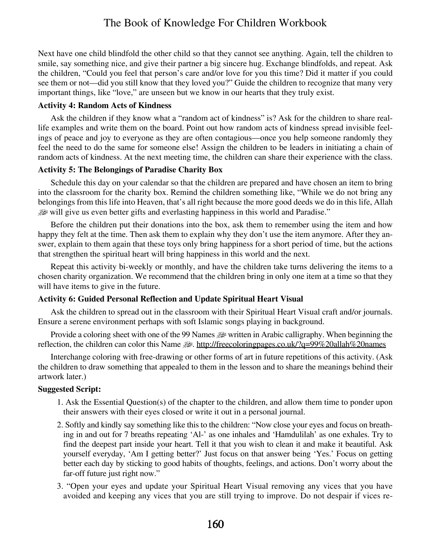Next have one child blindfold the other child so that they cannot see anything. Again, tell the children to smile, say something nice, and give their partner a big sincere hug. Exchange blindfolds, and repeat. Ask the children, "Could you feel that person's care and/or love for you this time? Did it matter if you could see them or not—did you still know that they loved you?" Guide the children to recognize that many very important things, like "love," are unseen but we know in our hearts that they truly exist.

#### **Activity 4: Random Acts of Kindness**

Ask the children if they know what a "random act of kindness" is? Ask for the children to share reallife examples and write them on the board. Point out how random acts of kindness spread invisible feelings of peace and joy to everyone as they are often contagious—once you help someone randomly they feel the need to do the same for someone else! Assign the children to be leaders in initiating a chain of random acts of kindness. At the next meeting time, the children can share their experience with the class.

#### **Activity 5: The Belongings of Paradise Charity Box**

Schedule this day on your calendar so that the children are prepared and have chosen an item to bring into the classroom for the charity box. Remind the children something like, "While we do not bring any belongings from this life into Heaven, that's all right because the more good deeds we do in this life, Allah u will give us even better gifts and everlasting happiness in this world and Paradise."

Before the children put their donations into the box, ask them to remember using the item and how happy they felt at the time. Then ask them to explain why they don't use the item anymore. After they answer, explain to them again that these toys only bring happiness for a short period of time, but the actions that strengthen the spiritual heart will bring happiness in this world and the next.

Repeat this activity bi-weekly or monthly, and have the children take turns delivering the items to a chosen charity organization. We recommend that the children bring in only one item at a time so that they will have items to give in the future.

#### **Activity 6: Guided Personal Reflection and Update Spiritual Heart Visual**

Ask the children to spread out in the classroom with their Spiritual Heart Visual craft and/or journals. Ensure a serene environment perhaps with soft Islamic songs playing in background.

Provide a coloring sheet with one of the 99 Names witten in Arabic calligraphy. When beginning the reflection, the children can color this Name  $\frac{1}{2}$ . http://freecoloringpages.co.uk/?q=99%20allah%20names

Interchange coloring with free-drawing or other forms of art in future repetitions of this activity. (Ask the children to draw something that appealed to them in the lesson and to share the meanings behind their artwork later.)

#### **Suggested Script:**

- 1. Ask the Essential Question(s) of the chapter to the children, and allow them time to ponder upon their answers with their eyes closed or write it out in a personal journal.
- 2. Softly and kindly say something like this to the children: "Now close your eyes and focus on breathing in and out for 7 breaths repeating 'Al-' as one inhales and 'Hamdulilah' as one exhales. Try to find the deepest part inside your heart. Tell it that you wish to clean it and make it beautiful. Ask yourself everyday, 'Am I getting better?' Just focus on that answer being 'Yes.' Focus on getting better each day by sticking to good habits of thoughts, feelings, and actions. Don't worry about the far-off future just right now."
- 3. "Open your eyes and update your Spiritual Heart Visual removing any vices that you have avoided and keeping any vices that you are still trying to improve. Do not despair if vices re-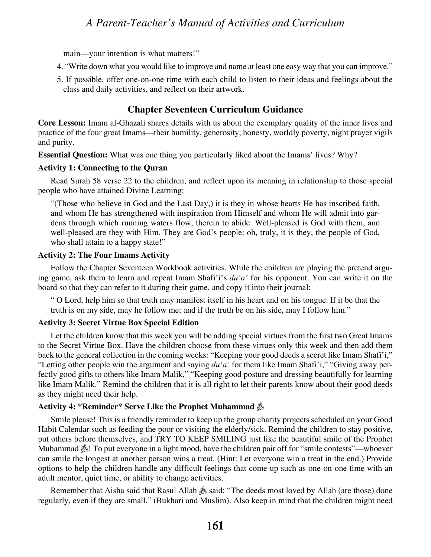main—your intention is what matters!"

- 4. "Write down what you would like to improve and name at least one easy way that you can improve."
- 5. If possible, offer one-on-one time with each child to listen to their ideas and feelings about the class and daily activities, and reflect on their artwork.

### **Chapter Seventeen Curriculum Guidance**

**Core Lesson:** Imam al-Ghazali shares details with us about the exemplary quality of the inner lives and practice of the four great Imams—their humility, generosity, honesty, worldly poverty, night prayer vigils and purity.

**Essential Question:** What was one thing you particularly liked about the Imams' lives? Why?

#### **Activity 1: Connecting to the Quran**

Read Surah 58 verse 22 to the children, and reflect upon its meaning in relationship to those special people who have attained Divine Learning:

"(Those who believe in God and the Last Day,) it is they in whose hearts He has inscribed faith, and whom He has strengthened with inspiration from Himself and whom He will admit into gardens through which running waters flow, therein to abide. Well-pleased is God with them, and well-pleased are they with Him. They are God's people: oh, truly, it is they, the people of God, who shall attain to a happy state!"

#### **Activity 2: The Four Imams Activity**

Follow the Chapter Seventeen Workbook activities. While the children are playing the pretend arguing game, ask them to learn and repeat Imam Shafi'i's *du'a'* for his opponent. You can write it on the board so that they can refer to it during their game, and copy it into their journal:

" O Lord, help him so that truth may manifest itself in his heart and on his tongue. If it be that the truth is on my side, may he follow me; and if the truth be on his side, may I follow him."

#### **Activity 3: Secret Virtue Box Special Edition**

Let the children know that this week you will be adding special virtues from the first two Great Imams to the Secret Virtue Box. Have the children choose from these virtues only this week and then add them back to the general collection in the coming weeks: "Keeping your good deeds a secret like Imam Shafi'i," "Letting other people win the argument and saying *du'a'* for them like Imam Shafi'i," "Giving away perfectly good gifts to others like Imam Malik," "Keeping good posture and dressing beautifully for learning like Imam Malik." Remind the children that it is all right to let their parents know about their good deeds as they might need their help.

#### Activity 4: \*Reminder\* Serve Like the Prophet Muhammad  $\triangle$

Smile please! This is a friendly reminder to keep up the group charity projects scheduled on your Good Habit Calendar such as feeding the poor or visiting the elderly/sick. Remind the children to stay positive, put others before themselves, and TRY TO KEEP SMILING just like the beautiful smile of the Prophet Muhammad  $\frac{1}{2}$ ! To put everyone in a light mood, have the children pair off for "smile contests"—whoever can smile the longest at another person wins a treat. (Hint: Let everyone win a treat in the end.) Provide options to help the children handle any difficult feelings that come up such as one-on-one time with an adult mentor, quiet time, or ability to change activities.

Remember that Aisha said that Rasul Allah  $\&$  said: "The deeds most loved by Allah (are those) done regularly, even if they are small," (Bukhari and Muslim). Also keep in mind that the children might need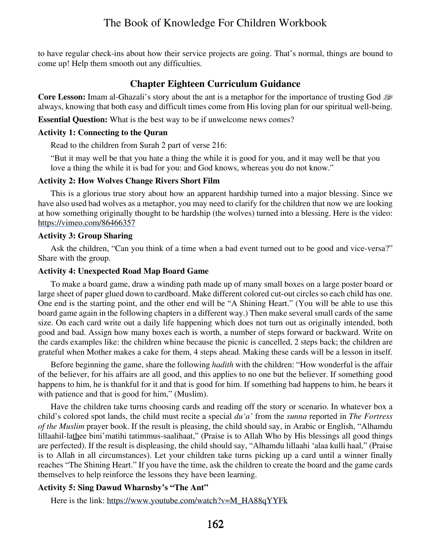to have regular check-ins about how their service projects are going. That's normal, things are bound to come up! Help them smooth out any difficulties.

# **Chapter Eighteen Curriculum Guidance**

**Core Lesson:** Imam al-Ghazali's story about the ant is a metaphor for the importance of trusting God u always, knowing that both easy and difficult times come from His loving plan for our spiritual well-being.

**Essential Question:** What is the best way to be if unwelcome news comes?

### **Activity 1: Connecting to the Quran**

Read to the children from Surah 2 part of verse 216:

"But it may well be that you hate a thing the while it is good for you, and it may well be that you love a thing the while it is bad for you: and God knows, whereas you do not know."

### **Activity 2: How Wolves Change Rivers Short Film**

This is a glorious true story about how an apparent hardship turned into a major blessing. Since we have also used bad wolves as a metaphor, you may need to clarify for the children that now we are looking at how something originally thought to be hardship (the wolves) turned into a blessing. Here is the video: https://vimeo.com/86466357

### **Activity 3: Group Sharing**

Ask the children, "Can you think of a time when a bad event turned out to be good and vice-versa?" Share with the group.

### **Activity 4: Unexpected Road Map Board Game**

To make a board game, draw a winding path made up of many small boxes on a large poster board or large sheet of paper glued down to cardboard. Make different colored cut-out circles so each child has one. One end is the starting point, and the other end will be "A Shining Heart." (You will be able to use this board game again in the following chapters in a different way.) Then make several small cards of the same size. On each card write out a daily life happening which does not turn out as originally intended, both good and bad. Assign how many boxes each is worth, a number of steps forward or backward. Write on the cards examples like: the children whine because the picnic is cancelled, 2 steps back; the children are grateful when Mother makes a cake for them, 4 steps ahead. Making these cards will be a lesson in itself.

Before beginning the game, share the following *hadith* with the children: "How wonderful is the affair of the believer, for his affairs are all good, and this applies to no one but the believer. If something good happens to him, he is thankful for it and that is good for him. If something bad happens to him, he bears it with patience and that is good for him," (Muslim).

Have the children take turns choosing cards and reading off the story or scenario. In whatever box a child's colored spot lands, the child must recite a special *du'a'* from the *sunna* reported in *The Fortress of the Muslim* prayer book. If the result is pleasing, the child should say, in Arabic or English, "Alhamdu lillaahil-lathee bini'matihi tatimmus-saalihaat," (Praise is to Allah Who by His blessings all good things are perfected). If the result is displeasing, the child should say, "Alhamdu lillaahi 'alaa kulli haal," (Praise is to Allah in all circumstances). Let your children take turns picking up a card until a winner finally reaches "The Shining Heart." If you have the time, ask the children to create the board and the game cards themselves to help reinforce the lessons they have been learning.

### **Activity 5: Sing Dawud Wharnsby's "The Ant"**

Here is the link: https://www.youtube.com/watch?v=M\_HA88qYYFk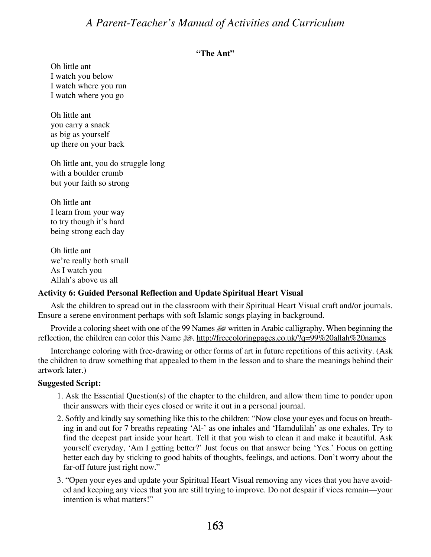#### **"The Ant"**

Oh little ant I watch you below I watch where you run I watch where you go

Oh little ant you carry a snack as big as yourself up there on your back

Oh little ant, you do struggle long with a boulder crumb but your faith so strong

Oh little ant I learn from your way to try though it's hard being strong each day

Oh little ant we're really both small As I watch you Allah's above us all

### **Activity 6: Guided Personal Reflection and Update Spiritual Heart Visual**

Ask the children to spread out in the classroom with their Spiritual Heart Visual craft and/or journals. Ensure a serene environment perhaps with soft Islamic songs playing in background.

Provide a coloring sheet with one of the 99 Names  $\mathcal{L}$  written in Arabic calligraphy. When beginning the reflection, the children can color this Name  $\mathcal{L}$ . http://freecoloringpages.co.uk/?q=99%20allah%20names

Interchange coloring with free-drawing or other forms of art in future repetitions of this activity. (Ask the children to draw something that appealed to them in the lesson and to share the meanings behind their artwork later.)

### **Suggested Script:**

- 1. Ask the Essential Question(s) of the chapter to the children, and allow them time to ponder upon their answers with their eyes closed or write it out in a personal journal.
- 2. Softly and kindly say something like this to the children: "Now close your eyes and focus on breathing in and out for 7 breaths repeating 'Al-' as one inhales and 'Hamdulilah' as one exhales. Try to find the deepest part inside your heart. Tell it that you wish to clean it and make it beautiful. Ask yourself everyday, 'Am I getting better?' Just focus on that answer being 'Yes.' Focus on getting better each day by sticking to good habits of thoughts, feelings, and actions. Don't worry about the far-off future just right now."
- 3. "Open your eyes and update your Spiritual Heart Visual removing any vices that you have avoided and keeping any vices that you are still trying to improve. Do not despair if vices remain—your intention is what matters!"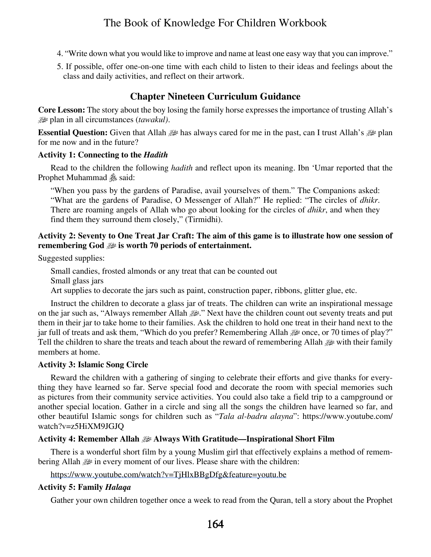- 4. "Write down what you would like to improve and name at least one easy way that you can improve."
- 5. If possible, offer one-on-one time with each child to listen to their ideas and feelings about the class and daily activities, and reflect on their artwork.

# **Chapter Nineteen Curriculum Guidance**

**Core Lesson:** The story about the boy losing the family horse expresses the importance of trusting Allah's u plan in all circumstances (*tawakul)*.

**Essential Question:** Given that Allah u has always cared for me in the past, can I trust Allah's u plan for me now and in the future?

### **Activity 1: Connecting to the** *Hadith*

Read to the children the following *hadith* and reflect upon its meaning. Ibn 'Umar reported that the Prophet Muhammad & said:

"When you pass by the gardens of Paradise, avail yourselves of them." The Companions asked: "What are the gardens of Paradise, O Messenger of Allah?" He replied: "The circles of *dhikr*. There are roaming angels of Allah who go about looking for the circles of *dhikr*, and when they find them they surround them closely," (Tirmidhi).

### **Activity 2: Seventy to One Treat Jar Craft: The aim of this game is to illustrate how one session of remembering God** u **is worth 70 periods of entertainment.**

Suggested supplies:

Small candies, frosted almonds or any treat that can be counted out Small glass jars Art supplies to decorate the jars such as paint, construction paper, ribbons, glitter glue, etc.

Instruct the children to decorate a glass jar of treats. The children can write an inspirational message on the jar such as, "Always remember Allah  $\mathbb{R}^n$ ." Next have the children count out seventy treats and put them in their jar to take home to their families. Ask the children to hold one treat in their hand next to the jar full of treats and ask them, "Which do you prefer? Remembering Allah up once, or 70 times of play?" Tell the children to share the treats and teach about the reward of remembering Allah with their family members at home.

### **Activity 3: Islamic Song Circle**

Reward the children with a gathering of singing to celebrate their efforts and give thanks for everything they have learned so far. Serve special food and decorate the room with special memories such as pictures from their community service activities. You could also take a field trip to a campground or another special location. Gather in a circle and sing all the songs the children have learned so far, and other beautiful Islamic songs for children such as "*Tala al-badru alayna*": https://www.youtube.com/ watch?v=z5HiXM9JGJQ

### **Activity 4: Remember Allah** u **Always With Gratitude—Inspirational Short Film**

There is a wonderful short film by a young Muslim girl that effectively explains a method of remembering Allah  $\mathbb{R}$  in every moment of our lives. Please share with the children:

https://www.youtube.com/watch?v=TjHlxBBgDfg&feature=youtu.be

### **Activity 5: Family** *Halaqa*

Gather your own children together once a week to read from the Quran, tell a story about the Prophet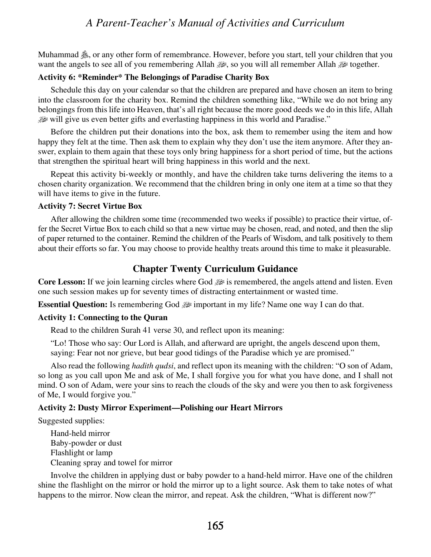Muhammad  $\hat{\mathcal{R}}$ , or any other form of remembrance. However, before you start, tell your children that you want the angels to see all of you remembering Allah  $\mathbb{R}$ , so you will all remember Allah  $\mathbb{R}$  together.

### **Activity 6: \*Reminder\* The Belongings of Paradise Charity Box**

Schedule this day on your calendar so that the children are prepared and have chosen an item to bring into the classroom for the charity box. Remind the children something like, "While we do not bring any belongings from this life into Heaven, that's all right because the more good deeds we do in this life, Allah u will give us even better gifts and everlasting happiness in this world and Paradise."

Before the children put their donations into the box, ask them to remember using the item and how happy they felt at the time. Then ask them to explain why they don't use the item anymore. After they answer, explain to them again that these toys only bring happiness for a short period of time, but the actions that strengthen the spiritual heart will bring happiness in this world and the next.

Repeat this activity bi-weekly or monthly, and have the children take turns delivering the items to a chosen charity organization. We recommend that the children bring in only one item at a time so that they will have items to give in the future.

#### **Activity 7: Secret Virtue Box**

After allowing the children some time (recommended two weeks if possible) to practice their virtue, offer the Secret Virtue Box to each child so that a new virtue may be chosen, read, and noted, and then the slip of paper returned to the container. Remind the children of the Pearls of Wisdom, and talk positively to them about their efforts so far. You may choose to provide healthy treats around this time to make it pleasurable.

#### **Chapter Twenty Curriculum Guidance**

**Core Lesson:** If we join learning circles where God  $\mathbb{R}^n$  is remembered, the angels attend and listen. Even one such session makes up for seventy times of distracting entertainment or wasted time.

**Essential Question:** Is remembering God  $\mathbb{R}^n$  important in my life? Name one way I can do that.

#### **Activity 1: Connecting to the Quran**

Read to the children Surah 41 verse 30, and reflect upon its meaning:

"Lo! Those who say: Our Lord is Allah, and afterward are upright, the angels descend upon them, saying: Fear not nor grieve, but bear good tidings of the Paradise which ye are promised."

Also read the following *hadith qudsi*, and reflect upon its meaning with the children: "O son of Adam, so long as you call upon Me and ask of Me, I shall forgive you for what you have done, and I shall not mind. O son of Adam, were your sins to reach the clouds of the sky and were you then to ask forgiveness of Me, I would forgive you."

#### **Activity 2: Dusty Mirror Experiment—Polishing our Heart Mirrors**

Suggested supplies:

Hand-held mirror Baby-powder or dust Flashlight or lamp Cleaning spray and towel for mirror

Involve the children in applying dust or baby powder to a hand-held mirror. Have one of the children shine the flashlight on the mirror or hold the mirror up to a light source. Ask them to take notes of what happens to the mirror. Now clean the mirror, and repeat. Ask the children, "What is different now?"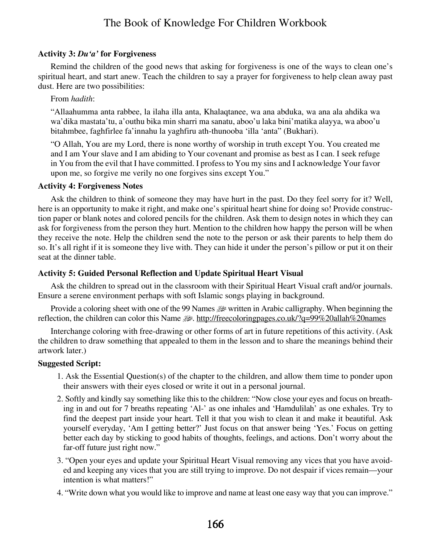#### **Activity 3:** *Du'a'* **for Forgiveness**

Remind the children of the good news that asking for forgiveness is one of the ways to clean one's spiritual heart, and start anew. Teach the children to say a prayer for forgiveness to help clean away past dust. Here are two possibilities:

#### From *hadith*:

"Allaahumma anta rabbee, la ilaha illa anta, Khalaqtanee, wa ana abduka, wa ana ala ahdika wa wa'dika mastata'tu, a'outhu bika min sharri ma sanatu, aboo'u laka bini'matika alayya, wa aboo'u bitahmbee, faghfirlee fa'innahu la yaghfiru ath-thunooba 'illa 'anta" (Bukhari).

"O Allah, You are my Lord, there is none worthy of worship in truth except You. You created me and I am Your slave and I am abiding to Your covenant and promise as best as I can. I seek refuge in You from the evil that I have committed. I profess to You my sins and I acknowledge Your favor upon me, so forgive me verily no one forgives sins except You."

#### **Activity 4: Forgiveness Notes**

Ask the children to think of someone they may have hurt in the past. Do they feel sorry for it? Well, here is an opportunity to make it right, and make one's spiritual heart shine for doing so! Provide construction paper or blank notes and colored pencils for the children. Ask them to design notes in which they can ask for forgiveness from the person they hurt. Mention to the children how happy the person will be when they receive the note. Help the children send the note to the person or ask their parents to help them do so. It's all right if it is someone they live with. They can hide it under the person's pillow or put it on their seat at the dinner table.

#### **Activity 5: Guided Personal Reflection and Update Spiritual Heart Visual**

Ask the children to spread out in the classroom with their Spiritual Heart Visual craft and/or journals. Ensure a serene environment perhaps with soft Islamic songs playing in background.

Provide a coloring sheet with one of the 99 Names witten in Arabic calligraphy. When beginning the reflection, the children can color this Name  $\frac{1}{2}$ . http://freecoloringpages.co.uk/?q=99%20allah%20names

Interchange coloring with free-drawing or other forms of art in future repetitions of this activity. (Ask the children to draw something that appealed to them in the lesson and to share the meanings behind their artwork later.)

#### **Suggested Script:**

- 1. Ask the Essential Question(s) of the chapter to the children, and allow them time to ponder upon their answers with their eyes closed or write it out in a personal journal.
- 2. Softly and kindly say something like this to the children: "Now close your eyes and focus on breathing in and out for 7 breaths repeating 'Al-' as one inhales and 'Hamdulilah' as one exhales. Try to find the deepest part inside your heart. Tell it that you wish to clean it and make it beautiful. Ask yourself everyday, 'Am I getting better?' Just focus on that answer being 'Yes.' Focus on getting better each day by sticking to good habits of thoughts, feelings, and actions. Don't worry about the far-off future just right now."
- 3. "Open your eyes and update your Spiritual Heart Visual removing any vices that you have avoided and keeping any vices that you are still trying to improve. Do not despair if vices remain—your intention is what matters!"
- 4. "Write down what you would like to improve and name at least one easy way that you can improve."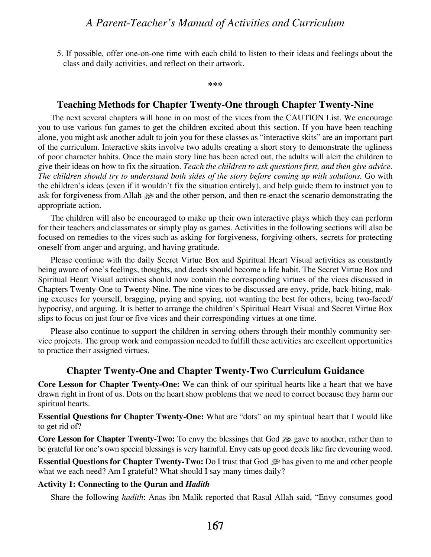5. If possible, offer one-on-one time with each child to listen to their ideas and feelings about the class and daily activities, and reflect on their artwork.

**\*\*\***

#### **Teaching Methods for Chapter Twenty-One through Chapter Twenty-Nine**

The next several chapters will hone in on most of the vices from the CAUTION List. We encourage you to use various fun games to get the children excited about this section. If you have been teaching alone, you might ask another adult to join you for these classes as "interactive skits" are an important part of the curriculum. Interactive skits involve two adults creating a short story to demonstrate the ugliness of poor character habits. Once the main story line has been acted out, the adults will alert the children to give their ideas on how to fix the situation. *Teach the children to ask questions first, and then give advice. The children should try to understand both sides of the story before coming up with solutions.* Go with the children's ideas (even if it wouldn't fix the situation entirely), and help guide them to instruct you to ask for forgiveness from Allah  $\mathbb{R}^2$  and the other person, and then re-enact the scenario demonstrating the appropriate action.

The children will also be encouraged to make up their own interactive plays which they can perform for their teachers and classmates or simply play as games. Activities in the following sections will also be focused on remedies to the vices such as asking for forgiveness, forgiving others, secrets for protecting oneself from anger and arguing, and having gratitude.

Please continue with the daily Secret Virtue Box and Spiritual Heart Visual activities as constantly being aware of one's feelings, thoughts, and deeds should become a life habit. The Secret Virtue Box and Spiritual Heart Visual activities should now contain the corresponding virtues of the vices discussed in Chapters Twenty-One to Twenty-Nine. The nine vices to be discussed are envy, pride, back-biting, making excuses for yourself, bragging, prying and spying, not wanting the best for others, being two-faced/ hypocrisy, and arguing. It is better to arrange the children's Spiritual Heart Visual and Secret Virtue Box slips to focus on just four or five vices and their corresponding virtues at one time.

Please also continue to support the children in serving others through their monthly community service projects. The group work and compassion needed to fulfill these activities are excellent opportunities to practice their assigned virtues.

#### **Chapter Twenty-One and Chapter Twenty-Two Curriculum Guidance**

**Core Lesson for Chapter Twenty-One:** We can think of our spiritual hearts like a heart that we have drawn right in front of us. Dots on the heart show problems that we need to correct because they harm our spiritual hearts.

**Essential Questions for Chapter Twenty-One:** What are "dots" on my spiritual heart that I would like to get rid of?

**Core Lesson for Chapter Twenty-Two:** To envy the blessings that God solve gave to another, rather than to be grateful for one's own special blessings is very harmful. Envy eats up good deeds like fire devouring wood.

**Essential Questions for Chapter Twenty-Two:** Do I trust that God  $\mathbb{R}^n$  has given to me and other people what we each need? Am I grateful? What should I say many times daily?

#### **Activity 1: Connecting to the Quran and** *Hadith*

Share the following *hadith*: Anas ibn Malik reported that Rasul Allah said, "Envy consumes good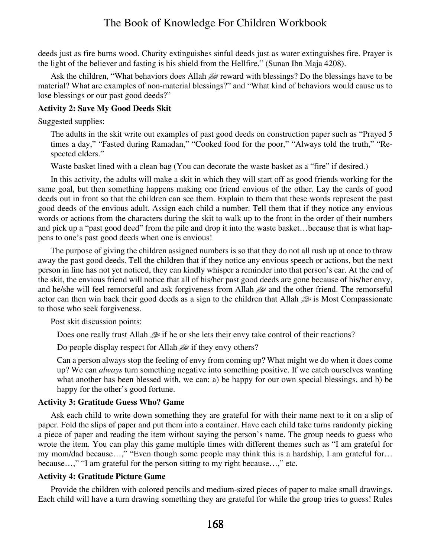deeds just as fire burns wood. Charity extinguishes sinful deeds just as water extinguishes fire. Prayer is the light of the believer and fasting is his shield from the Hellfire." (Sunan Ibn Maja 4208).

Ask the children, "What behaviors does Allah u reward with blessings? Do the blessings have to be material? What are examples of non-material blessings?" and "What kind of behaviors would cause us to lose blessings or our past good deeds?"

#### **Activity 2: Save My Good Deeds Skit**

Suggested supplies:

The adults in the skit write out examples of past good deeds on construction paper such as "Prayed 5 times a day," "Fasted during Ramadan," "Cooked food for the poor," "Always told the truth," "Respected elders."

Waste basket lined with a clean bag (You can decorate the waste basket as a "fire" if desired.)

In this activity, the adults will make a skit in which they will start off as good friends working for the same goal, but then something happens making one friend envious of the other. Lay the cards of good deeds out in front so that the children can see them. Explain to them that these words represent the past good deeds of the envious adult. Assign each child a number. Tell them that if they notice any envious words or actions from the characters during the skit to walk up to the front in the order of their numbers and pick up a "past good deed" from the pile and drop it into the waste basket…because that is what happens to one's past good deeds when one is envious!

The purpose of giving the children assigned numbers is so that they do not all rush up at once to throw away the past good deeds. Tell the children that if they notice any envious speech or actions, but the next person in line has not yet noticed, they can kindly whisper a reminder into that person's ear. At the end of the skit, the envious friend will notice that all of his/her past good deeds are gone because of his/her envy, and he/she will feel remorseful and ask forgiveness from Allah  $\mathbb{R}$  and the other friend. The remorseful actor can then win back their good deeds as a sign to the children that Allah use is Most Compassionate to those who seek forgiveness.

Post skit discussion points:

Does one really trust Allah  $\mathbb{R}$  if he or she lets their envy take control of their reactions?

Do people display respect for Allah use if they envy others?

Can a person always stop the feeling of envy from coming up? What might we do when it does come up? We can *always* turn something negative into something positive. If we catch ourselves wanting what another has been blessed with, we can: a) be happy for our own special blessings, and b) be happy for the other's good fortune.

#### **Activity 3: Gratitude Guess Who? Game**

Ask each child to write down something they are grateful for with their name next to it on a slip of paper. Fold the slips of paper and put them into a container. Have each child take turns randomly picking a piece of paper and reading the item without saying the person's name. The group needs to guess who wrote the item. You can play this game multiple times with different themes such as "I am grateful for my mom/dad because…," "Even though some people may think this is a hardship, I am grateful for… because…," "I am grateful for the person sitting to my right because…," etc.

#### **Activity 4: Gratitude Picture Game**

Provide the children with colored pencils and medium-sized pieces of paper to make small drawings. Each child will have a turn drawing something they are grateful for while the group tries to guess! Rules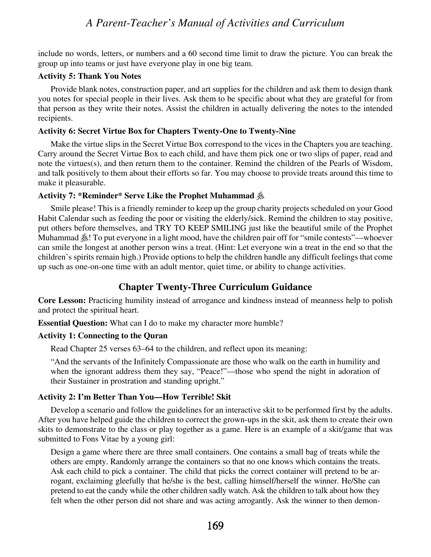include no words, letters, or numbers and a 60 second time limit to draw the picture. You can break the group up into teams or just have everyone play in one big team.

#### **Activity 5: Thank You Notes**

Provide blank notes, construction paper, and art supplies for the children and ask them to design thank you notes for special people in their lives. Ask them to be specific about what they are grateful for from that person as they write their notes. Assist the children in actually delivering the notes to the intended recipients.

#### **Activity 6: Secret Virtue Box for Chapters Twenty-One to Twenty-Nine**

Make the virtue slips in the Secret Virtue Box correspond to the vices in the Chapters you are teaching. Carry around the Secret Virtue Box to each child, and have them pick one or two slips of paper, read and note the virtues(s), and then return them to the container. Remind the children of the Pearls of Wisdom, and talk positively to them about their efforts so far. You may choose to provide treats around this time to make it pleasurable.

#### **Activity 7: \*Reminder\* Serve Like the Prophet Muhammad** s

Smile please! This is a friendly reminder to keep up the group charity projects scheduled on your Good Habit Calendar such as feeding the poor or visiting the elderly/sick. Remind the children to stay positive, put others before themselves, and TRY TO KEEP SMILING just like the beautiful smile of the Prophet Muhammad s! To put everyone in a light mood, have the children pair off for "smile contests"—whoever can smile the longest at another person wins a treat. (Hint: Let everyone win a treat in the end so that the children's spirits remain high.) Provide options to help the children handle any difficult feelings that come up such as one-on-one time with an adult mentor, quiet time, or ability to change activities.

# **Chapter Twenty-Three Curriculum Guidance**

**Core Lesson:** Practicing humility instead of arrogance and kindness instead of meanness help to polish and protect the spiritual heart.

**Essential Question:** What can I do to make my character more humble?

#### **Activity 1: Connecting to the Quran**

Read Chapter 25 verses 63–64 to the children, and reflect upon its meaning:

"And the servants of the Infinitely Compassionate are those who walk on the earth in humility and when the ignorant address them they say, "Peace!"—those who spend the night in adoration of their Sustainer in prostration and standing upright."

#### **Activity 2: I'm Better Than You—How Terrible! Skit**

Develop a scenario and follow the guidelines for an interactive skit to be performed first by the adults. After you have helped guide the children to correct the grown-ups in the skit, ask them to create their own skits to demonstrate to the class or play together as a game. Here is an example of a skit/game that was submitted to Fons Vitae by a young girl:

Design a game where there are three small containers. One contains a small bag of treats while the others are empty. Randomly arrange the containers so that no one knows which contains the treats. Ask each child to pick a container. The child that picks the correct container will pretend to be arrogant, exclaiming gleefully that he/she is the best, calling himself/herself the winner. He/She can pretend to eat the candy while the other children sadly watch. Ask the children to talk about how they felt when the other person did not share and was acting arrogantly. Ask the winner to then demon-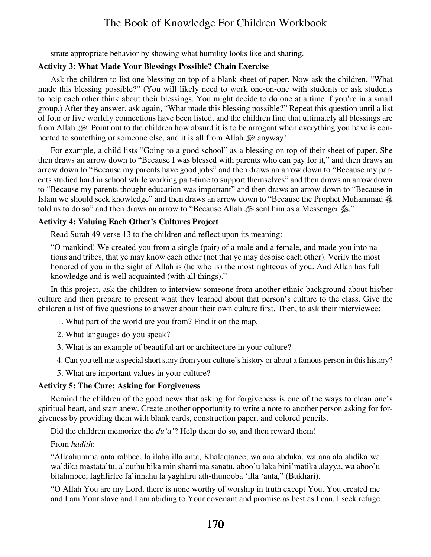strate appropriate behavior by showing what humility looks like and sharing.

#### **Activity 3: What Made Your Blessings Possible? Chain Exercise**

Ask the children to list one blessing on top of a blank sheet of paper. Now ask the children, "What made this blessing possible?" (You will likely need to work one-on-one with students or ask students to help each other think about their blessings. You might decide to do one at a time if you're in a small group.) After they answer, ask again, "What made this blessing possible?" Repeat this question until a list of four or five worldly connections have been listed, and the children find that ultimately all blessings are from Allah  $\mathbb{R}$ . Point out to the children how absurd it is to be arrogant when everything you have is connected to something or someone else, and it is all from Allah  $\mathbb{R}$  anyway!

For example, a child lists "Going to a good school" as a blessing on top of their sheet of paper. She then draws an arrow down to "Because I was blessed with parents who can pay for it," and then draws an arrow down to "Because my parents have good jobs" and then draws an arrow down to "Because my parents studied hard in school while working part-time to support themselves" and then draws an arrow down to "Because my parents thought education was important" and then draws an arrow down to "Because in Islam we should seek knowledge" and then draws an arrow down to "Because the Prophet Muhammad  $\&$ told us to do so" and then draws an arrow to "Because Allah  $\mathbb{R}$  sent him as a Messenger  $\mathbb{R}$ ."

#### **Activity 4: Valuing Each Other's Cultures Project**

Read Surah 49 verse 13 to the children and reflect upon its meaning:

"O mankind! We created you from a single (pair) of a male and a female, and made you into nations and tribes, that ye may know each other (not that ye may despise each other). Verily the most honored of you in the sight of Allah is (he who is) the most righteous of you. And Allah has full knowledge and is well acquainted (with all things)."

In this project, ask the children to interview someone from another ethnic background about his/her culture and then prepare to present what they learned about that person's culture to the class. Give the children a list of five questions to answer about their own culture first. Then, to ask their interviewee:

- 1. What part of the world are you from? Find it on the map.
- 2. What languages do you speak?
- 3. What is an example of beautiful art or architecture in your culture?
- 4. Can you tell me a special short story from your culture's history or about a famous person in this history?
- 5. What are important values in your culture?

#### **Activity 5: The Cure: Asking for Forgiveness**

Remind the children of the good news that asking for forgiveness is one of the ways to clean one's spiritual heart, and start anew. Create another opportunity to write a note to another person asking for forgiveness by providing them with blank cards, construction paper, and colored pencils.

Did the children memorize the *du'a'*? Help them do so, and then reward them!

From *hadith*:

"Allaahumma anta rabbee, la ilaha illa anta, Khalaqtanee, wa ana abduka, wa ana ala ahdika wa wa'dika mastata'tu, a'outhu bika min sharri ma sanatu, aboo'u laka bini'matika alayya, wa aboo'u bitahmbee, faghfirlee fa'innahu la yaghfiru ath-thunooba 'illa 'anta," (Bukhari).

"O Allah You are my Lord, there is none worthy of worship in truth except You. You created me and I am Your slave and I am abiding to Your covenant and promise as best as I can. I seek refuge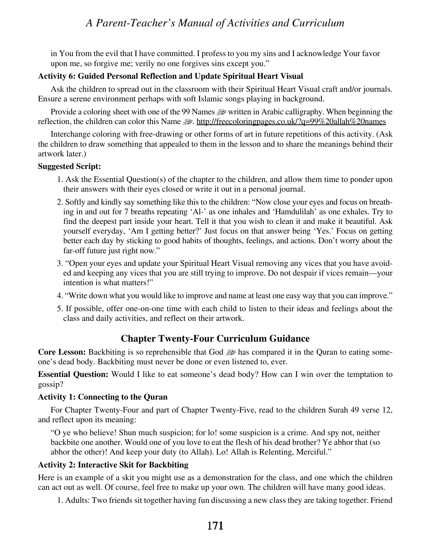in You from the evil that I have committed. I profess to you my sins and I acknowledge Your favor upon me, so forgive me; verily no one forgives sins except you."

### **Activity 6: Guided Personal Reflection and Update Spiritual Heart Visual**

Ask the children to spread out in the classroom with their Spiritual Heart Visual craft and/or journals. Ensure a serene environment perhaps with soft Islamic songs playing in background.

Provide a coloring sheet with one of the 99 Names  $\mathbb{R}^n$  written in Arabic calligraphy. When beginning the reflection, the children can color this Name  $\mathcal{L}$ . http://freecoloringpages.co.uk/?q=99%20allah%20names

Interchange coloring with free-drawing or other forms of art in future repetitions of this activity. (Ask the children to draw something that appealed to them in the lesson and to share the meanings behind their artwork later.)

#### **Suggested Script:**

- 1. Ask the Essential Question(s) of the chapter to the children, and allow them time to ponder upon their answers with their eyes closed or write it out in a personal journal.
- 2. Softly and kindly say something like this to the children: "Now close your eyes and focus on breathing in and out for 7 breaths repeating 'Al-' as one inhales and 'Hamdulilah' as one exhales. Try to find the deepest part inside your heart. Tell it that you wish to clean it and make it beautiful. Ask yourself everyday, 'Am I getting better?' Just focus on that answer being 'Yes.' Focus on getting better each day by sticking to good habits of thoughts, feelings, and actions. Don't worry about the far-off future just right now."
- 3. "Open your eyes and update your Spiritual Heart Visual removing any vices that you have avoided and keeping any vices that you are still trying to improve. Do not despair if vices remain—your intention is what matters!"
- 4. "Write down what you would like to improve and name at least one easy way that you can improve."
- 5. If possible, offer one-on-one time with each child to listen to their ideas and feelings about the class and daily activities, and reflect on their artwork.

# **Chapter Twenty-Four Curriculum Guidance**

**Core Lesson:** Backbiting is so reprehensible that God  $\mathbb{R}$  has compared it in the Quran to eating someone's dead body. Backbiting must never be done or even listened to, ever.

**Essential Question:** Would I like to eat someone's dead body? How can I win over the temptation to gossip?

#### **Activity 1: Connecting to the Quran**

For Chapter Twenty-Four and part of Chapter Twenty-Five, read to the children Surah 49 verse 12, and reflect upon its meaning:

"O ye who believe! Shun much suspicion; for lo! some suspicion is a crime. And spy not, neither backbite one another. Would one of you love to eat the flesh of his dead brother? Ye abhor that (so abhor the other)! And keep your duty (to Allah). Lo! Allah is Relenting, Merciful."

#### **Activity 2: Interactive Skit for Backbiting**

Here is an example of a skit you might use as a demonstration for the class, and one which the children can act out as well. Of course, feel free to make up your own. The children will have many good ideas.

1. Adults: Two friends sit together having fun discussing a new class they are taking together. Friend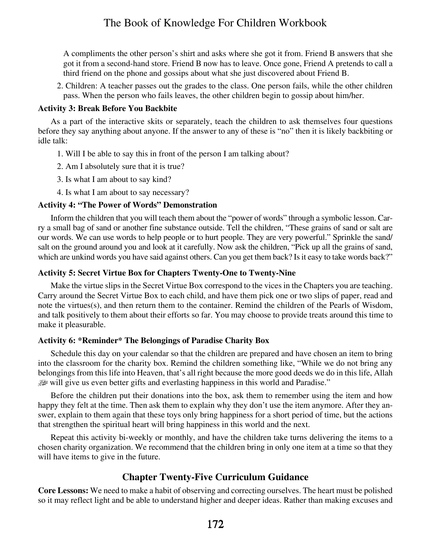A compliments the other person's shirt and asks where she got it from. Friend B answers that she got it from a second-hand store. Friend B now has to leave. Once gone, Friend A pretends to call a third friend on the phone and gossips about what she just discovered about Friend B.

2. Children: A teacher passes out the grades to the class. One person fails, while the other children pass. When the person who fails leaves, the other children begin to gossip about him/her.

### **Activity 3: Break Before You Backbite**

As a part of the interactive skits or separately, teach the children to ask themselves four questions before they say anything about anyone. If the answer to any of these is "no" then it is likely backbiting or idle talk:

- 1. Will I be able to say this in front of the person I am talking about?
- 2. Am I absolutely sure that it is true?
- 3. Is what I am about to say kind?
- 4. Is what I am about to say necessary?

### **Activity 4: "The Power of Words" Demonstration**

Inform the children that you will teach them about the "power of words" through a symbolic lesson. Carry a small bag of sand or another fine substance outside. Tell the children, "These grains of sand or salt are our words. We can use words to help people or to hurt people. They are very powerful." Sprinkle the sand/ salt on the ground around you and look at it carefully. Now ask the children, "Pick up all the grains of sand, which are unkind words you have said against others. Can you get them back? Is it easy to take words back?"

### **Activity 5: Secret Virtue Box for Chapters Twenty-One to Twenty-Nine**

Make the virtue slips in the Secret Virtue Box correspond to the vices in the Chapters you are teaching. Carry around the Secret Virtue Box to each child, and have them pick one or two slips of paper, read and note the virtues(s), and then return them to the container. Remind the children of the Pearls of Wisdom, and talk positively to them about their efforts so far. You may choose to provide treats around this time to make it pleasurable.

#### **Activity 6: \*Reminder\* The Belongings of Paradise Charity Box**

Schedule this day on your calendar so that the children are prepared and have chosen an item to bring into the classroom for the charity box. Remind the children something like, "While we do not bring any belongings from this life into Heaven, that's all right because the more good deeds we do in this life, Allah will give us even better gifts and everlasting happiness in this world and Paradise."

Before the children put their donations into the box, ask them to remember using the item and how happy they felt at the time. Then ask them to explain why they don't use the item anymore. After they answer, explain to them again that these toys only bring happiness for a short period of time, but the actions that strengthen the spiritual heart will bring happiness in this world and the next.

Repeat this activity bi-weekly or monthly, and have the children take turns delivering the items to a chosen charity organization. We recommend that the children bring in only one item at a time so that they will have items to give in the future.

# **Chapter Twenty-Five Curriculum Guidance**

**Core Lessons:** We need to make a habit of observing and correcting ourselves. The heart must be polished so it may reflect light and be able to understand higher and deeper ideas. Rather than making excuses and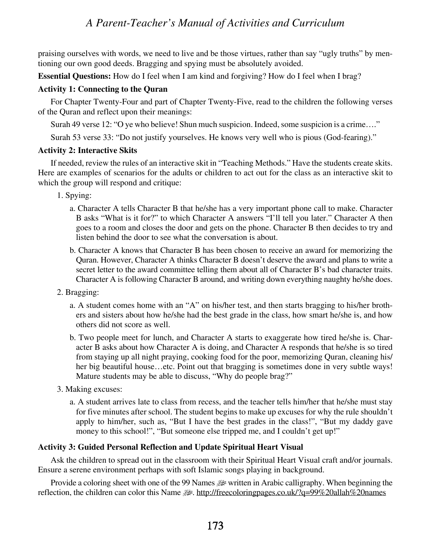praising ourselves with words, we need to live and be those virtues, rather than say "ugly truths" by mentioning our own good deeds. Bragging and spying must be absolutely avoided.

**Essential Questions:** How do I feel when I am kind and forgiving? How do I feel when I brag?

#### **Activity 1: Connecting to the Quran**

For Chapter Twenty-Four and part of Chapter Twenty-Five, read to the children the following verses of the Quran and reflect upon their meanings:

Surah 49 verse 12: "O ye who believe! Shun much suspicion. Indeed, some suspicion is a crime…."

Surah 53 verse 33: "Do not justify yourselves. He knows very well who is pious (God-fearing)."

#### **Activity 2: Interactive Skits**

If needed, review the rules of an interactive skit in "Teaching Methods." Have the students create skits. Here are examples of scenarios for the adults or children to act out for the class as an interactive skit to which the group will respond and critique:

- 1. Spying:
	- a. Character A tells Character B that he/she has a very important phone call to make. Character B asks "What is it for?" to which Character A answers "I'll tell you later." Character A then goes to a room and closes the door and gets on the phone. Character B then decides to try and listen behind the door to see what the conversation is about.
	- b. Character A knows that Character B has been chosen to receive an award for memorizing the Quran. However, Character A thinks Character B doesn't deserve the award and plans to write a secret letter to the award committee telling them about all of Character B's bad character traits. Character A is following Character B around, and writing down everything naughty he/she does.
- 2. Bragging:
	- a. A student comes home with an "A" on his/her test, and then starts bragging to his/her brothers and sisters about how he/she had the best grade in the class, how smart he/she is, and how others did not score as well.
	- b. Two people meet for lunch, and Character A starts to exaggerate how tired he/she is. Character B asks about how Character A is doing, and Character A responds that he/she is so tired from staying up all night praying, cooking food for the poor, memorizing Quran, cleaning his/ her big beautiful house...etc. Point out that bragging is sometimes done in very subtle ways! Mature students may be able to discuss, "Why do people brag?"
- 3. Making excuses:
	- a. A student arrives late to class from recess, and the teacher tells him/her that he/she must stay for five minutes after school. The student begins to make up excuses for why the rule shouldn't apply to him/her, such as, "But I have the best grades in the class!", "But my daddy gave money to this school!", "But someone else tripped me, and I couldn't get up!"

#### **Activity 3: Guided Personal Reflection and Update Spiritual Heart Visual**

Ask the children to spread out in the classroom with their Spiritual Heart Visual craft and/or journals. Ensure a serene environment perhaps with soft Islamic songs playing in background.

Provide a coloring sheet with one of the 99 Names witten in Arabic calligraphy. When beginning the reflection, the children can color this Name  $\frac{1}{2}$ . http://freecoloringpages.co.uk/?q=99%20allah%20names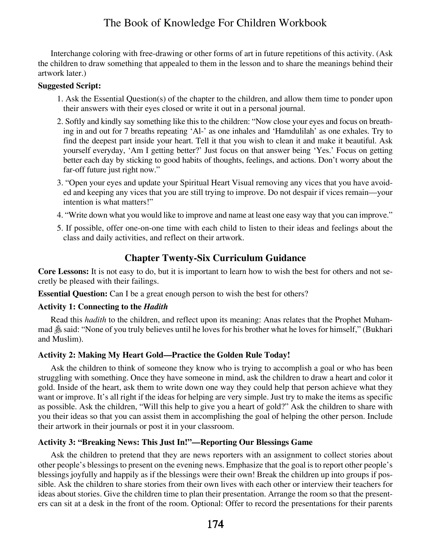Interchange coloring with free-drawing or other forms of art in future repetitions of this activity. (Ask the children to draw something that appealed to them in the lesson and to share the meanings behind their artwork later.)

#### **Suggested Script:**

- 1. Ask the Essential Question(s) of the chapter to the children, and allow them time to ponder upon their answers with their eyes closed or write it out in a personal journal.
- 2. Softly and kindly say something like this to the children: "Now close your eyes and focus on breathing in and out for 7 breaths repeating 'Al-' as one inhales and 'Hamdulilah' as one exhales. Try to find the deepest part inside your heart. Tell it that you wish to clean it and make it beautiful. Ask yourself everyday, 'Am I getting better?' Just focus on that answer being 'Yes.' Focus on getting better each day by sticking to good habits of thoughts, feelings, and actions. Don't worry about the far-off future just right now."
- 3. "Open your eyes and update your Spiritual Heart Visual removing any vices that you have avoided and keeping any vices that you are still trying to improve. Do not despair if vices remain—your intention is what matters!"
- 4. "Write down what you would like to improve and name at least one easy way that you can improve."
- 5. If possible, offer one-on-one time with each child to listen to their ideas and feelings about the class and daily activities, and reflect on their artwork.

### **Chapter Twenty-Six Curriculum Guidance**

**Core Lessons:** It is not easy to do, but it is important to learn how to wish the best for others and not secretly be pleased with their failings.

**Essential Question:** Can I be a great enough person to wish the best for others?

#### **Activity 1: Connecting to the** *Hadith*

Read this *hadith* to the children, and reflect upon its meaning: Anas relates that the Prophet Muhammad  $\hat{\mathcal{L}}$  said: "None of you truly believes until he loves for his brother what he loves for himself," (Bukhari and Muslim).

#### **Activity 2: Making My Heart Gold—Practice the Golden Rule Today!**

Ask the children to think of someone they know who is trying to accomplish a goal or who has been struggling with something. Once they have someone in mind, ask the children to draw a heart and color it gold. Inside of the heart, ask them to write down one way they could help that person achieve what they want or improve. It's all right if the ideas for helping are very simple. Just try to make the items as specific as possible. Ask the children, "Will this help to give you a heart of gold?" Ask the children to share with you their ideas so that you can assist them in accomplishing the goal of helping the other person. Include their artwork in their journals or post it in your classroom.

#### **Activity 3: "Breaking News: This Just In!"—Reporting Our Blessings Game**

Ask the children to pretend that they are news reporters with an assignment to collect stories about other people's blessings to present on the evening news. Emphasize that the goal is to report other people's blessings joyfully and happily as if the blessings were their own! Break the children up into groups if possible. Ask the children to share stories from their own lives with each other or interview their teachers for ideas about stories. Give the children time to plan their presentation. Arrange the room so that the presenters can sit at a desk in the front of the room. Optional: Offer to record the presentations for their parents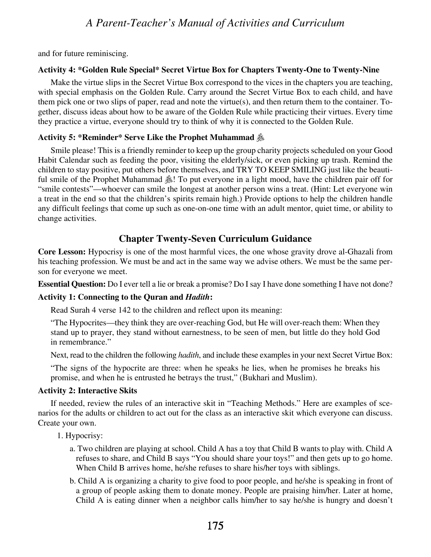and for future reminiscing.

### **Activity 4: \*Golden Rule Special\* Secret Virtue Box for Chapters Twenty-One to Twenty-Nine**

Make the virtue slips in the Secret Virtue Box correspond to the vices in the chapters you are teaching, with special emphasis on the Golden Rule. Carry around the Secret Virtue Box to each child, and have them pick one or two slips of paper, read and note the virtue(s), and then return them to the container. Together, discuss ideas about how to be aware of the Golden Rule while practicing their virtues. Every time they practice a virtue, everyone should try to think of why it is connected to the Golden Rule.

### Activity 5: \*Reminder\* Serve Like the Prophet Muhammad  $\frac{4}{5}$

Smile please! This is a friendly reminder to keep up the group charity projects scheduled on your Good Habit Calendar such as feeding the poor, visiting the elderly/sick, or even picking up trash. Remind the children to stay positive, put others before themselves, and TRY TO KEEP SMILING just like the beautiful smile of the Prophet Muhammad  $\&$ ! To put everyone in a light mood, have the children pair off for "smile contests"—whoever can smile the longest at another person wins a treat. (Hint: Let everyone win a treat in the end so that the children's spirits remain high.) Provide options to help the children handle any difficult feelings that come up such as one-on-one time with an adult mentor, quiet time, or ability to change activities.

# **Chapter Twenty-Seven Curriculum Guidance**

**Core Lesson:** Hypocrisy is one of the most harmful vices, the one whose gravity drove al-Ghazali from his teaching profession. We must be and act in the same way we advise others. We must be the same person for everyone we meet.

**Essential Question:** Do I ever tell a lie or break a promise? Do I say I have done something I have not done?

### **Activity 1: Connecting to the Quran and** *Hadith***:**

Read Surah 4 verse 142 to the children and reflect upon its meaning:

"The Hypocrites—they think they are over-reaching God, but He will over-reach them: When they stand up to prayer, they stand without earnestness, to be seen of men, but little do they hold God in remembrance."

Next, read to the children the following *hadith*, and include these examples in your next Secret Virtue Box:

"The signs of the hypocrite are three: when he speaks he lies, when he promises he breaks his promise, and when he is entrusted he betrays the trust," (Bukhari and Muslim).

#### **Activity 2: Interactive Skits**

If needed, review the rules of an interactive skit in "Teaching Methods." Here are examples of scenarios for the adults or children to act out for the class as an interactive skit which everyone can discuss. Create your own.

- 1. Hypocrisy:
	- a. Two children are playing at school. Child A has a toy that Child B wants to play with. Child A refuses to share, and Child B says "You should share your toys!" and then gets up to go home. When Child B arrives home, he/she refuses to share his/her toys with siblings.
	- b. Child A is organizing a charity to give food to poor people, and he/she is speaking in front of a group of people asking them to donate money. People are praising him/her. Later at home, Child A is eating dinner when a neighbor calls him/her to say he/she is hungry and doesn't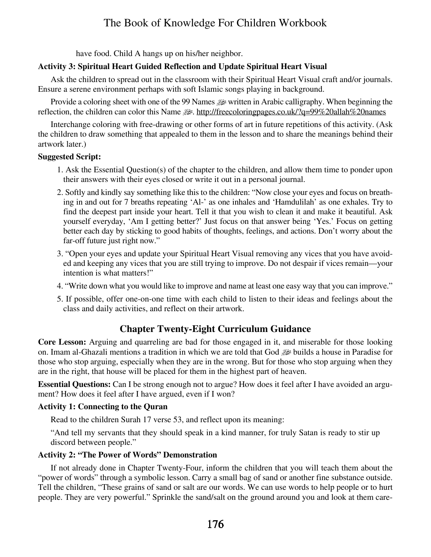have food. Child A hangs up on his/her neighbor.

# **Activity 3: Spiritual Heart Guided Reflection and Update Spiritual Heart Visual**

Ask the children to spread out in the classroom with their Spiritual Heart Visual craft and/or journals. Ensure a serene environment perhaps with soft Islamic songs playing in background.

Provide a coloring sheet with one of the 99 Names  $\mathcal{L}$  written in Arabic calligraphy. When beginning the reflection, the children can color this Name  $\frac{1}{2}$ . http://freecoloringpages.co.uk/?q=99%20allah%20names

Interchange coloring with free-drawing or other forms of art in future repetitions of this activity. (Ask the children to draw something that appealed to them in the lesson and to share the meanings behind their artwork later.)

### **Suggested Script:**

- 1. Ask the Essential Question(s) of the chapter to the children, and allow them time to ponder upon their answers with their eyes closed or write it out in a personal journal.
- 2. Softly and kindly say something like this to the children: "Now close your eyes and focus on breathing in and out for 7 breaths repeating 'Al-' as one inhales and 'Hamdulilah' as one exhales. Try to find the deepest part inside your heart. Tell it that you wish to clean it and make it beautiful. Ask yourself everyday, 'Am I getting better?' Just focus on that answer being 'Yes.' Focus on getting better each day by sticking to good habits of thoughts, feelings, and actions. Don't worry about the far-off future just right now."
- 3. "Open your eyes and update your Spiritual Heart Visual removing any vices that you have avoided and keeping any vices that you are still trying to improve. Do not despair if vices remain—your intention is what matters!"
- 4. "Write down what you would like to improve and name at least one easy way that you can improve."
- 5. If possible, offer one-on-one time with each child to listen to their ideas and feelings about the class and daily activities, and reflect on their artwork.

# **Chapter Twenty-Eight Curriculum Guidance**

**Core Lesson:** Arguing and quarreling are bad for those engaged in it, and miserable for those looking on. Imam al-Ghazali mentions a tradition in which we are told that God  $\mathbb{R}^n$  builds a house in Paradise for those who stop arguing, especially when they are in the wrong. But for those who stop arguing when they are in the right, that house will be placed for them in the highest part of heaven.

**Essential Questions:** Can I be strong enough not to argue? How does it feel after I have avoided an argument? How does it feel after I have argued, even if I won?

# **Activity 1: Connecting to the Quran**

Read to the children Surah 17 verse 53, and reflect upon its meaning:

"And tell my servants that they should speak in a kind manner, for truly Satan is ready to stir up discord between people."

# **Activity 2: "The Power of Words" Demonstration**

If not already done in Chapter Twenty-Four, inform the children that you will teach them about the "power of words" through a symbolic lesson. Carry a small bag of sand or another fine substance outside. Tell the children, "These grains of sand or salt are our words. We can use words to help people or to hurt people. They are very powerful." Sprinkle the sand/salt on the ground around you and look at them care-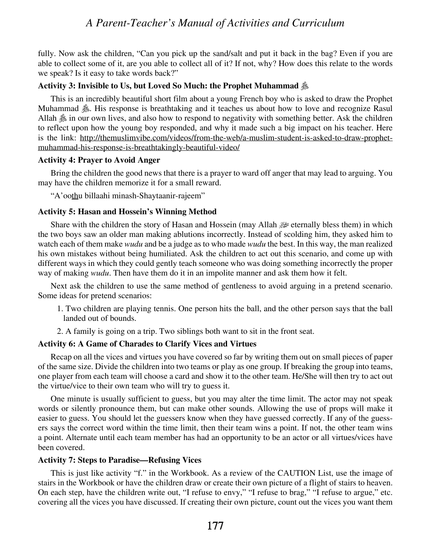fully. Now ask the children, "Can you pick up the sand/salt and put it back in the bag? Even if you are able to collect some of it, are you able to collect all of it? If not, why? How does this relate to the words we speak? Is it easy to take words back?"

#### **Activity 3: Invisible to Us, but Loved So Much: the Prophet Muhammad** s

This is an incredibly beautiful short film about a young French boy who is asked to draw the Prophet Muhammad  $\hat{\mathcal{B}}$ . His response is breathtaking and it teaches us about how to love and recognize Rasul Allah  $\hat{\mathcal{E}}$  in our own lives, and also how to respond to negativity with something better. Ask the children to reflect upon how the young boy responded, and why it made such a big impact on his teacher. Here is the link: http://themuslimvibe.com/videos/from-the-web/a-muslim-student-is-asked-to-draw-prophetmuhammad-his-response-is-breathtakingly-beautiful-video/

#### **Activity 4: Prayer to Avoid Anger**

Bring the children the good news that there is a prayer to ward off anger that may lead to arguing. You may have the children memorize it for a small reward.

"A'oothu billaahi minash-Shaytaanir-rajeem"

#### **Activity 5: Hasan and Hossein's Winning Method**

Share with the children the story of Hasan and Hossein (may Allah  $\mathbb{R}$  eternally bless them) in which the two boys saw an older man making ablutions incorrectly. Instead of scolding him, they asked him to watch each of them make *wudu* and be a judge as to who made *wudu* the best. In this way, the man realized his own mistakes without being humiliated. Ask the children to act out this scenario, and come up with different ways in which they could gently teach someone who was doing something incorrectly the proper way of making *wudu*. Then have them do it in an impolite manner and ask them how it felt.

Next ask the children to use the same method of gentleness to avoid arguing in a pretend scenario. Some ideas for pretend scenarios:

- 1. Two children are playing tennis. One person hits the ball, and the other person says that the ball landed out of bounds.
- 2. A family is going on a trip. Two siblings both want to sit in the front seat.

#### **Activity 6: A Game of Charades to Clarify Vices and Virtues**

Recap on all the vices and virtues you have covered so far by writing them out on small pieces of paper of the same size. Divide the children into two teams or play as one group. If breaking the group into teams, one player from each team will choose a card and show it to the other team. He/She will then try to act out the virtue/vice to their own team who will try to guess it.

One minute is usually sufficient to guess, but you may alter the time limit. The actor may not speak words or silently pronounce them, but can make other sounds. Allowing the use of props will make it easier to guess. You should let the guessers know when they have guessed correctly. If any of the guessers says the correct word within the time limit, then their team wins a point. If not, the other team wins a point. Alternate until each team member has had an opportunity to be an actor or all virtues/vices have been covered.

#### **Activity 7: Steps to Paradise—Refusing Vices**

This is just like activity "f." in the Workbook. As a review of the CAUTION List, use the image of stairs in the Workbook or have the children draw or create their own picture of a flight of stairs to heaven. On each step, have the children write out, "I refuse to envy," "I refuse to brag," "I refuse to argue," etc. covering all the vices you have discussed. If creating their own picture, count out the vices you want them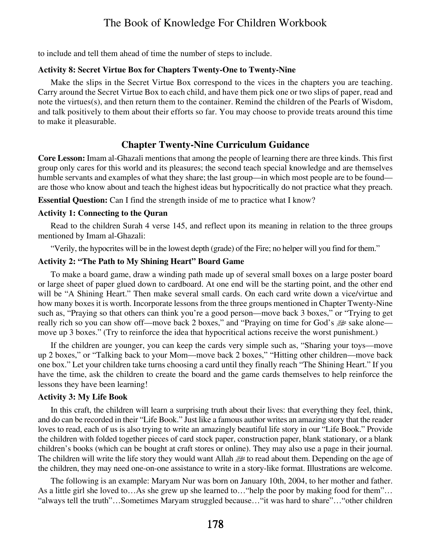to include and tell them ahead of time the number of steps to include.

#### **Activity 8: Secret Virtue Box for Chapters Twenty-One to Twenty-Nine**

Make the slips in the Secret Virtue Box correspond to the vices in the chapters you are teaching. Carry around the Secret Virtue Box to each child, and have them pick one or two slips of paper, read and note the virtues(s), and then return them to the container. Remind the children of the Pearls of Wisdom, and talk positively to them about their efforts so far. You may choose to provide treats around this time to make it pleasurable.

# **Chapter Twenty-Nine Curriculum Guidance**

**Core Lesson:** Imam al-Ghazali mentions that among the people of learning there are three kinds. This first group only cares for this world and its pleasures; the second teach special knowledge and are themselves humble servants and examples of what they share; the last group—in which most people are to be found are those who know about and teach the highest ideas but hypocritically do not practice what they preach.

**Essential Question:** Can I find the strength inside of me to practice what I know?

#### **Activity 1: Connecting to the Quran**

Read to the children Surah 4 verse 145, and reflect upon its meaning in relation to the three groups mentioned by Imam al-Ghazali:

"Verily, the hypocrites will be in the lowest depth (grade) of the Fire; no helper will you find for them."

### **Activity 2: "The Path to My Shining Heart" Board Game**

To make a board game, draw a winding path made up of several small boxes on a large poster board or large sheet of paper glued down to cardboard. At one end will be the starting point, and the other end will be "A Shining Heart." Then make several small cards. On each card write down a vice/virtue and how many boxes it is worth. Incorporate lessons from the three groups mentioned in Chapter Twenty-Nine such as, "Praying so that others can think you're a good person—move back 3 boxes," or "Trying to get really rich so you can show off—move back 2 boxes," and "Praying on time for God's  $\mathbb{R}^2$  sake alone move up 3 boxes." (Try to reinforce the idea that hypocritical actions receive the worst punishment.)

If the children are younger, you can keep the cards very simple such as, "Sharing your toys—move up 2 boxes," or "Talking back to your Mom—move back 2 boxes," "Hitting other children—move back one box." Let your children take turns choosing a card until they finally reach "The Shining Heart." If you have the time, ask the children to create the board and the game cards themselves to help reinforce the lessons they have been learning!

#### **Activity 3: My Life Book**

In this craft, the children will learn a surprising truth about their lives: that everything they feel, think, and do can be recorded in their "Life Book." Just like a famous author writes an amazing story that the reader loves to read, each of us is also trying to write an amazingly beautiful life story in our "Life Book." Provide the children with folded together pieces of card stock paper, construction paper, blank stationary, or a blank children's books (which can be bought at craft stores or online). They may also use a page in their journal. The children will write the life story they would want Allah  $\mathbb{R}$  to read about them. Depending on the age of the children, they may need one-on-one assistance to write in a story-like format. Illustrations are welcome.

The following is an example: Maryam Nur was born on January 10th, 2004, to her mother and father. As a little girl she loved to…As she grew up she learned to…"help the poor by making food for them"… "always tell the truth"…Sometimes Maryam struggled because…"it was hard to share"…"other children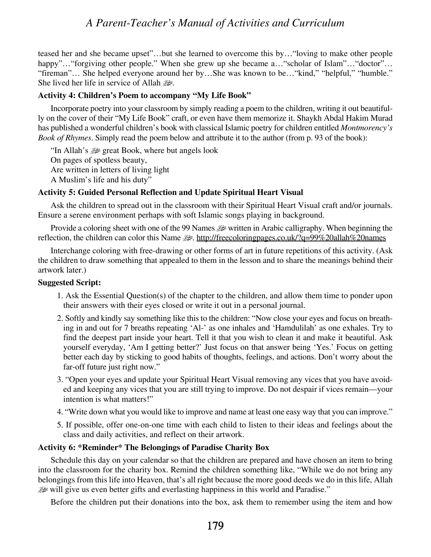teased her and she became upset"…but she learned to overcome this by…"loving to make other people happy"…"forgiving other people." When she grew up she became a..."scholar of Islam"…"doctor"… "fireman"… She helped everyone around her by…She was known to be…"kind," "helpful," "humble." She lived her life in service of Allah  $\mathbb{R}$ .

#### **Activity 4: Children's Poem to accompany "My Life Book"**

Incorporate poetry into your classroom by simply reading a poem to the children, writing it out beautifully on the cover of their "My Life Book" craft, or even have them memorize it. Shaykh Abdal Hakim Murad has published a wonderful children's book with classical Islamic poetry for children entitled *Montmorency's Book of Rhymes*. Simply read the poem below and attribute it to the author (from p. 93 of the book):

"In Allah's  $\mathbb{R}$  great Book, where but angels look On pages of spotless beauty, Are written in letters of living light A Muslim's life and his duty"

#### **Activity 5: Guided Personal Reflection and Update Spiritual Heart Visual**

Ask the children to spread out in the classroom with their Spiritual Heart Visual craft and/or journals. Ensure a serene environment perhaps with soft Islamic songs playing in background.

Provide a coloring sheet with one of the 99 Names witten in Arabic calligraphy. When beginning the reflection, the children can color this Name  $\frac{100}{2}$ . http://freecoloringpages.co.uk/?q=99%20allah%20names

Interchange coloring with free-drawing or other forms of art in future repetitions of this activity. (Ask the children to draw something that appealed to them in the lesson and to share the meanings behind their artwork later.)

#### **Suggested Script:**

- 1. Ask the Essential Question(s) of the chapter to the children, and allow them time to ponder upon their answers with their eyes closed or write it out in a personal journal.
- 2. Softly and kindly say something like this to the children: "Now close your eyes and focus on breathing in and out for 7 breaths repeating 'Al-' as one inhales and 'Hamdulilah' as one exhales. Try to find the deepest part inside your heart. Tell it that you wish to clean it and make it beautiful. Ask yourself everyday, 'Am I getting better?' Just focus on that answer being 'Yes.' Focus on getting better each day by sticking to good habits of thoughts, feelings, and actions. Don't worry about the far-off future just right now."
- 3. "Open your eyes and update your Spiritual Heart Visual removing any vices that you have avoided and keeping any vices that you are still trying to improve. Do not despair if vices remain—your intention is what matters!"
- 4. "Write down what you would like to improve and name at least one easy way that you can improve."
- 5. If possible, offer one-on-one time with each child to listen to their ideas and feelings about the class and daily activities, and reflect on their artwork.

#### **Activity 6: \*Reminder\* The Belongings of Paradise Charity Box**

Schedule this day on your calendar so that the children are prepared and have chosen an item to bring into the classroom for the charity box. Remind the children something like, "While we do not bring any belongings from this life into Heaven, that's all right because the more good deeds we do in this life, Allah will give us even better gifts and everlasting happiness in this world and Paradise."

Before the children put their donations into the box, ask them to remember using the item and how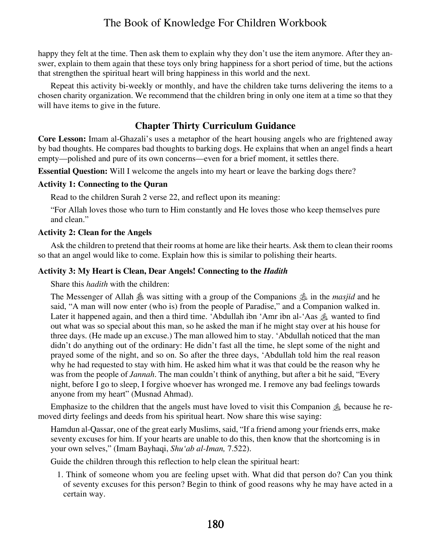happy they felt at the time. Then ask them to explain why they don't use the item anymore. After they answer, explain to them again that these toys only bring happiness for a short period of time, but the actions that strengthen the spiritual heart will bring happiness in this world and the next.

Repeat this activity bi-weekly or monthly, and have the children take turns delivering the items to a chosen charity organization. We recommend that the children bring in only one item at a time so that they will have items to give in the future.

### **Chapter Thirty Curriculum Guidance**

**Core Lesson:** Imam al-Ghazali's uses a metaphor of the heart housing angels who are frightened away by bad thoughts. He compares bad thoughts to barking dogs. He explains that when an angel finds a heart empty—polished and pure of its own concerns—even for a brief moment, it settles there.

**Essential Question:** Will I welcome the angels into my heart or leave the barking dogs there?

#### **Activity 1: Connecting to the Quran**

Read to the children Surah 2 verse 22, and reflect upon its meaning:

"For Allah loves those who turn to Him constantly and He loves those who keep themselves pure and clean."

#### **Activity 2: Clean for the Angels**

Ask the children to pretend that their rooms at home are like their hearts. Ask them to clean their rooms so that an angel would like to come. Explain how this is similar to polishing their hearts.

#### **Activity 3: My Heart is Clean, Dear Angels! Connecting to the** *Hadith*

Share this *hadith* with the children:

Ihe Messenger of Allah  $\&$  was sitting with a group of the Companions  $\&$  in the *masjid* and he said, "A man will now enter (who is) from the people of Paradise," and a Companion walked in. Later it happened again, and then a third time. 'Abdullah ibn 'Amr ibn al-'Aas  $\mathcal{L}$  wanted to find out what was so special about this man, so he asked the man if he might stay over at his house for three days. (He made up an excuse.) The man allowed him to stay. 'Abdullah noticed that the man didn't do anything out of the ordinary: He didn't fast all the time, he slept some of the night and prayed some of the night, and so on. So after the three days, 'Abdullah told him the real reason why he had requested to stay with him. He asked him what it was that could be the reason why he was from the people of *Jannah*. The man couldn't think of anything, but after a bit he said, "Every night, before I go to sleep, I forgive whoever has wronged me. I remove any bad feelings towards anyone from my heart" (Musnad Ahmad).

Emphasize to the children that the angels must have loved to visit this Companion  $\mathcal{L}$  because he removed dirty feelings and deeds from his spiritual heart. Now share this wise saying:

Hamdun al-Qassar, one of the great early Muslims, said, "If a friend among your friends errs, make seventy excuses for him. If your hearts are unable to do this, then know that the shortcoming is in your own selves," (Imam Bayhaqi, *Shu'ab al-Iman,* 7.522).

Guide the children through this reflection to help clean the spiritual heart:

1. Think of someone whom you are feeling upset with. What did that person do? Can you think of seventy excuses for this person? Begin to think of good reasons why he may have acted in a certain way.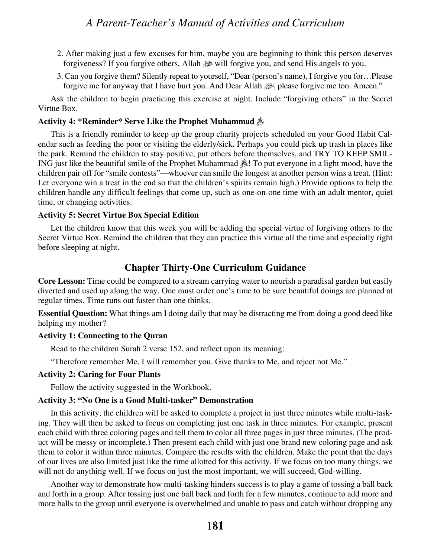- 2. After making just a few excuses for him, maybe you are beginning to think this person deserves forgiveness? If you forgive others, Allah  $\gg$  will forgive you, and send His angels to you.
- 3. Can you forgive them? Silently repeat to yourself, "Dear (person's name), I forgive you for…Please forgive me for anyway that I have hurt you. And Dear Allah  $\mathbb{R}$ , please forgive me too. Ameen."

Ask the children to begin practicing this exercise at night. Include "forgiving others" in the Secret Virtue Box.

#### Activity 4: \*Reminder\* Serve Like the Prophet Muhammad  $\&$

This is a friendly reminder to keep up the group charity projects scheduled on your Good Habit Calendar such as feeding the poor or visiting the elderly/sick. Perhaps you could pick up trash in places like the park. Remind the children to stay positive, put others before themselves, and TRY TO KEEP SMIL-ING just like the beautiful smile of the Prophet Muhammad  $\frac{36}{100}$ ! To put everyone in a light mood, have the children pair off for "smile contests"—whoever can smile the longest at another person wins a treat. (Hint: Let everyone win a treat in the end so that the children's spirits remain high.) Provide options to help the children handle any difficult feelings that come up, such as one-on-one time with an adult mentor, quiet time, or changing activities.

#### **Activity 5: Secret Virtue Box Special Edition**

Let the children know that this week you will be adding the special virtue of forgiving others to the Secret Virtue Box. Remind the children that they can practice this virtue all the time and especially right before sleeping at night.

### **Chapter Thirty-One Curriculum Guidance**

**Core Lesson:** Time could be compared to a stream carrying water to nourish a paradisal garden but easily diverted and used up along the way. One must order one's time to be sure beautiful doings are planned at regular times. Time runs out faster than one thinks.

**Essential Question:** What things am I doing daily that may be distracting me from doing a good deed like helping my mother?

#### **Activity 1: Connecting to the Quran**

Read to the children Surah 2 verse 152, and reflect upon its meaning:

"Therefore remember Me, I will remember you. Give thanks to Me, and reject not Me."

#### **Activity 2: Caring for Four Plants**

Follow the activity suggested in the Workbook.

#### **Activity 3: "No One is a Good Multi-tasker" Demonstration**

In this activity, the children will be asked to complete a project in just three minutes while multi-tasking. They will then be asked to focus on completing just one task in three minutes. For example, present each child with three coloring pages and tell them to color all three pages in just three minutes. (The product will be messy or incomplete.) Then present each child with just one brand new coloring page and ask them to color it within three minutes. Compare the results with the children. Make the point that the days of our lives are also limited just like the time allotted for this activity. If we focus on too many things, we will not do anything well. If we focus on just the most important, we will succeed, God-willing.

Another way to demonstrate how multi-tasking hinders success is to play a game of tossing a ball back and forth in a group. After tossing just one ball back and forth for a few minutes, continue to add more and more balls to the group until everyone is overwhelmed and unable to pass and catch without dropping any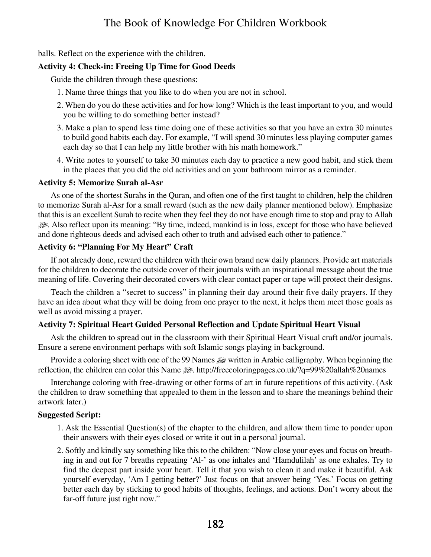balls. Reflect on the experience with the children.

# **Activity 4: Check-in: Freeing Up Time for Good Deeds**

Guide the children through these questions:

- 1. Name three things that you like to do when you are not in school.
- 2. When do you do these activities and for how long? Which is the least important to you, and would you be willing to do something better instead?
- 3. Make a plan to spend less time doing one of these activities so that you have an extra 30 minutes to build good habits each day. For example, "I will spend 30 minutes less playing computer games each day so that I can help my little brother with his math homework."
- 4. Write notes to yourself to take 30 minutes each day to practice a new good habit, and stick them in the places that you did the old activities and on your bathroom mirror as a reminder.

### **Activity 5: Memorize Surah al-Asr**

As one of the shortest Surahs in the Quran, and often one of the first taught to children, help the children to memorize Surah al-Asr for a small reward (such as the new daily planner mentioned below). Emphasize that this is an excellent Surah to recite when they feel they do not have enough time to stop and pray to Allah u. Also reflect upon its meaning: "By time, indeed, mankind is in loss, except for those who have believed and done righteous deeds and advised each other to truth and advised each other to patience."

### **Activity 6: "Planning For My Heart" Craft**

If not already done, reward the children with their own brand new daily planners. Provide art materials for the children to decorate the outside cover of their journals with an inspirational message about the true meaning of life. Covering their decorated covers with clear contact paper or tape will protect their designs.

Teach the children a "secret to success" in planning their day around their five daily prayers. If they have an idea about what they will be doing from one prayer to the next, it helps them meet those goals as well as avoid missing a prayer.

# **Activity 7: Spiritual Heart Guided Personal Reflection and Update Spiritual Heart Visual**

Ask the children to spread out in the classroom with their Spiritual Heart Visual craft and/or journals. Ensure a serene environment perhaps with soft Islamic songs playing in background.

Provide a coloring sheet with one of the 99 Names written in Arabic calligraphy. When beginning the reflection, the children can color this Name  $\mathcal{L}$ . http://freecoloringpages.co.uk/?q=99%20allah%20names

Interchange coloring with free-drawing or other forms of art in future repetitions of this activity. (Ask the children to draw something that appealed to them in the lesson and to share the meanings behind their artwork later.)

# **Suggested Script:**

- 1. Ask the Essential Question(s) of the chapter to the children, and allow them time to ponder upon their answers with their eyes closed or write it out in a personal journal.
- 2. Softly and kindly say something like this to the children: "Now close your eyes and focus on breathing in and out for 7 breaths repeating 'Al-' as one inhales and 'Hamdulilah' as one exhales. Try to find the deepest part inside your heart. Tell it that you wish to clean it and make it beautiful. Ask yourself everyday, 'Am I getting better?' Just focus on that answer being 'Yes.' Focus on getting better each day by sticking to good habits of thoughts, feelings, and actions. Don't worry about the far-off future just right now."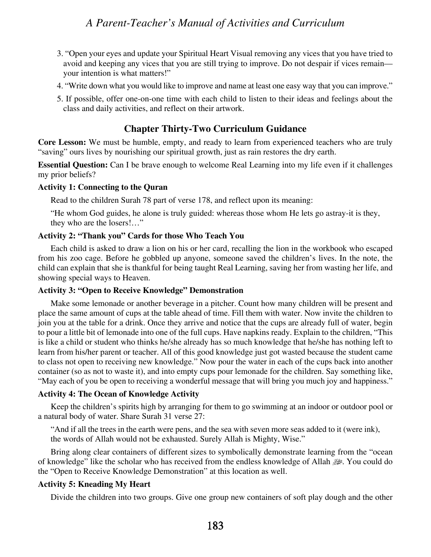- 3. "Open your eyes and update your Spiritual Heart Visual removing any vices that you have tried to avoid and keeping any vices that you are still trying to improve. Do not despair if vices remain your intention is what matters!"
- 4. "Write down what you would like to improve and name at least one easy way that you can improve."
- 5. If possible, offer one-on-one time with each child to listen to their ideas and feelings about the class and daily activities, and reflect on their artwork.

### **Chapter Thirty-Two Curriculum Guidance**

**Core Lesson:** We must be humble, empty, and ready to learn from experienced teachers who are truly "saving" ours lives by nourishing our spiritual growth, just as rain restores the dry earth.

**Essential Question:** Can I be brave enough to welcome Real Learning into my life even if it challenges my prior beliefs?

#### **Activity 1: Connecting to the Quran**

Read to the children Surah 78 part of verse 178, and reflect upon its meaning:

"He whom God guides, he alone is truly guided: whereas those whom He lets go astray-it is they, they who are the losers!…"

#### **Activity 2: "Thank you" Cards for those Who Teach You**

Each child is asked to draw a lion on his or her card, recalling the lion in the workbook who escaped from his zoo cage. Before he gobbled up anyone, someone saved the children's lives. In the note, the child can explain that she is thankful for being taught Real Learning, saving her from wasting her life, and showing special ways to Heaven.

#### **Activity 3: "Open to Receive Knowledge" Demonstration**

Make some lemonade or another beverage in a pitcher. Count how many children will be present and place the same amount of cups at the table ahead of time. Fill them with water. Now invite the children to join you at the table for a drink. Once they arrive and notice that the cups are already full of water, begin to pour a little bit of lemonade into one of the full cups. Have napkins ready. Explain to the children, "This is like a child or student who thinks he/she already has so much knowledge that he/she has nothing left to learn from his/her parent or teacher. All of this good knowledge just got wasted because the student came to class not open to receiving new knowledge." Now pour the water in each of the cups back into another container (so as not to waste it), and into empty cups pour lemonade for the children. Say something like, "May each of you be open to receiving a wonderful message that will bring you much joy and happiness."

#### **Activity 4: The Ocean of Knowledge Activity**

Keep the children's spirits high by arranging for them to go swimming at an indoor or outdoor pool or a natural body of water. Share Surah 31 verse 27:

"And if all the trees in the earth were pens, and the sea with seven more seas added to it (were ink), the words of Allah would not be exhausted. Surely Allah is Mighty, Wise."

Bring along clear containers of different sizes to symbolically demonstrate learning from the "ocean of knowledge" like the scholar who has received from the endless knowledge of Allah  $\mathbb{R}$ . You could do the "Open to Receive Knowledge Demonstration" at this location as well.

#### **Activity 5: Kneading My Heart**

Divide the children into two groups. Give one group new containers of soft play dough and the other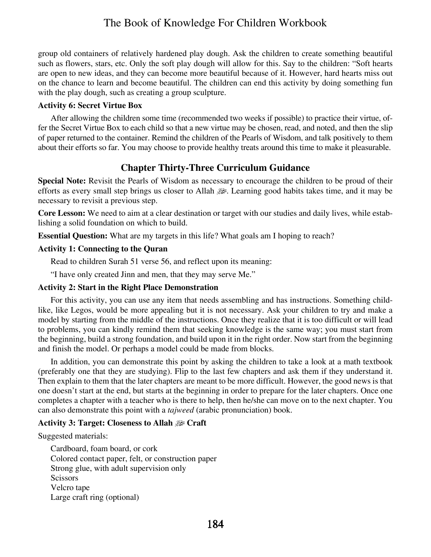group old containers of relatively hardened play dough. Ask the children to create something beautiful such as flowers, stars, etc. Only the soft play dough will allow for this. Say to the children: "Soft hearts are open to new ideas, and they can become more beautiful because of it. However, hard hearts miss out on the chance to learn and become beautiful. The children can end this activity by doing something fun with the play dough, such as creating a group sculpture.

#### **Activity 6: Secret Virtue Box**

After allowing the children some time (recommended two weeks if possible) to practice their virtue, offer the Secret Virtue Box to each child so that a new virtue may be chosen, read, and noted, and then the slip of paper returned to the container. Remind the children of the Pearls of Wisdom, and talk positively to them about their efforts so far. You may choose to provide healthy treats around this time to make it pleasurable.

# **Chapter Thirty-Three Curriculum Guidance**

**Special Note:** Revisit the Pearls of Wisdom as necessary to encourage the children to be proud of their efforts as every small step brings us closer to Allah  $\mathbb{R}$ . Learning good habits takes time, and it may be necessary to revisit a previous step.

**Core Lesson:** We need to aim at a clear destination or target with our studies and daily lives, while establishing a solid foundation on which to build.

**Essential Question:** What are my targets in this life? What goals am I hoping to reach?

#### **Activity 1: Connecting to the Quran**

Read to children Surah 51 verse 56, and reflect upon its meaning:

"I have only created Jinn and men, that they may serve Me."

#### **Activity 2: Start in the Right Place Demonstration**

For this activity, you can use any item that needs assembling and has instructions. Something childlike, like Legos, would be more appealing but it is not necessary. Ask your children to try and make a model by starting from the middle of the instructions. Once they realize that it is too difficult or will lead to problems, you can kindly remind them that seeking knowledge is the same way; you must start from the beginning, build a strong foundation, and build upon it in the right order. Now start from the beginning and finish the model. Or perhaps a model could be made from blocks.

In addition, you can demonstrate this point by asking the children to take a look at a math textbook (preferably one that they are studying). Flip to the last few chapters and ask them if they understand it. Then explain to them that the later chapters are meant to be more difficult. However, the good news is that one doesn't start at the end, but starts at the beginning in order to prepare for the later chapters. Once one completes a chapter with a teacher who is there to help, then he/she can move on to the next chapter. You can also demonstrate this point with a *tajweed* (arabic pronunciation) book.

#### **Activity 3: Target: Closeness to Allah** u **Craft**

Suggested materials:

Cardboard, foam board, or cork Colored contact paper, felt, or construction paper Strong glue, with adult supervision only **Scissors** Velcro tape Large craft ring (optional)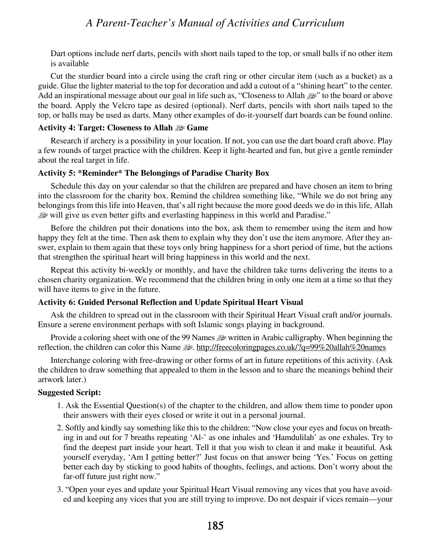Dart options include nerf darts, pencils with short nails taped to the top, or small balls if no other item is available

Cut the sturdier board into a circle using the craft ring or other circular item (such as a bucket) as a guide. Glue the lighter material to the top for decoration and add a cutout of a "shining heart" to the center. Add an inspirational message about our goal in life such as, "Closeness to Allah  $\mathbb{R}^n$ " to the board or above the board. Apply the Velcro tape as desired (optional). Nerf darts, pencils with short nails taped to the top, or balls may be used as darts. Many other examples of do-it-yourself dart boards can be found online.

#### **Activity 4: Target: Closeness to Allah** u **Game**

Research if archery is a possibility in your location. If not, you can use the dart board craft above. Play a few rounds of target practice with the children. Keep it light-hearted and fun, but give a gentle reminder about the real target in life.

#### **Activity 5: \*Reminder\* The Belongings of Paradise Charity Box**

Schedule this day on your calendar so that the children are prepared and have chosen an item to bring into the classroom for the charity box. Remind the children something like, "While we do not bring any belongings from this life into Heaven, that's all right because the more good deeds we do in this life, Allah will give us even better gifts and everlasting happiness in this world and Paradise."

Before the children put their donations into the box, ask them to remember using the item and how happy they felt at the time. Then ask them to explain why they don't use the item anymore. After they answer, explain to them again that these toys only bring happiness for a short period of time, but the actions that strengthen the spiritual heart will bring happiness in this world and the next.

Repeat this activity bi-weekly or monthly, and have the children take turns delivering the items to a chosen charity organization. We recommend that the children bring in only one item at a time so that they will have items to give in the future.

### **Activity 6: Guided Personal Reflection and Update Spiritual Heart Visual**

Ask the children to spread out in the classroom with their Spiritual Heart Visual craft and/or journals. Ensure a serene environment perhaps with soft Islamic songs playing in background.

Provide a coloring sheet with one of the 99 Names written in Arabic calligraphy. When beginning the reflection, the children can color this Name  $\frac{1}{2}$ . http://freecoloringpages.co.uk/?q=99%20allah%20names

Interchange coloring with free-drawing or other forms of art in future repetitions of this activity. (Ask the children to draw something that appealed to them in the lesson and to share the meanings behind their artwork later.)

#### **Suggested Script:**

- 1. Ask the Essential Question(s) of the chapter to the children, and allow them time to ponder upon their answers with their eyes closed or write it out in a personal journal.
- 2. Softly and kindly say something like this to the children: "Now close your eyes and focus on breathing in and out for 7 breaths repeating 'Al-' as one inhales and 'Hamdulilah' as one exhales. Try to find the deepest part inside your heart. Tell it that you wish to clean it and make it beautiful. Ask yourself everyday, 'Am I getting better?' Just focus on that answer being 'Yes.' Focus on getting better each day by sticking to good habits of thoughts, feelings, and actions. Don't worry about the far-off future just right now."
- 3. "Open your eyes and update your Spiritual Heart Visual removing any vices that you have avoided and keeping any vices that you are still trying to improve. Do not despair if vices remain—your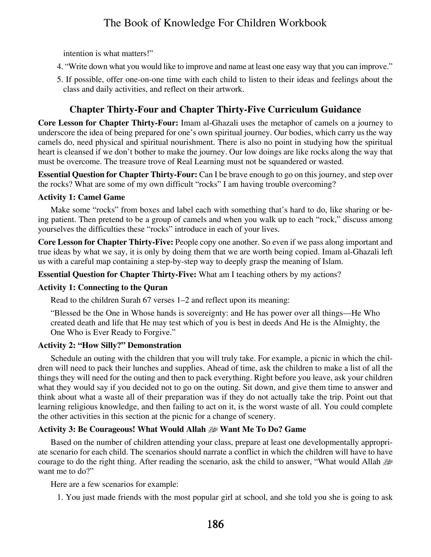intention is what matters!"

- 4. "Write down what you would like to improve and name at least one easy way that you can improve."
- 5. If possible, offer one-on-one time with each child to listen to their ideas and feelings about the class and daily activities, and reflect on their artwork.

# **Chapter Thirty-Four and Chapter Thirty-Five Curriculum Guidance**

**Core Lesson for Chapter Thirty-Four:** Imam al-Ghazali uses the metaphor of camels on a journey to underscore the idea of being prepared for one's own spiritual journey. Our bodies, which carry us the way camels do, need physical and spiritual nourishment. There is also no point in studying how the spiritual heart is cleansed if we don't bother to make the journey. Our low doings are like rocks along the way that must be overcome. The treasure trove of Real Learning must not be squandered or wasted.

**Essential Question for Chapter Thirty-Four:** Can I be brave enough to go on this journey, and step over the rocks? What are some of my own difficult "rocks" I am having trouble overcoming?

# **Activity 1: Camel Game**

Make some "rocks" from boxes and label each with something that's hard to do, like sharing or being patient. Then pretend to be a group of camels and when you walk up to each "rock," discuss among yourselves the difficulties these "rocks" introduce in each of your lives.

**Core Lesson for Chapter Thirty-Five:** People copy one another. So even if we pass along important and true ideas by what we say, it is only by doing them that we are worth being copied. Imam al-Ghazali left us with a careful map containing a step-by-step way to deeply grasp the meaning of Islam.

**Essential Question for Chapter Thirty-Five:** What am I teaching others by my actions?

# **Activity 1: Connecting to the Quran**

Read to the children Surah 67 verses 1–2 and reflect upon its meaning:

"Blessed be the One in Whose hands is sovereignty: and He has power over all things—He Who created death and life that He may test which of you is best in deeds And He is the Almighty, the One Who is Ever Ready to Forgive."

# **Activity 2: "How Silly?" Demonstration**

Schedule an outing with the children that you will truly take. For example, a picnic in which the children will need to pack their lunches and supplies. Ahead of time, ask the children to make a list of all the things they will need for the outing and then to pack everything. Right before you leave, ask your children what they would say if you decided not to go on the outing. Sit down, and give them time to answer and think about what a waste all of their preparation was if they do not actually take the trip. Point out that learning religious knowledge, and then failing to act on it, is the worst waste of all. You could complete the other activities in this section at the picnic for a change of scenery.

# **Activity 3: Be Courageous! What Would Allah** u **Want Me To Do? Game**

Based on the number of children attending your class, prepare at least one developmentally appropriate scenario for each child. The scenarios should narrate a conflict in which the children will have to have courage to do the right thing. After reading the scenario, ask the child to answer, "What would Allah u want me to do?"

Here are a few scenarios for example:

1. You just made friends with the most popular girl at school, and she told you she is going to ask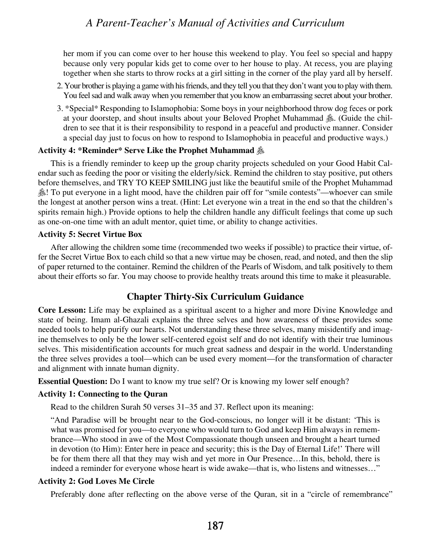her mom if you can come over to her house this weekend to play. You feel so special and happy because only very popular kids get to come over to her house to play. At recess, you are playing together when she starts to throw rocks at a girl sitting in the corner of the play yard all by herself.

- 2. Your brother is playing a game with his friends, and they tell you that they don't want you to play with them. You feel sad and walk away when you remember that you know an embarrassing secret about your brother.
- 3. \*Special\* Responding to Islamophobia: Some boys in your neighborhood throw dog feces or pork at your doorstep, and shout insults about your Beloved Prophet Muhammad & (Guide the children to see that it is their responsibility to respond in a peaceful and productive manner. Consider a special day just to focus on how to respond to Islamophobia in peaceful and productive ways.)

#### **Activity 4: \*Reminder\* Serve Like the Prophet Muhammad** s

This is a friendly reminder to keep up the group charity projects scheduled on your Good Habit Calendar such as feeding the poor or visiting the elderly/sick. Remind the children to stay positive, put others before themselves, and TRY TO KEEP SMILING just like the beautiful smile of the Prophet Muhammad s! To put everyone in a light mood, have the children pair off for "smile contests"—whoever can smile the longest at another person wins a treat. (Hint: Let everyone win a treat in the end so that the children's spirits remain high.) Provide options to help the children handle any difficult feelings that come up such as one-on-one time with an adult mentor, quiet time, or ability to change activities.

### **Activity 5: Secret Virtue Box**

After allowing the children some time (recommended two weeks if possible) to practice their virtue, offer the Secret Virtue Box to each child so that a new virtue may be chosen, read, and noted, and then the slip of paper returned to the container. Remind the children of the Pearls of Wisdom, and talk positively to them about their efforts so far. You may choose to provide healthy treats around this time to make it pleasurable.

# **Chapter Thirty-Six Curriculum Guidance**

**Core Lesson:** Life may be explained as a spiritual ascent to a higher and more Divine Knowledge and state of being. Imam al-Ghazali explains the three selves and how awareness of these provides some needed tools to help purify our hearts. Not understanding these three selves, many misidentify and imagine themselves to only be the lower self-centered egoist self and do not identify with their true luminous selves. This misidentification accounts for much great sadness and despair in the world. Understanding the three selves provides a tool—which can be used every moment—for the transformation of character and alignment with innate human dignity.

**Essential Question:** Do I want to know my true self? Or is knowing my lower self enough?

### **Activity 1: Connecting to the Quran**

Read to the children Surah 50 verses 31–35 and 37. Reflect upon its meaning:

"And Paradise will be brought near to the God-conscious, no longer will it be distant: 'This is what was promised for you—to everyone who would turn to God and keep Him always in remembrance—Who stood in awe of the Most Compassionate though unseen and brought a heart turned in devotion (to Him): Enter here in peace and security; this is the Day of Eternal Life!' There will be for them there all that they may wish and yet more in Our Presence…In this, behold, there is indeed a reminder for everyone whose heart is wide awake—that is, who listens and witnesses…"

### **Activity 2: God Loves Me Circle**

Preferably done after reflecting on the above verse of the Quran, sit in a "circle of remembrance"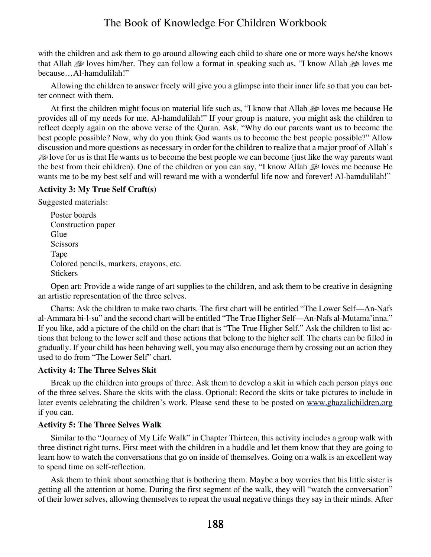with the children and ask them to go around allowing each child to share one or more ways he/she knows that Allah  $\mathbb{R}$  loves him/her. They can follow a format in speaking such as, "I know Allah  $\mathbb{R}$  loves me because…Al-hamdulilah!"

Allowing the children to answer freely will give you a glimpse into their inner life so that you can better connect with them.

At first the children might focus on material life such as, "I know that Allah we loves me because He provides all of my needs for me. Al-hamdulilah!" If your group is mature, you might ask the children to reflect deeply again on the above verse of the Quran. Ask, "Why do our parents want us to become the best people possible? Now, why do you think God wants us to become the best people possible?" Allow discussion and more questions as necessary in order for the children to realize that a major proof of Allah's u love for us is that He wants us to become the best people we can become (just like the way parents want the best from their children). One of the children or you can say, "I know Allah was me because He wants me to be my best self and will reward me with a wonderful life now and forever! Al-hamdulilah!"

#### **Activity 3: My True Self Craft(s)**

Suggested materials:

Poster boards Construction paper Glue **Scissors** Tape Colored pencils, markers, crayons, etc. **Stickers** 

Open art: Provide a wide range of art supplies to the children, and ask them to be creative in designing an artistic representation of the three selves.

Charts: Ask the children to make two charts. The first chart will be entitled "The Lower Self—An-Nafs al-Ammara bi-l-su" and the second chart will be entitled "The True Higher Self—An-Nafs al-Mutama'inna." If you like, add a picture of the child on the chart that is "The True Higher Self." Ask the children to list actions that belong to the lower self and those actions that belong to the higher self. The charts can be filled in gradually. If your child has been behaving well, you may also encourage them by crossing out an action they used to do from "The Lower Self" chart.

#### **Activity 4: The Three Selves Skit**

Break up the children into groups of three. Ask them to develop a skit in which each person plays one of the three selves. Share the skits with the class. Optional: Record the skits or take pictures to include in later events celebrating the children's work. Please send these to be posted on www.ghazalichildren.org if you can.

#### **Activity 5: The Three Selves Walk**

Similar to the "Journey of My Life Walk" in Chapter Thirteen, this activity includes a group walk with three distinct right turns. First meet with the children in a huddle and let them know that they are going to learn how to watch the conversations that go on inside of themselves. Going on a walk is an excellent way to spend time on self-reflection.

Ask them to think about something that is bothering them. Maybe a boy worries that his little sister is getting all the attention at home. During the first segment of the walk, they will "watch the conversation" of their lower selves, allowing themselves to repeat the usual negative things they say in their minds. After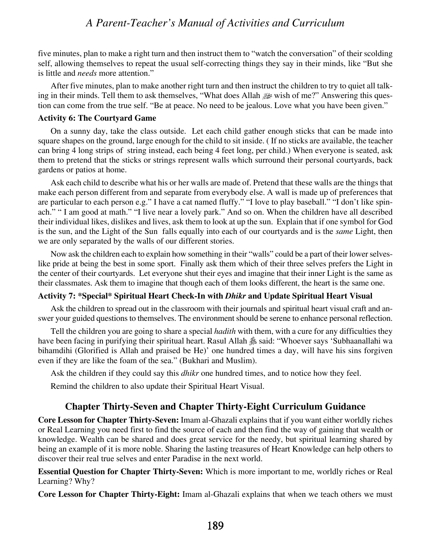five minutes, plan to make a right turn and then instruct them to "watch the conversation" of their scolding self, allowing themselves to repeat the usual self-correcting things they say in their minds, like "But she is little and *needs* more attention."

After five minutes, plan to make another right turn and then instruct the children to try to quiet all talking in their minds. Tell them to ask themselves, "What does Allah  $\mathbb{R}^n$  wish of me?" Answering this question can come from the true self. "Be at peace. No need to be jealous. Love what you have been given."

#### **Activity 6: The Courtyard Game**

On a sunny day, take the class outside. Let each child gather enough sticks that can be made into square shapes on the ground, large enough for the child to sit inside. ( If no sticks are available, the teacher can bring 4 long strips of string instead, each being 4 feet long, per child.) When everyone is seated, ask them to pretend that the sticks or strings represent walls which surround their personal courtyards, back gardens or patios at home.

Ask each child to describe what his or her walls are made of. Pretend that these walls are the things that make each person different from and separate from everybody else. A wall is made up of preferences that are particular to each person e.g." I have a cat named fluffy." "I love to play baseball." "I don't like spinach." " I am good at math." "I live near a lovely park." And so on. When the children have all described their individual likes, dislikes and lives, ask them to look at up the sun. Explain that if one symbol for God is the sun, and the Light of the Sun falls equally into each of our courtyards and is the *same* Light, then we are only separated by the walls of our different stories.

Now ask the children each to explain how something in their "walls" could be a part of their lower selveslike pride at being the best in some sport. Finally ask them which of their three selves prefers the Light in the center of their courtyards. Let everyone shut their eyes and imagine that their inner Light is the same as their classmates. Ask them to imagine that though each of them looks different, the heart is the same one.

#### **Activity 7: \*Special\* Spiritual Heart Check-In with** *Dhikr* **and Update Spiritual Heart Visual**

Ask the children to spread out in the classroom with their journals and spiritual heart visual craft and answer your guided questions to themselves. The environment should be serene to enhance personal reflection.

Tell the children you are going to share a special *hadith* with them, with a cure for any difficulties they have been facing in purifying their spiritual heart. Rasul Allah  $\triangleq$  said: "Whoever says 'Subhaanallahi wa bihamdihi (Glorified is Allah and praised be He)' one hundred times a day, will have his sins forgiven even if they are like the foam of the sea." (Bukhari and Muslim).

Ask the children if they could say this *dhikr* one hundred times, and to notice how they feel.

Remind the children to also update their Spiritual Heart Visual.

# **Chapter Thirty-Seven and Chapter Thirty-Eight Curriculum Guidance**

**Core Lesson for Chapter Thirty-Seven:** Imam al-Ghazali explains that if you want either worldly riches or Real Learning you need first to find the source of each and then find the way of gaining that wealth or knowledge. Wealth can be shared and does great service for the needy, but spiritual learning shared by being an example of it is more noble. Sharing the lasting treasures of Heart Knowledge can help others to discover their real true selves and enter Paradise in the next world.

**Essential Question for Chapter Thirty-Seven:** Which is more important to me, worldly riches or Real Learning? Why?

**Core Lesson for Chapter Thirty-Eight:** Imam al-Ghazali explains that when we teach others we must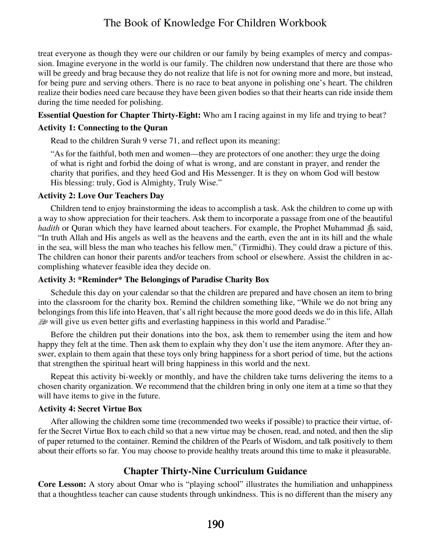treat everyone as though they were our children or our family by being examples of mercy and compassion. Imagine everyone in the world is our family. The children now understand that there are those who will be greedy and brag because they do not realize that life is not for owning more and more, but instead, for being pure and serving others. There is no race to beat anyone in polishing one's heart. The children realize their bodies need care because they have been given bodies so that their hearts can ride inside them during the time needed for polishing.

**Essential Question for Chapter Thirty-Eight:** Who am I racing against in my life and trying to beat?

#### **Activity 1: Connecting to the Quran**

Read to the children Surah 9 verse 71, and reflect upon its meaning:

"As for the faithful, both men and women—they are protectors of one another: they urge the doing of what is right and forbid the doing of what is wrong, and are constant in prayer, and render the charity that purifies, and they heed God and His Messenger. It is they on whom God will bestow His blessing: truly, God is Almighty, Truly Wise."

#### **Activity 2: Love Our Teachers Day**

Children tend to enjoy brainstorming the ideas to accomplish a task. Ask the children to come up with a way to show appreciation for their teachers. Ask them to incorporate a passage from one of the beautiful *hadith* or Quran which they have learned about teachers. For example, the Prophet Muhammad  $\frac{4}{100}$  said, "In truth Allah and His angels as well as the heavens and the earth, even the ant in its hill and the whale in the sea, will bless the man who teaches his fellow men," (Tirmidhi). They could draw a picture of this. The children can honor their parents and/or teachers from school or elsewhere. Assist the children in accomplishing whatever feasible idea they decide on.

#### **Activity 3: \*Reminder\* The Belongings of Paradise Charity Box**

Schedule this day on your calendar so that the children are prepared and have chosen an item to bring into the classroom for the charity box. Remind the children something like, "While we do not bring any belongings from this life into Heaven, that's all right because the more good deeds we do in this life, Allah u will give us even better gifts and everlasting happiness in this world and Paradise."

Before the children put their donations into the box, ask them to remember using the item and how happy they felt at the time. Then ask them to explain why they don't use the item anymore. After they answer, explain to them again that these toys only bring happiness for a short period of time, but the actions that strengthen the spiritual heart will bring happiness in this world and the next.

Repeat this activity bi-weekly or monthly, and have the children take turns delivering the items to a chosen charity organization. We recommend that the children bring in only one item at a time so that they will have items to give in the future.

#### **Activity 4: Secret Virtue Box**

After allowing the children some time (recommended two weeks if possible) to practice their virtue, offer the Secret Virtue Box to each child so that a new virtue may be chosen, read, and noted, and then the slip of paper returned to the container. Remind the children of the Pearls of Wisdom, and talk positively to them about their efforts so far. You may choose to provide healthy treats around this time to make it pleasurable.

# **Chapter Thirty-Nine Curriculum Guidance**

**Core Lesson:** A story about Omar who is "playing school" illustrates the humiliation and unhappiness that a thoughtless teacher can cause students through unkindness. This is no different than the misery any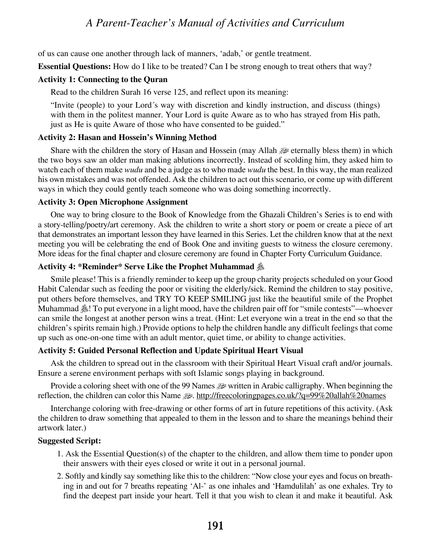of us can cause one another through lack of manners, 'adab,' or gentle treatment.

**Essential Questions:** How do I like to be treated? Can I be strong enough to treat others that way?

#### **Activity 1: Connecting to the Quran**

Read to the children Surah 16 verse 125, and reflect upon its meaning:

"Invite (people) to your Lord´s way with discretion and kindly instruction, and discuss (things) with them in the politest manner. Your Lord is quite Aware as to who has strayed from His path, just as He is quite Aware of those who have consented to be guided."

#### **Activity 2: Hasan and Hossein's Winning Method**

Share with the children the story of Hasan and Hossein (may Allah with the stormers) in which the two boys saw an older man making ablutions incorrectly. Instead of scolding him, they asked him to watch each of them make *wudu* and be a judge as to who made *wudu* the best. In this way, the man realized his own mistakes and was not offended. Ask the children to act out this scenario, or come up with different ways in which they could gently teach someone who was doing something incorrectly.

#### **Activity 3: Open Microphone Assignment**

One way to bring closure to the Book of Knowledge from the Ghazali Children's Series is to end with a story-telling/poetry/art ceremony. Ask the children to write a short story or poem or create a piece of art that demonstrates an important lesson they have learned in this Series. Let the children know that at the next meeting you will be celebrating the end of Book One and inviting guests to witness the closure ceremony. More ideas for the final chapter and closure ceremony are found in Chapter Forty Curriculum Guidance.

### **Activity 4: \*Reminder\* Serve Like the Prophet Muhammad** s

Smile please! This is a friendly reminder to keep up the group charity projects scheduled on your Good Habit Calendar such as feeding the poor or visiting the elderly/sick. Remind the children to stay positive, put others before themselves, and TRY TO KEEP SMILING just like the beautiful smile of the Prophet Muhammad  $\triangleq$ ! To put everyone in a light mood, have the children pair off for "smile contests"—whoever can smile the longest at another person wins a treat. (Hint: Let everyone win a treat in the end so that the children's spirits remain high.) Provide options to help the children handle any difficult feelings that come up such as one-on-one time with an adult mentor, quiet time, or ability to change activities.

#### **Activity 5: Guided Personal Reflection and Update Spiritual Heart Visual**

Ask the children to spread out in the classroom with their Spiritual Heart Visual craft and/or journals. Ensure a serene environment perhaps with soft Islamic songs playing in background.

Provide a coloring sheet with one of the 99 Names stream in Arabic calligraphy. When beginning the reflection, the children can color this Name  $\&\&$ . http://freecoloringpages.co.uk/?q=99%20allah%20names

Interchange coloring with free-drawing or other forms of art in future repetitions of this activity. (Ask the children to draw something that appealed to them in the lesson and to share the meanings behind their artwork later.)

#### **Suggested Script:**

- 1. Ask the Essential Question(s) of the chapter to the children, and allow them time to ponder upon their answers with their eyes closed or write it out in a personal journal.
- 2. Softly and kindly say something like this to the children: "Now close your eyes and focus on breathing in and out for 7 breaths repeating 'Al-' as one inhales and 'Hamdulilah' as one exhales. Try to find the deepest part inside your heart. Tell it that you wish to clean it and make it beautiful. Ask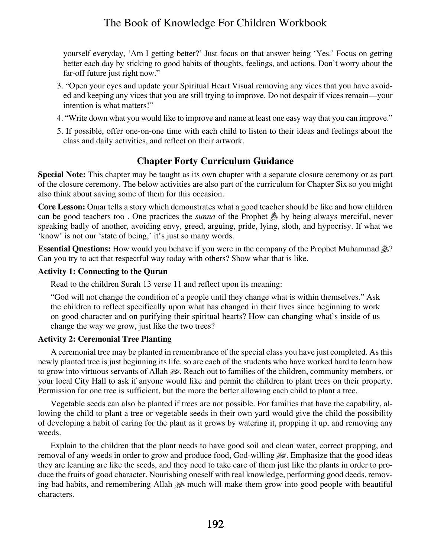yourself everyday, 'Am I getting better?' Just focus on that answer being 'Yes.' Focus on getting better each day by sticking to good habits of thoughts, feelings, and actions. Don't worry about the far-off future just right now."

- 3. "Open your eyes and update your Spiritual Heart Visual removing any vices that you have avoided and keeping any vices that you are still trying to improve. Do not despair if vices remain—your intention is what matters!"
- 4. "Write down what you would like to improve and name at least one easy way that you can improve."
- 5. If possible, offer one-on-one time with each child to listen to their ideas and feelings about the class and daily activities, and reflect on their artwork.

# **Chapter Forty Curriculum Guidance**

**Special Note:** This chapter may be taught as its own chapter with a separate closure ceremony or as part of the closure ceremony. The below activities are also part of the curriculum for Chapter Six so you might also think about saving some of them for this occasion.

**Core Lesson:** Omar tells a story which demonstrates what a good teacher should be like and how children can be good teachers too. One practices the *sunna* of the Prophet  $\triangleq$  by being always merciful, never speaking badly of another, avoiding envy, greed, arguing, pride, lying, sloth, and hypocrisy. If what we 'know' is not our 'state of being,' it's just so many words.

**Essential Questions:** How would you behave if you were in the company of the Prophet Muhammad  $\hat{\mathbb{B}}$ ? Can you try to act that respectful way today with others? Show what that is like.

#### **Activity 1: Connecting to the Quran**

Read to the children Surah 13 verse 11 and reflect upon its meaning:

"God will not change the condition of a people until they change what is within themselves." Ask the children to reflect specifically upon what has changed in their lives since beginning to work on good character and on purifying their spiritual hearts? How can changing what's inside of us change the way we grow, just like the two trees?

#### **Activity 2: Ceremonial Tree Planting**

A ceremonial tree may be planted in remembrance of the special class you have just completed. As this newly planted tree is just beginning its life, so are each of the students who have worked hard to learn how to grow into virtuous servants of Allah  $\mathbb{R}$ . Reach out to families of the children, community members, or your local City Hall to ask if anyone would like and permit the children to plant trees on their property. Permission for one tree is sufficient, but the more the better allowing each child to plant a tree.

Vegetable seeds can also be planted if trees are not possible. For families that have the capability, allowing the child to plant a tree or vegetable seeds in their own yard would give the child the possibility of developing a habit of caring for the plant as it grows by watering it, propping it up, and removing any weeds.

Explain to the children that the plant needs to have good soil and clean water, correct propping, and removal of any weeds in order to grow and produce food, God-willing  $\mathcal{L}$ . Emphasize that the good ideas they are learning are like the seeds, and they need to take care of them just like the plants in order to produce the fruits of good character. Nourishing oneself with real knowledge, performing good deeds, removing bad habits, and remembering Allah  $\mathbb{R}^n$  much will make them grow into good people with beautiful characters.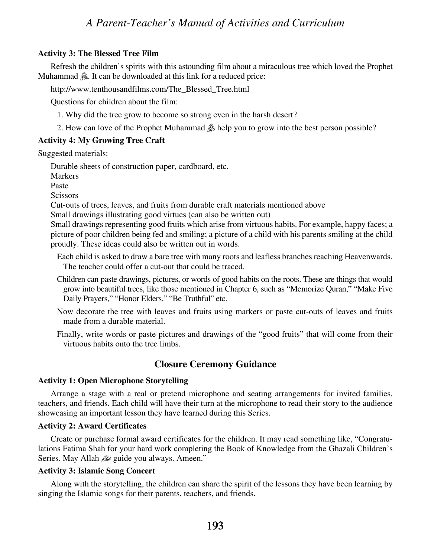#### **Activity 3: The Blessed Tree Film**

Refresh the children's spirits with this astounding film about a miraculous tree which loved the Prophet **Muhammad**  $\frac{d}{dx}$ **. It can be downloaded at this link for a reduced price:** 

http://www.tenthousandfilms.com/The\_Blessed\_Tree.html

Questions for children about the film:

- 1. Why did the tree grow to become so strong even in the harsh desert?
- 2. How can love of the Prophet Muhammad  $\triangleq$  help you to grow into the best person possible?

#### **Activity 4: My Growing Tree Craft**

Suggested materials:

Durable sheets of construction paper, cardboard, etc.

**Markers** 

Paste

**Scissors** 

Cut-outs of trees, leaves, and fruits from durable craft materials mentioned above

Small drawings illustrating good virtues (can also be written out)

Small drawings representing good fruits which arise from virtuous habits. For example, happy faces; a picture of poor children being fed and smiling; a picture of a child with his parents smiling at the child proudly. These ideas could also be written out in words.

- Each child is asked to draw a bare tree with many roots and leafless branches reaching Heavenwards. The teacher could offer a cut-out that could be traced.
- Children can paste drawings, pictures, or words of good habits on the roots. These are things that would grow into beautiful trees, like those mentioned in Chapter 6, such as "Memorize Quran," "Make Five Daily Prayers," "Honor Elders," "Be Truthful" etc.
- Now decorate the tree with leaves and fruits using markers or paste cut-outs of leaves and fruits made from a durable material.
- Finally, write words or paste pictures and drawings of the "good fruits" that will come from their virtuous habits onto the tree limbs.

### **Closure Ceremony Guidance**

#### **Activity 1: Open Microphone Storytelling**

Arrange a stage with a real or pretend microphone and seating arrangements for invited families, teachers, and friends. Each child will have their turn at the microphone to read their story to the audience showcasing an important lesson they have learned during this Series.

#### **Activity 2: Award Certificates**

Create or purchase formal award certificates for the children. It may read something like, "Congratulations Fatima Shah for your hard work completing the Book of Knowledge from the Ghazali Children's Series. May Allah  $\mathcal{L}$  guide you always. Ameen."

#### **Activity 3: Islamic Song Concert**

Along with the storytelling, the children can share the spirit of the lessons they have been learning by singing the Islamic songs for their parents, teachers, and friends.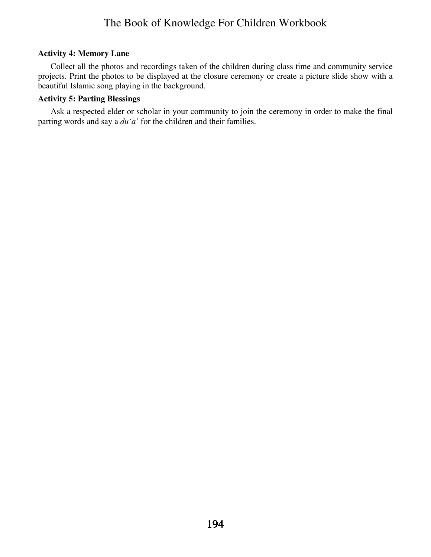#### **Activity 4: Memory Lane**

Collect all the photos and recordings taken of the children during class time and community service projects. Print the photos to be displayed at the closure ceremony or create a picture slide show with a beautiful Islamic song playing in the background.

#### **Activity 5: Parting Blessings**

Ask a respected elder or scholar in your community to join the ceremony in order to make the final parting words and say a *du'a'* for the children and their families.